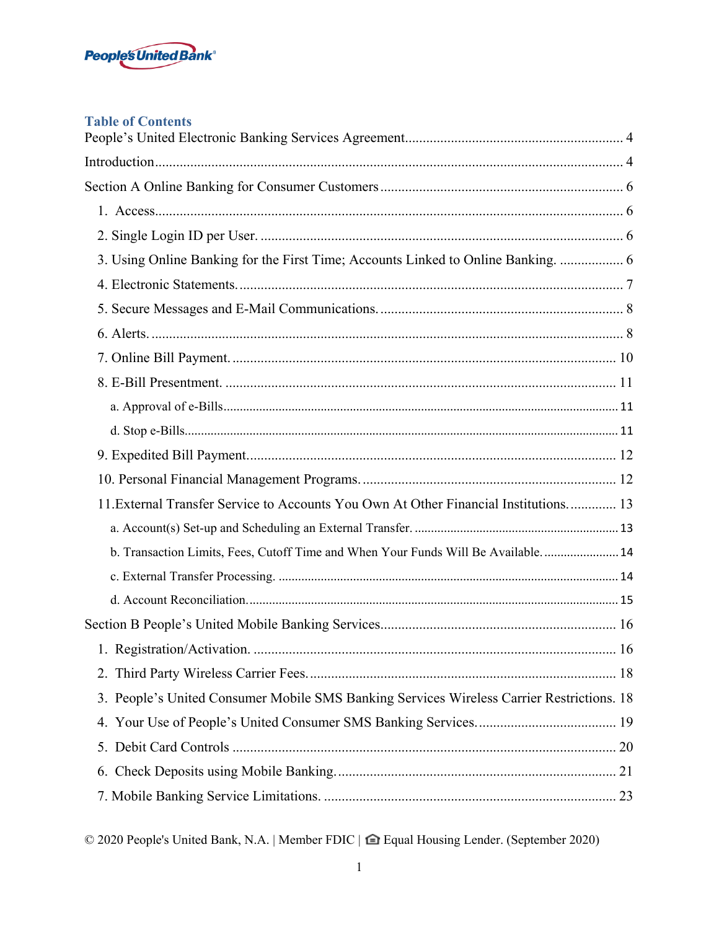

# **Table of Contents**

| 3. Using Online Banking for the First Time; Accounts Linked to Online Banking.  6         |  |
|-------------------------------------------------------------------------------------------|--|
|                                                                                           |  |
|                                                                                           |  |
|                                                                                           |  |
|                                                                                           |  |
|                                                                                           |  |
|                                                                                           |  |
|                                                                                           |  |
|                                                                                           |  |
|                                                                                           |  |
| 11. External Transfer Service to Accounts You Own At Other Financial Institutions 13      |  |
|                                                                                           |  |
| b. Transaction Limits, Fees, Cutoff Time and When Your Funds Will Be Available 14         |  |
|                                                                                           |  |
|                                                                                           |  |
|                                                                                           |  |
|                                                                                           |  |
|                                                                                           |  |
| 3. People's United Consumer Mobile SMS Banking Services Wireless Carrier Restrictions. 18 |  |
|                                                                                           |  |
|                                                                                           |  |
|                                                                                           |  |
|                                                                                           |  |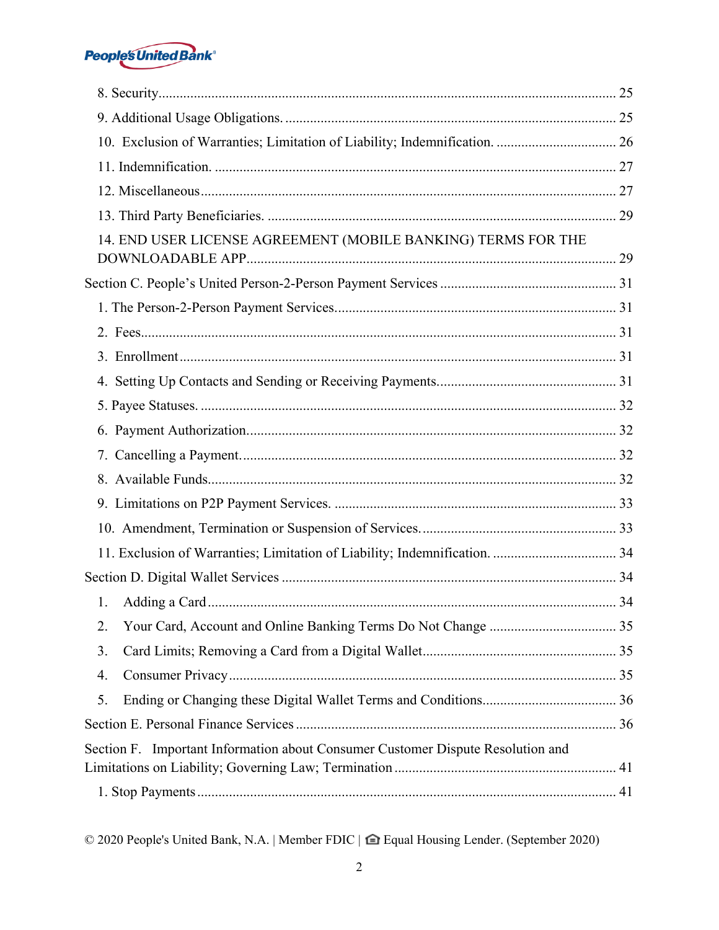

| 10. Exclusion of Warranties; Limitation of Liability; Indemnification.  26      |  |
|---------------------------------------------------------------------------------|--|
|                                                                                 |  |
|                                                                                 |  |
|                                                                                 |  |
| 14. END USER LICENSE AGREEMENT (MOBILE BANKING) TERMS FOR THE                   |  |
|                                                                                 |  |
|                                                                                 |  |
|                                                                                 |  |
|                                                                                 |  |
|                                                                                 |  |
|                                                                                 |  |
|                                                                                 |  |
|                                                                                 |  |
|                                                                                 |  |
|                                                                                 |  |
|                                                                                 |  |
|                                                                                 |  |
|                                                                                 |  |
| 1.                                                                              |  |
| 2.                                                                              |  |
| 3.                                                                              |  |
| 4.                                                                              |  |
| 5.                                                                              |  |
|                                                                                 |  |
| Section F. Important Information about Consumer Customer Dispute Resolution and |  |
|                                                                                 |  |
|                                                                                 |  |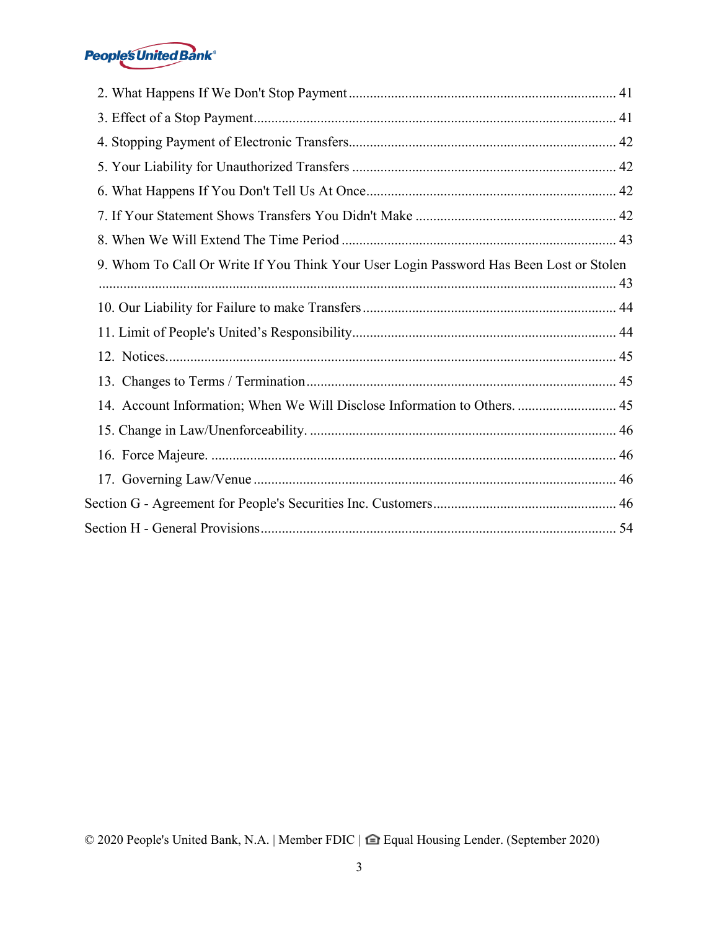

| 9. Whom To Call Or Write If You Think Your User Login Password Has Been Lost or Stolen |  |
|----------------------------------------------------------------------------------------|--|
|                                                                                        |  |
|                                                                                        |  |
|                                                                                        |  |
|                                                                                        |  |
| 14. Account Information; When We Will Disclose Information to Others.  45              |  |
|                                                                                        |  |
|                                                                                        |  |
|                                                                                        |  |
|                                                                                        |  |
|                                                                                        |  |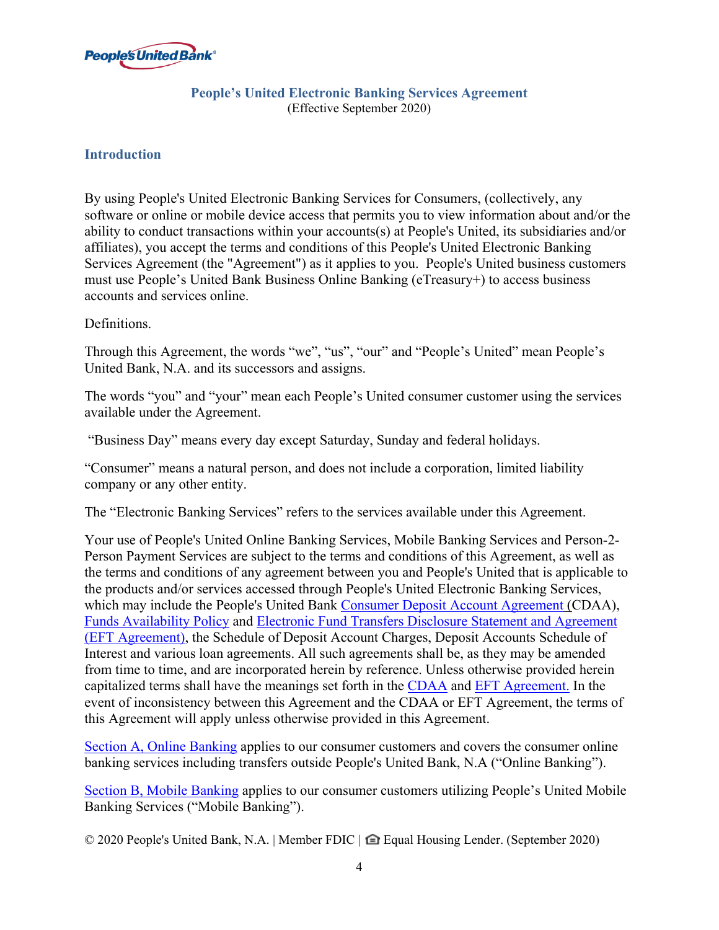<span id="page-3-0"></span>

## **People's United Electronic Banking Services Agreement** (Effective September 2020)

#### <span id="page-3-1"></span>**Introduction**

By using People's United Electronic Banking Services for Consumers, (collectively, any software or online or mobile device access that permits you to view information about and/or the ability to conduct transactions within your accounts(s) at People's United, its subsidiaries and/or affiliates), you accept the terms and conditions of this People's United Electronic Banking Services Agreement (the "Agreement") as it applies to you. People's United business customers must use People's United Bank Business Online Banking (eTreasury+) to access business accounts and services online.

Definitions.

Through this Agreement, the words "we", "us", "our" and "People's United" mean People's United Bank, N.A. and its successors and assigns.

The words "you" and "your" mean each People's United consumer customer using the services available under the Agreement.

"Business Day" means every day except Saturday, Sunday and federal holidays.

"Consumer" means a natural person, and does not include a corporation, limited liability company or any other entity.

The "Electronic Banking Services" refers to the services available under this Agreement.

Your use of People's United Online Banking Services, Mobile Banking Services and Person-2- Person Payment Services are subject to the terms and conditions of this Agreement, as well as the terms and conditions of any agreement between you and People's United that is applicable to the products and/or services accessed through People's United Electronic Banking Services, which may include the People's United Bank [Consumer Deposit Account Agreement](https://www.peoples.com/pdf/UDAC_S166_5.14.pdf) (CDAA), [Funds Availability Policy](https://www.peoples.com/pdf/UDAC_S166_5.14.pdf) and [Electronic Fund Transfers Disclosure Statement and Agreement](https://www.peoples.com/pdf/UDAC_S166_5.14.pdf)  [\(EFT Agreement\),](https://www.peoples.com/pdf/UDAC_S166_5.14.pdf) the Schedule of Deposit Account Charges, Deposit Accounts Schedule of Interest and various loan agreements. All such agreements shall be, as they may be amended from time to time, and are incorporated herein by reference. Unless otherwise provided herein capitalized terms shall have the meanings set forth in the [CDAA](https://www.peoples.com/pdf/UDAC_S166_5.14.pdf) and [EFT Agreement.](https://www.peoples.com/pdf/UDAC_S166_5.14.pdf) In the event of inconsistency between this Agreement and the CDAA or EFT Agreement, the terms of this Agreement will apply unless otherwise provided in this Agreement.

Section A, [Online Banking](#page-5-0) applies to our consumer customers and covers the consumer online banking services including transfers outside People's United Bank, N.A ("Online Banking").

Section B, [Mobile Banking](#page-15-0) applies to our consumer customers utilizing People's United Mobile Banking Services ("Mobile Banking").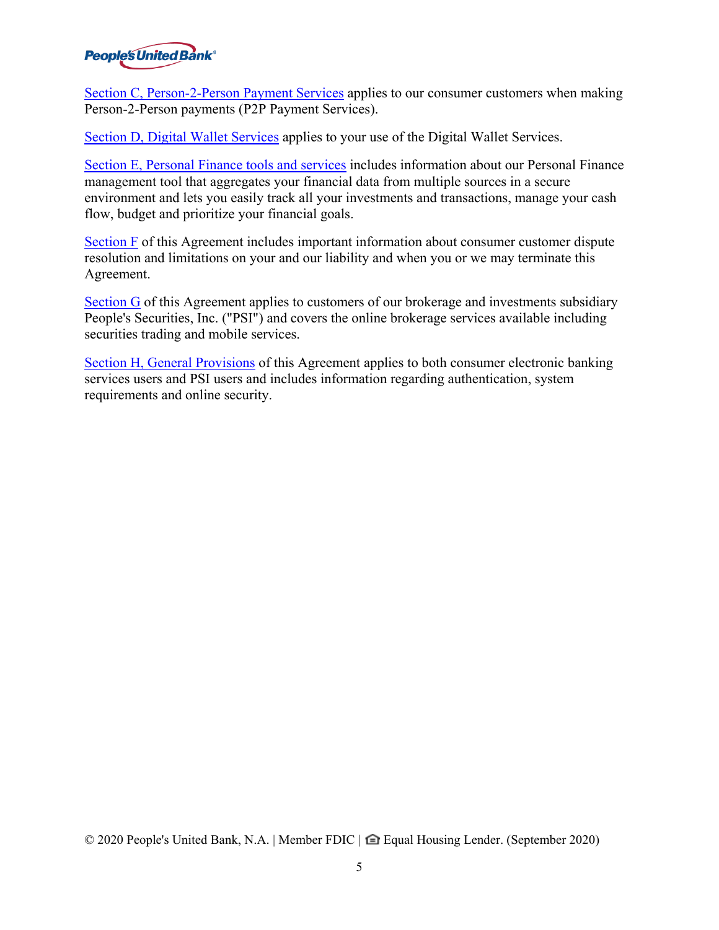

[Section C, Person-2-Person](#page-30-0) Payment Services applies to our consumer customers when making Person-2-Person payments (P2P Payment Services).

[Section D, Digital Wallet Services](#page-33-1) applies to your use of the Digital Wallet Services.

Section E, Personal Finance [tools and services](#page-35-1) includes information about our Personal Finance management tool that aggregates your financial data from multiple sources in a secure environment and lets you easily track all your investments and transactions, manage your cash flow, budget and prioritize your financial goals.

[Section F](#page-40-0) of this Agreement includes important information about consumer customer dispute resolution and limitations on your and our liability and when you or we may terminate this Agreement.

[Section](#page-45-3) G of this Agreement applies to customers of our brokerage and investments subsidiary People's Securities, Inc. ("PSI") and covers the online brokerage services available including securities trading and mobile services.

[Section H, General Provisions](#page-53-0) of this Agreement applies to both consumer electronic banking services users and PSI users and includes information regarding authentication, system requirements and online security.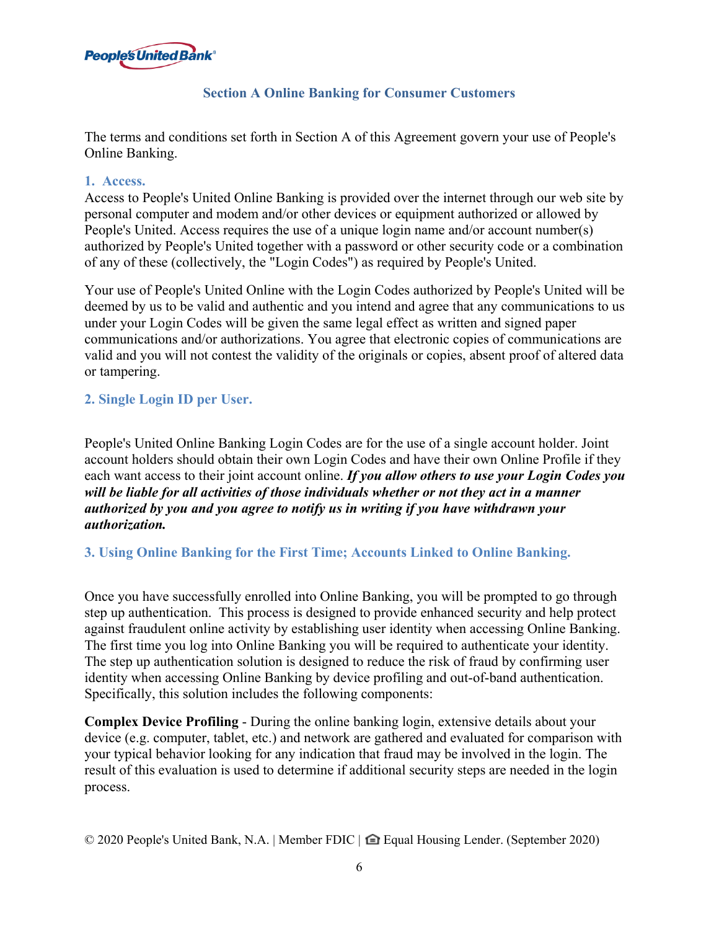<span id="page-5-0"></span>

## **Section A Online Banking for Consumer Customers**

The terms and conditions set forth in Section A of this Agreement govern your use of People's Online Banking.

#### <span id="page-5-1"></span>**1. Access.**

Access to People's United Online Banking is provided over the internet through our web site by personal computer and modem and/or other devices or equipment authorized or allowed by People's United. Access requires the use of a unique login name and/or account number(s) authorized by People's United together with a password or other security code or a combination of any of these (collectively, the "Login Codes") as required by People's United.

Your use of People's United Online with the Login Codes authorized by People's United will be deemed by us to be valid and authentic and you intend and agree that any communications to us under your Login Codes will be given the same legal effect as written and signed paper communications and/or authorizations. You agree that electronic copies of communications are valid and you will not contest the validity of the originals or copies, absent proof of altered data or tampering.

## <span id="page-5-2"></span>**2. Single Login ID per User.**

People's United Online Banking Login Codes are for the use of a single account holder. Joint account holders should obtain their own Login Codes and have their own Online Profile if they each want access to their joint account online. *If you allow others to use your Login Codes you will be liable for all activities of those individuals whether or not they act in a manner authorized by you and you agree to notify us in writing if you have withdrawn your authorization.*

<span id="page-5-3"></span>**3. Using Online Banking for the First Time; Accounts Linked to Online Banking.**

Once you have successfully enrolled into Online Banking, you will be prompted to go through step up authentication. This process is designed to provide enhanced security and help protect against fraudulent online activity by establishing user identity when accessing Online Banking. The first time you log into Online Banking you will be required to authenticate your identity. The step up authentication solution is designed to reduce the risk of fraud by confirming user identity when accessing Online Banking by device profiling and out-of-band authentication. Specifically, this solution includes the following components:

**Complex Device Profiling** - During the online banking login, extensive details about your device (e.g. computer, tablet, etc.) and network are gathered and evaluated for comparison with your typical behavior looking for any indication that fraud may be involved in the login. The result of this evaluation is used to determine if additional security steps are needed in the login process.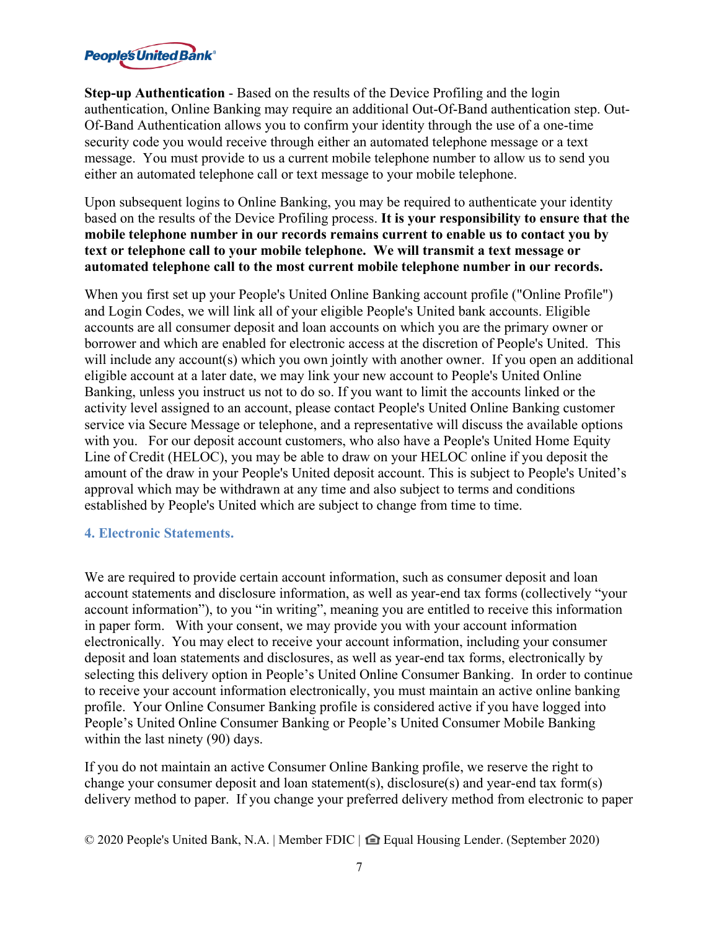

**Step-up Authentication** - Based on the results of the Device Profiling and the login authentication, Online Banking may require an additional Out-Of-Band authentication step. Out-Of-Band Authentication allows you to confirm your identity through the use of a one-time security code you would receive through either an automated telephone message or a text message. You must provide to us a current mobile telephone number to allow us to send you either an automated telephone call or text message to your mobile telephone.

Upon subsequent logins to Online Banking, you may be required to authenticate your identity based on the results of the Device Profiling process. **It is your responsibility to ensure that the mobile telephone number in our records remains current to enable us to contact you by text or telephone call to your mobile telephone. We will transmit a text message or automated telephone call to the most current mobile telephone number in our records.** 

When you first set up your People's United Online Banking account profile ("Online Profile") and Login Codes, we will link all of your eligible People's United bank accounts. Eligible accounts are all consumer deposit and loan accounts on which you are the primary owner or borrower and which are enabled for electronic access at the discretion of People's United. This will include any account(s) which you own jointly with another owner. If you open an additional eligible account at a later date, we may link your new account to People's United Online Banking, unless you instruct us not to do so. If you want to limit the accounts linked or the activity level assigned to an account, please contact People's United Online Banking customer service via Secure Message or telephone, and a representative will discuss the available options with you. For our deposit account customers, who also have a People's United Home Equity Line of Credit (HELOC), you may be able to draw on your HELOC online if you deposit the amount of the draw in your People's United deposit account. This is subject to People's United's approval which may be withdrawn at any time and also subject to terms and conditions established by People's United which are subject to change from time to time.

### <span id="page-6-0"></span>**4. Electronic Statements.**

We are required to provide certain account information, such as consumer deposit and loan account statements and disclosure information, as well as year-end tax forms (collectively "your account information"), to you "in writing", meaning you are entitled to receive this information in paper form. With your consent, we may provide you with your account information electronically. You may elect to receive your account information, including your consumer deposit and loan statements and disclosures, as well as year-end tax forms, electronically by selecting this delivery option in People's United Online Consumer Banking. In order to continue to receive your account information electronically, you must maintain an active online banking profile. Your Online Consumer Banking profile is considered active if you have logged into People's United Online Consumer Banking or People's United Consumer Mobile Banking within the last ninety (90) days.

If you do not maintain an active Consumer Online Banking profile, we reserve the right to change your consumer deposit and loan statement(s), disclosure(s) and year-end tax form(s) delivery method to paper. If you change your preferred delivery method from electronic to paper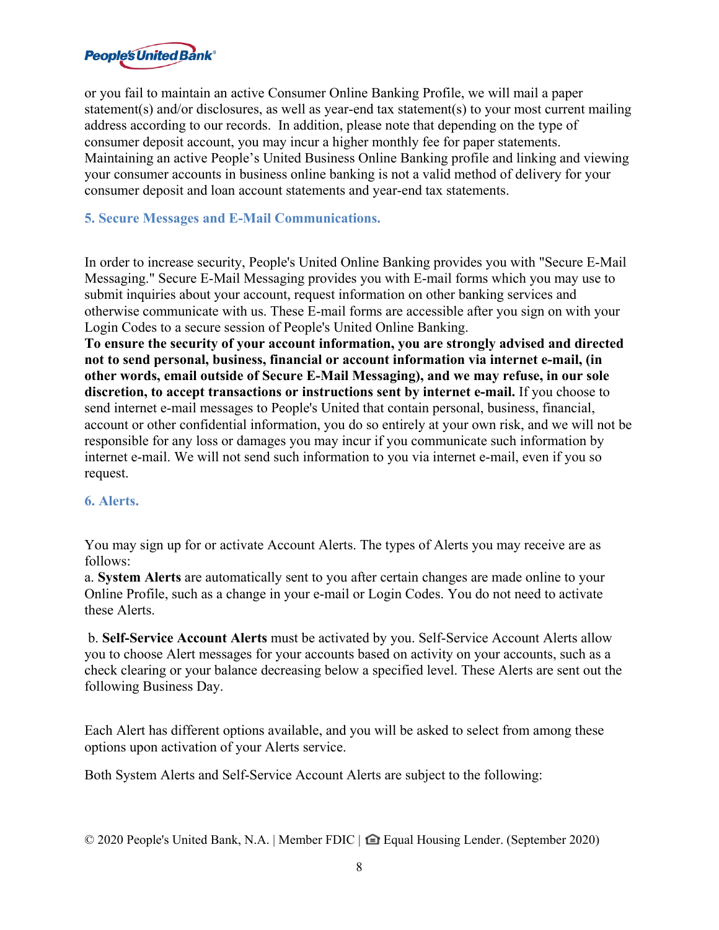

or you fail to maintain an active Consumer Online Banking Profile, we will mail a paper statement(s) and/or disclosures, as well as year-end tax statement(s) to your most current mailing address according to our records. In addition, please note that depending on the type of consumer deposit account, you may incur a higher monthly fee for paper statements. Maintaining an active People's United Business Online Banking profile and linking and viewing your consumer accounts in business online banking is not a valid method of delivery for your consumer deposit and loan account statements and year-end tax statements.

#### <span id="page-7-0"></span>**5. Secure Messages and E-Mail Communications.**

In order to increase security, People's United Online Banking provides you with "Secure E-Mail Messaging." Secure E-Mail Messaging provides you with E-mail forms which you may use to submit inquiries about your account, request information on other banking services and otherwise communicate with us. These E-mail forms are accessible after you sign on with your Login Codes to a secure session of People's United Online Banking.

**To ensure the security of your account information, you are strongly advised and directed not to send personal, business, financial or account information via internet e-mail, (in other words, email outside of Secure E-Mail Messaging), and we may refuse, in our sole discretion, to accept transactions or instructions sent by internet e-mail.** If you choose to send internet e-mail messages to People's United that contain personal, business, financial, account or other confidential information, you do so entirely at your own risk, and we will not be responsible for any loss or damages you may incur if you communicate such information by internet e-mail. We will not send such information to you via internet e-mail, even if you so request.

#### <span id="page-7-1"></span>**6. Alerts.**

You may sign up for or activate Account Alerts. The types of Alerts you may receive are as follows:

a. **System Alerts** are automatically sent to you after certain changes are made online to your Online Profile, such as a change in your e-mail or Login Codes. You do not need to activate these Alerts.

b. **Self-Service Account Alerts** must be activated by you. Self-Service Account Alerts allow you to choose Alert messages for your accounts based on activity on your accounts, such as a check clearing or your balance decreasing below a specified level. These Alerts are sent out the following Business Day.

Each Alert has different options available, and you will be asked to select from among these options upon activation of your Alerts service.

Both System Alerts and Self-Service Account Alerts are subject to the following: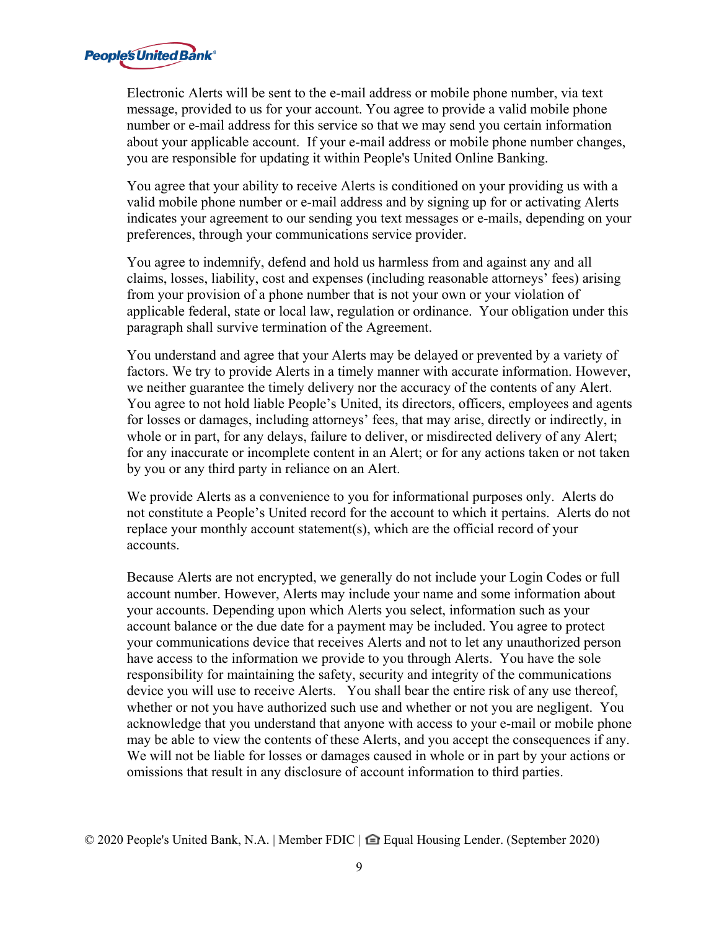**People's United Bank®** 

Electronic Alerts will be sent to the e-mail address or mobile phone number, via text message, provided to us for your account. You agree to provide a valid mobile phone number or e-mail address for this service so that we may send you certain information about your applicable account. If your e-mail address or mobile phone number changes, you are responsible for updating it within People's United Online Banking.

You agree that your ability to receive Alerts is conditioned on your providing us with a valid mobile phone number or e-mail address and by signing up for or activating Alerts indicates your agreement to our sending you text messages or e-mails, depending on your preferences, through your communications service provider.

You agree to indemnify, defend and hold us harmless from and against any and all claims, losses, liability, cost and expenses (including reasonable attorneys' fees) arising from your provision of a phone number that is not your own or your violation of applicable federal, state or local law, regulation or ordinance. Your obligation under this paragraph shall survive termination of the Agreement.

You understand and agree that your Alerts may be delayed or prevented by a variety of factors. We try to provide Alerts in a timely manner with accurate information. However, we neither guarantee the timely delivery nor the accuracy of the contents of any Alert. You agree to not hold liable People's United, its directors, officers, employees and agents for losses or damages, including attorneys' fees, that may arise, directly or indirectly, in whole or in part, for any delays, failure to deliver, or misdirected delivery of any Alert; for any inaccurate or incomplete content in an Alert; or for any actions taken or not taken by you or any third party in reliance on an Alert.

We provide Alerts as a convenience to you for informational purposes only. Alerts do not constitute a People's United record for the account to which it pertains. Alerts do not replace your monthly account statement(s), which are the official record of your accounts.

Because Alerts are not encrypted, we generally do not include your Login Codes or full account number. However, Alerts may include your name and some information about your accounts. Depending upon which Alerts you select, information such as your account balance or the due date for a payment may be included. You agree to protect your communications device that receives Alerts and not to let any unauthorized person have access to the information we provide to you through Alerts. You have the sole responsibility for maintaining the safety, security and integrity of the communications device you will use to receive Alerts. You shall bear the entire risk of any use thereof, whether or not you have authorized such use and whether or not you are negligent. You acknowledge that you understand that anyone with access to your e-mail or mobile phone may be able to view the contents of these Alerts, and you accept the consequences if any. We will not be liable for losses or damages caused in whole or in part by your actions or omissions that result in any disclosure of account information to third parties.

<sup>© 2020</sup> People's United Bank, N.A. | Member FDIC | Equal Housing Lender. (September 2020)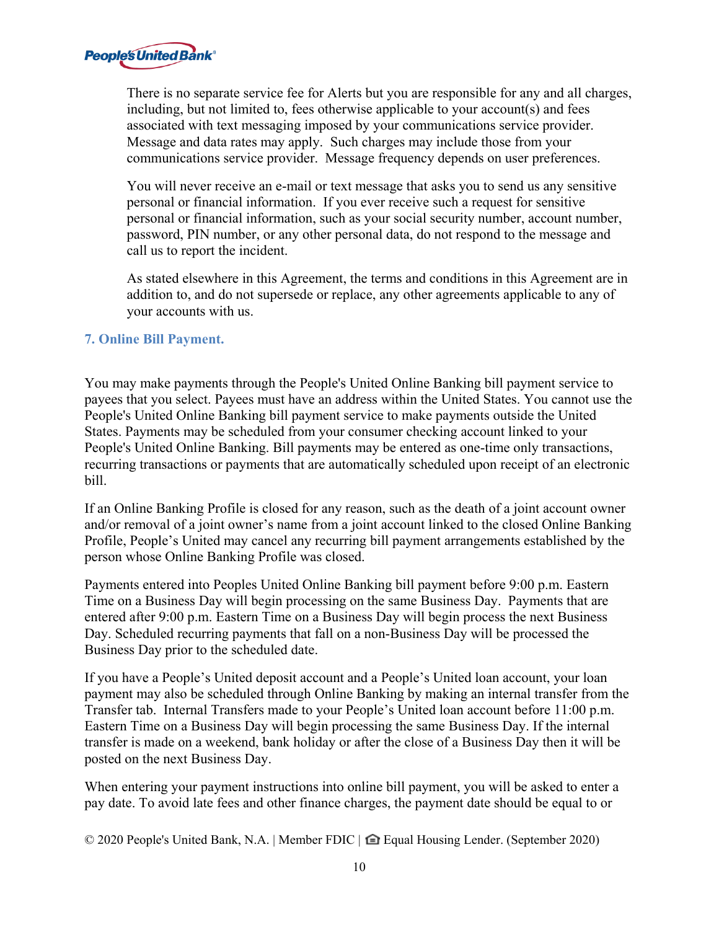**People's United Bank®** 

There is no separate service fee for Alerts but you are responsible for any and all charges, including, but not limited to, fees otherwise applicable to your account(s) and fees associated with text messaging imposed by your communications service provider. Message and data rates may apply. Such charges may include those from your communications service provider. Message frequency depends on user preferences.

You will never receive an e-mail or text message that asks you to send us any sensitive personal or financial information. If you ever receive such a request for sensitive personal or financial information, such as your social security number, account number, password, PIN number, or any other personal data, do not respond to the message and call us to report the incident.

As stated elsewhere in this Agreement, the terms and conditions in this Agreement are in addition to, and do not supersede or replace, any other agreements applicable to any of your accounts with us.

#### <span id="page-9-0"></span>**7. Online Bill Payment.**

You may make payments through the People's United Online Banking bill payment service to payees that you select. Payees must have an address within the United States. You cannot use the People's United Online Banking bill payment service to make payments outside the United States. Payments may be scheduled from your consumer checking account linked to your People's United Online Banking. Bill payments may be entered as one-time only transactions, recurring transactions or payments that are automatically scheduled upon receipt of an electronic bill.

If an Online Banking Profile is closed for any reason, such as the death of a joint account owner and/or removal of a joint owner's name from a joint account linked to the closed Online Banking Profile, People's United may cancel any recurring bill payment arrangements established by the person whose Online Banking Profile was closed.

Payments entered into Peoples United Online Banking bill payment before 9:00 p.m. Eastern Time on a Business Day will begin processing on the same Business Day. Payments that are entered after 9:00 p.m. Eastern Time on a Business Day will begin process the next Business Day. Scheduled recurring payments that fall on a non-Business Day will be processed the Business Day prior to the scheduled date.

If you have a People's United deposit account and a People's United loan account, your loan payment may also be scheduled through Online Banking by making an internal transfer from the Transfer tab. Internal Transfers made to your People's United loan account before 11:00 p.m. Eastern Time on a Business Day will begin processing the same Business Day. If the internal transfer is made on a weekend, bank holiday or after the close of a Business Day then it will be posted on the next Business Day.

When entering your payment instructions into online bill payment, you will be asked to enter a pay date. To avoid late fees and other finance charges, the payment date should be equal to or

<sup>© 2020</sup> People's United Bank, N.A. | Member FDIC | Equal Housing Lender. (September 2020)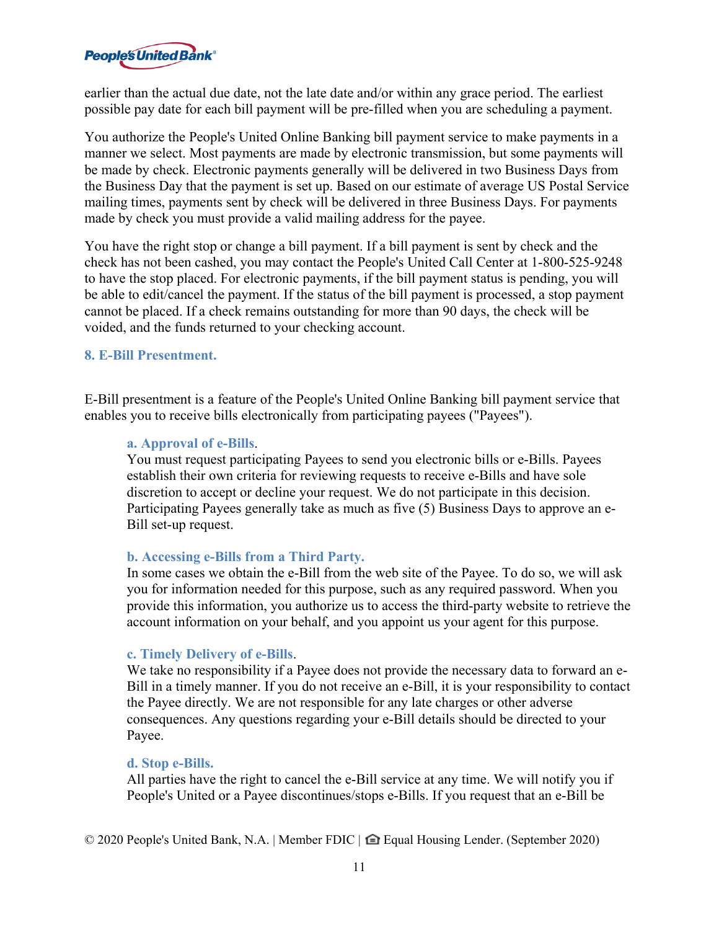

earlier than the actual due date, not the late date and/or within any grace period. The earliest possible pay date for each bill payment will be pre-filled when you are scheduling a payment.

You authorize the People's United Online Banking bill payment service to make payments in a manner we select. Most payments are made by electronic transmission, but some payments will be made by check. Electronic payments generally will be delivered in two Business Days from the Business Day that the payment is set up. Based on our estimate of average US Postal Service mailing times, payments sent by check will be delivered in three Business Days. For payments made by check you must provide a valid mailing address for the payee.

You have the right stop or change a bill payment. If a bill payment is sent by check and the check has not been cashed, you may contact the People's United Call Center at 1-800-525-9248 to have the stop placed. For electronic payments, if the bill payment status is pending, you will be able to edit/cancel the payment. If the status of the bill payment is processed, a stop payment cannot be placed. If a check remains outstanding for more than 90 days, the check will be voided, and the funds returned to your checking account.

#### <span id="page-10-0"></span>**8. E-Bill Presentment.**

<span id="page-10-1"></span>E-Bill presentment is a feature of the People's United Online Banking bill payment service that enables you to receive bills electronically from participating payees ("Payees").

#### **a. Approval of e-Bills**.

You must request participating Payees to send you electronic bills or e-Bills. Payees establish their own criteria for reviewing requests to receive e-Bills and have sole discretion to accept or decline your request. We do not participate in this decision. Participating Payees generally take as much as five (5) Business Days to approve an e-Bill set-up request.

#### **b. Accessing e-Bills from a Third Party.**

In some cases we obtain the e-Bill from the web site of the Payee. To do so, we will ask you for information needed for this purpose, such as any required password. When you provide this information, you authorize us to access the third-party website to retrieve the account information on your behalf, and you appoint us your agent for this purpose.

#### **c. Timely Delivery of e-Bills**.

We take no responsibility if a Payee does not provide the necessary data to forward an e-Bill in a timely manner. If you do not receive an e-Bill, it is your responsibility to contact the Payee directly. We are not responsible for any late charges or other adverse consequences. Any questions regarding your e-Bill details should be directed to your Payee.

#### <span id="page-10-2"></span>**d. Stop e-Bills.**

All parties have the right to cancel the e-Bill service at any time. We will notify you if People's United or a Payee discontinues/stops e-Bills. If you request that an e-Bill be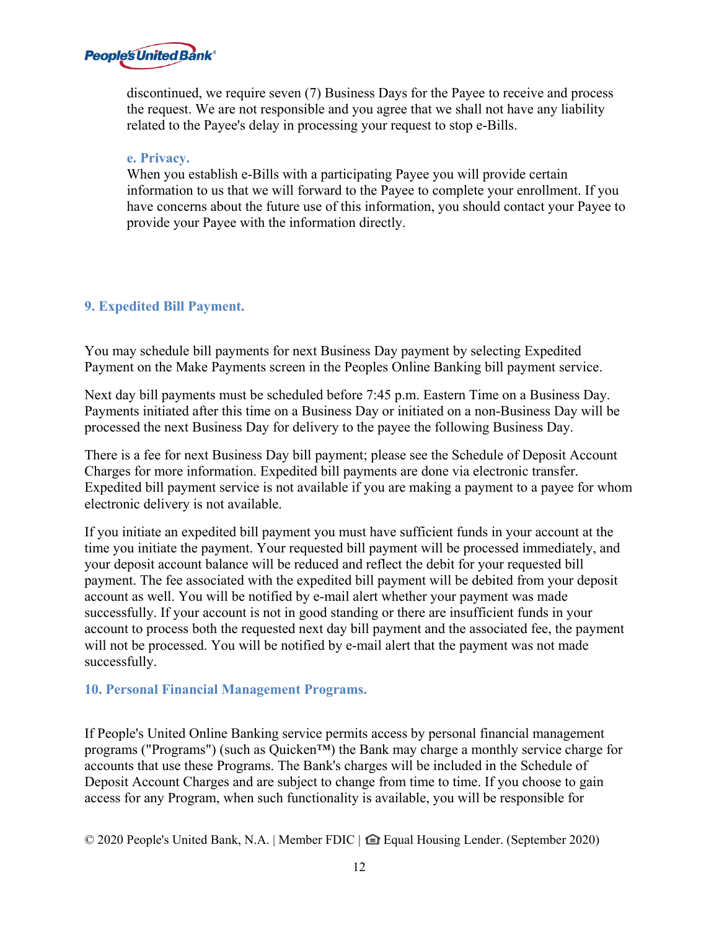**People's United Bank®** 

discontinued, we require seven (7) Business Days for the Payee to receive and process the request. We are not responsible and you agree that we shall not have any liability related to the Payee's delay in processing your request to stop e-Bills.

#### **e. Privacy.**

When you establish e-Bills with a participating Payee you will provide certain information to us that we will forward to the Payee to complete your enrollment. If you have concerns about the future use of this information, you should contact your Payee to provide your Payee with the information directly.

#### <span id="page-11-0"></span>**9. Expedited Bill Payment.**

You may schedule bill payments for next Business Day payment by selecting Expedited Payment on the Make Payments screen in the Peoples Online Banking bill payment service.

Next day bill payments must be scheduled before 7:45 p.m. Eastern Time on a Business Day. Payments initiated after this time on a Business Day or initiated on a non-Business Day will be processed the next Business Day for delivery to the payee the following Business Day.

There is a fee for next Business Day bill payment; please see the Schedule of Deposit Account Charges for more information. Expedited bill payments are done via electronic transfer. Expedited bill payment service is not available if you are making a payment to a payee for whom electronic delivery is not available.

If you initiate an expedited bill payment you must have sufficient funds in your account at the time you initiate the payment. Your requested bill payment will be processed immediately, and your deposit account balance will be reduced and reflect the debit for your requested bill payment. The fee associated with the expedited bill payment will be debited from your deposit account as well. You will be notified by e-mail alert whether your payment was made successfully. If your account is not in good standing or there are insufficient funds in your account to process both the requested next day bill payment and the associated fee, the payment will not be processed. You will be notified by e-mail alert that the payment was not made successfully.

#### <span id="page-11-1"></span>**10. Personal Financial Management Programs.**

If People's United Online Banking service permits access by personal financial management programs ("Programs") (such as Quicken™) the Bank may charge a monthly service charge for accounts that use these Programs. The Bank's charges will be included in the Schedule of Deposit Account Charges and are subject to change from time to time. If you choose to gain access for any Program, when such functionality is available, you will be responsible for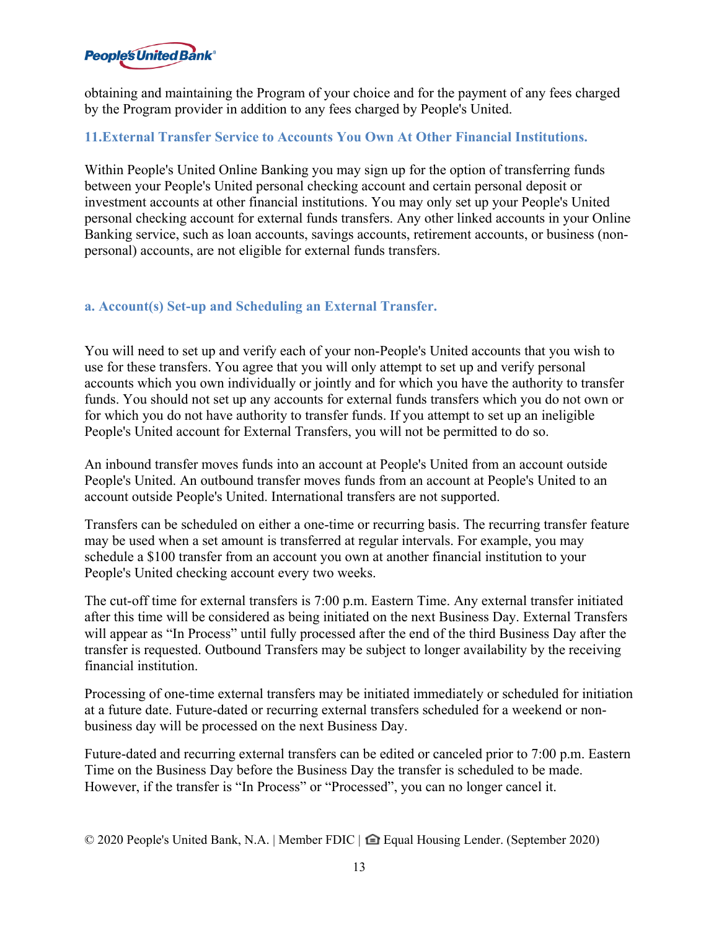

obtaining and maintaining the Program of your choice and for the payment of any fees charged by the Program provider in addition to any fees charged by People's United.

## <span id="page-12-0"></span>**11.External Transfer Service to Accounts You Own At Other Financial Institutions.**

Within People's United Online Banking you may sign up for the option of transferring funds between your People's United personal checking account and certain personal deposit or investment accounts at other financial institutions. You may only set up your People's United personal checking account for external funds transfers. Any other linked accounts in your Online Banking service, such as loan accounts, savings accounts, retirement accounts, or business (nonpersonal) accounts, are not eligible for external funds transfers.

### <span id="page-12-1"></span>**a. Account(s) Set-up and Scheduling an External Transfer.**

You will need to set up and verify each of your non-People's United accounts that you wish to use for these transfers. You agree that you will only attempt to set up and verify personal accounts which you own individually or jointly and for which you have the authority to transfer funds. You should not set up any accounts for external funds transfers which you do not own or for which you do not have authority to transfer funds. If you attempt to set up an ineligible People's United account for External Transfers, you will not be permitted to do so.

An inbound transfer moves funds into an account at People's United from an account outside People's United. An outbound transfer moves funds from an account at People's United to an account outside People's United. International transfers are not supported.

Transfers can be scheduled on either a one-time or recurring basis. The recurring transfer feature may be used when a set amount is transferred at regular intervals. For example, you may schedule a \$100 transfer from an account you own at another financial institution to your People's United checking account every two weeks.

The cut-off time for external transfers is 7:00 p.m. Eastern Time. Any external transfer initiated after this time will be considered as being initiated on the next Business Day. External Transfers will appear as "In Process" until fully processed after the end of the third Business Day after the transfer is requested. Outbound Transfers may be subject to longer availability by the receiving financial institution.

Processing of one-time external transfers may be initiated immediately or scheduled for initiation at a future date. Future-dated or recurring external transfers scheduled for a weekend or nonbusiness day will be processed on the next Business Day.

Future-dated and recurring external transfers can be edited or canceled prior to 7:00 p.m. Eastern Time on the Business Day before the Business Day the transfer is scheduled to be made. However, if the transfer is "In Process" or "Processed", you can no longer cancel it.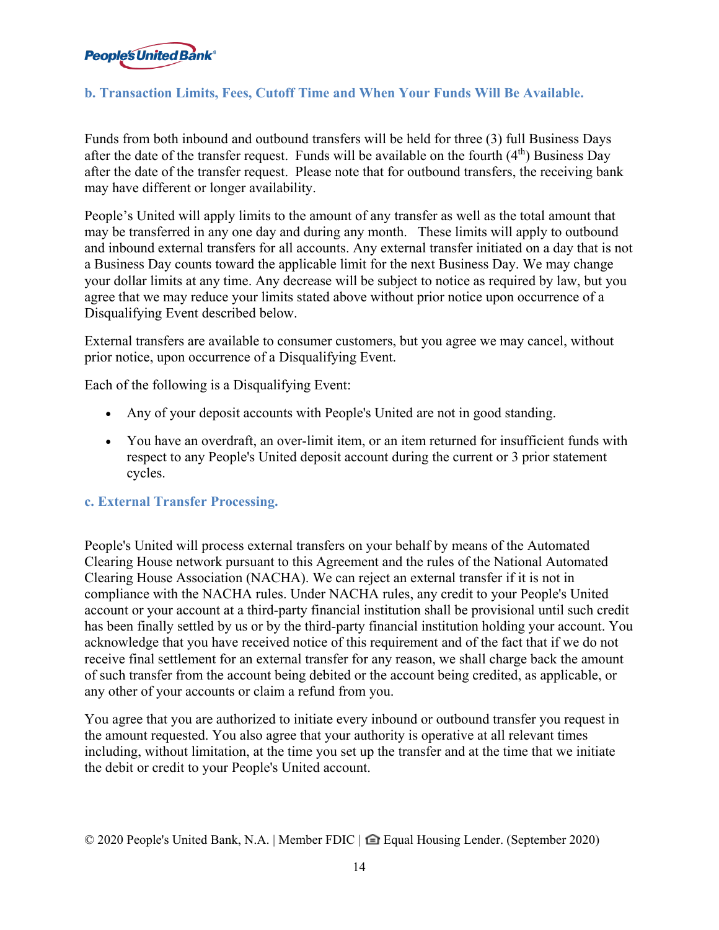

# <span id="page-13-0"></span>**b. Transaction Limits, Fees, Cutoff Time and When Your Funds Will Be Available.**

Funds from both inbound and outbound transfers will be held for three (3) full Business Days after the date of the transfer request. Funds will be available on the fourth  $(4<sup>th</sup>)$  Business Day after the date of the transfer request. Please note that for outbound transfers, the receiving bank may have different or longer availability.

People's United will apply limits to the amount of any transfer as well as the total amount that may be transferred in any one day and during any month. These limits will apply to outbound and inbound external transfers for all accounts. Any external transfer initiated on a day that is not a Business Day counts toward the applicable limit for the next Business Day. We may change your dollar limits at any time. Any decrease will be subject to notice as required by law, but you agree that we may reduce your limits stated above without prior notice upon occurrence of a Disqualifying Event described below.

External transfers are available to consumer customers, but you agree we may cancel, without prior notice, upon occurrence of a Disqualifying Event.

Each of the following is a Disqualifying Event:

- Any of your deposit accounts with People's United are not in good standing.
- You have an overdraft, an over-limit item, or an item returned for insufficient funds with respect to any People's United deposit account during the current or 3 prior statement cycles.

### <span id="page-13-1"></span>**c. External Transfer Processing.**

People's United will process external transfers on your behalf by means of the Automated Clearing House network pursuant to this Agreement and the rules of the National Automated Clearing House Association (NACHA). We can reject an external transfer if it is not in compliance with the NACHA rules. Under NACHA rules, any credit to your People's United account or your account at a third-party financial institution shall be provisional until such credit has been finally settled by us or by the third-party financial institution holding your account. You acknowledge that you have received notice of this requirement and of the fact that if we do not receive final settlement for an external transfer for any reason, we shall charge back the amount of such transfer from the account being debited or the account being credited, as applicable, or any other of your accounts or claim a refund from you.

You agree that you are authorized to initiate every inbound or outbound transfer you request in the amount requested. You also agree that your authority is operative at all relevant times including, without limitation, at the time you set up the transfer and at the time that we initiate the debit or credit to your People's United account.

<sup>© 2020</sup> People's United Bank, N.A. | Member FDIC | Equal Housing Lender. (September 2020)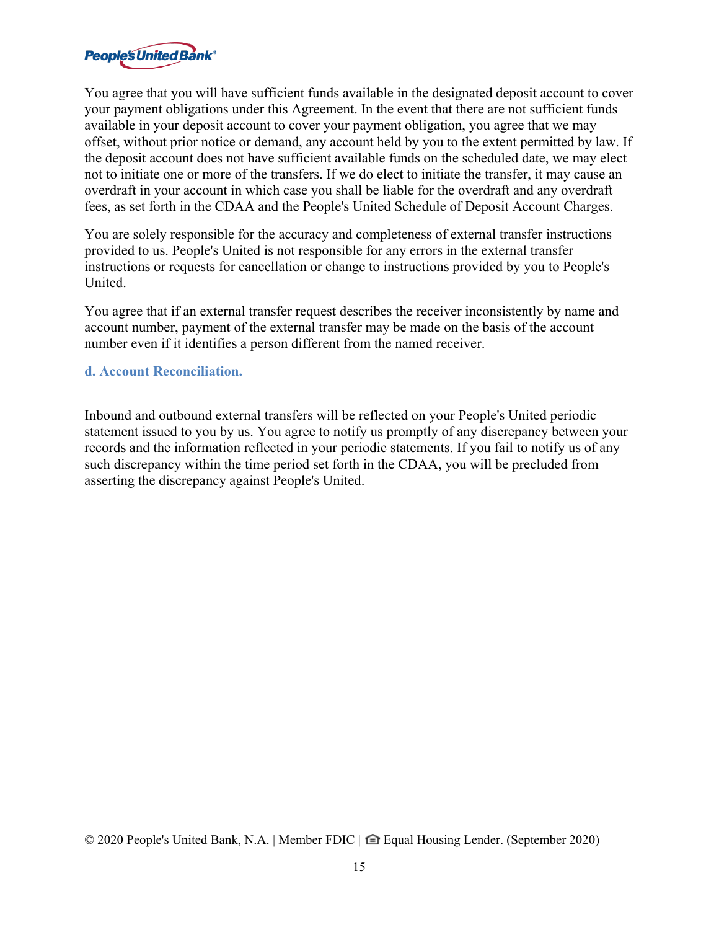

You agree that you will have sufficient funds available in the designated deposit account to cover your payment obligations under this Agreement. In the event that there are not sufficient funds available in your deposit account to cover your payment obligation, you agree that we may offset, without prior notice or demand, any account held by you to the extent permitted by law. If the deposit account does not have sufficient available funds on the scheduled date, we may elect not to initiate one or more of the transfers. If we do elect to initiate the transfer, it may cause an overdraft in your account in which case you shall be liable for the overdraft and any overdraft fees, as set forth in the CDAA and the People's United Schedule of Deposit Account Charges.

You are solely responsible for the accuracy and completeness of external transfer instructions provided to us. People's United is not responsible for any errors in the external transfer instructions or requests for cancellation or change to instructions provided by you to People's United.

You agree that if an external transfer request describes the receiver inconsistently by name and account number, payment of the external transfer may be made on the basis of the account number even if it identifies a person different from the named receiver.

### <span id="page-14-0"></span>**d. Account Reconciliation.**

Inbound and outbound external transfers will be reflected on your People's United periodic statement issued to you by us. You agree to notify us promptly of any discrepancy between your records and the information reflected in your periodic statements. If you fail to notify us of any such discrepancy within the time period set forth in the CDAA, you will be precluded from asserting the discrepancy against People's United.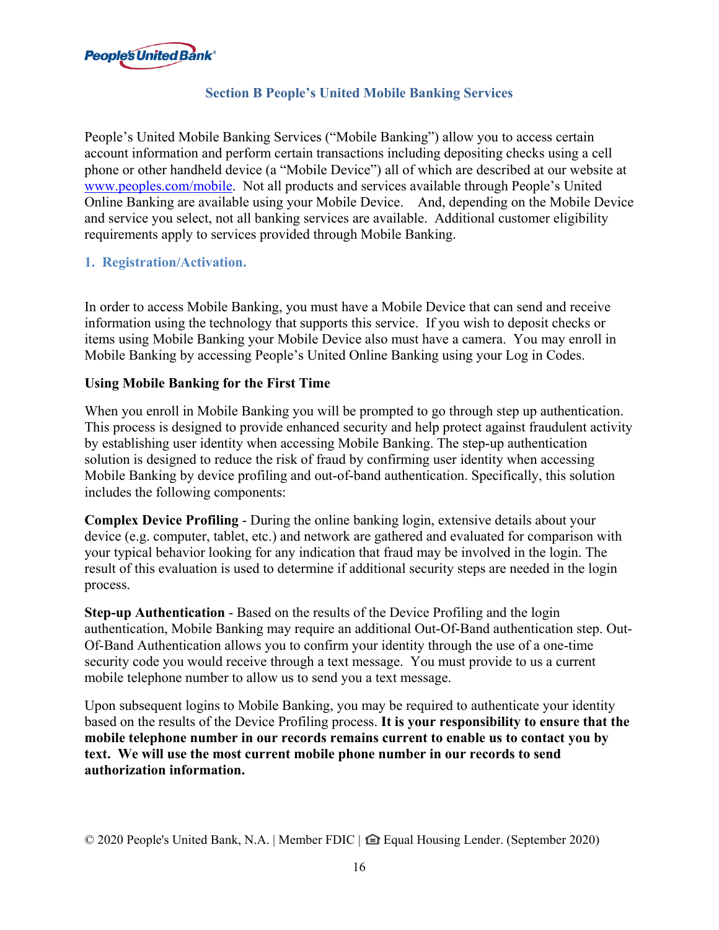<span id="page-15-0"></span>

## **Section B People's United Mobile Banking Services**

People's United Mobile Banking Services ("Mobile Banking") allow you to access certain account information and perform certain transactions including depositing checks using a cell phone or other handheld device (a "Mobile Device") all of which are described at our website at [www.peoples.com/mobile.](http://www.peoples.com/mobile) Not all products and services available through People's United Online Banking are available using your Mobile Device. And, depending on the Mobile Device and service you select, not all banking services are available. Additional customer eligibility requirements apply to services provided through Mobile Banking.

## <span id="page-15-1"></span>**1. Registration/Activation.**

In order to access Mobile Banking, you must have a Mobile Device that can send and receive information using the technology that supports this service. If you wish to deposit checks or items using Mobile Banking your Mobile Device also must have a camera. You may enroll in Mobile Banking by accessing People's United Online Banking using your Log in Codes.

### **Using Mobile Banking for the First Time**

When you enroll in Mobile Banking you will be prompted to go through step up authentication. This process is designed to provide enhanced security and help protect against fraudulent activity by establishing user identity when accessing Mobile Banking. The step-up authentication solution is designed to reduce the risk of fraud by confirming user identity when accessing Mobile Banking by device profiling and out-of-band authentication. Specifically, this solution includes the following components:

**Complex Device Profiling** - During the online banking login, extensive details about your device (e.g. computer, tablet, etc.) and network are gathered and evaluated for comparison with your typical behavior looking for any indication that fraud may be involved in the login. The result of this evaluation is used to determine if additional security steps are needed in the login process.

**Step-up Authentication** - Based on the results of the Device Profiling and the login authentication, Mobile Banking may require an additional Out-Of-Band authentication step. Out-Of-Band Authentication allows you to confirm your identity through the use of a one-time security code you would receive through a text message. You must provide to us a current mobile telephone number to allow us to send you a text message.

Upon subsequent logins to Mobile Banking, you may be required to authenticate your identity based on the results of the Device Profiling process. **It is your responsibility to ensure that the mobile telephone number in our records remains current to enable us to contact you by text. We will use the most current mobile phone number in our records to send authorization information.**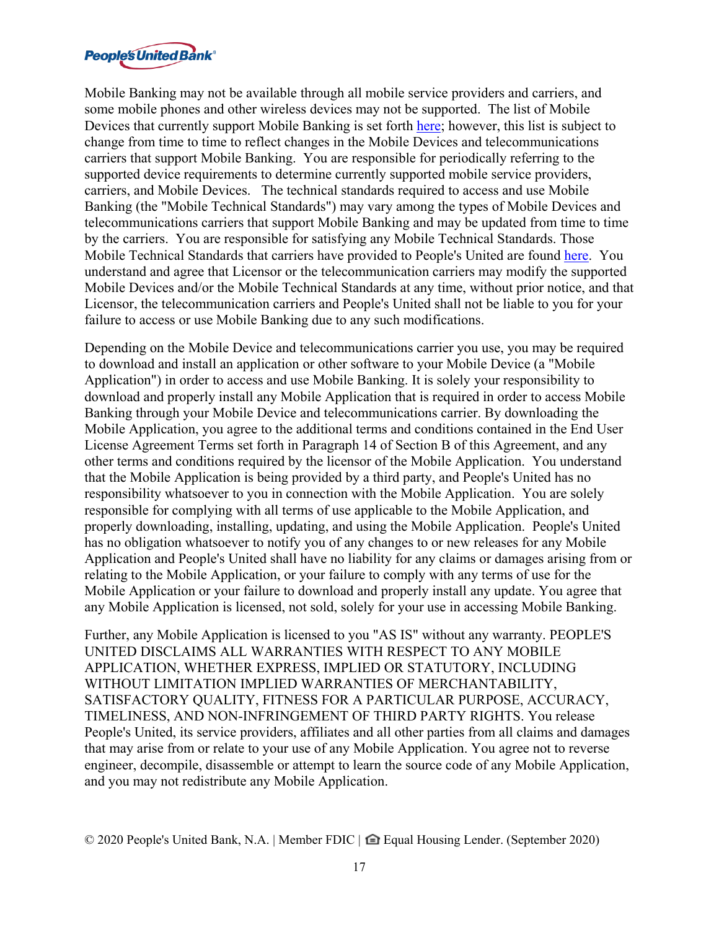

Mobile Banking may not be available through all mobile service providers and carriers, and some mobile phones and other wireless devices may not be supported. The list of Mobile Devices that currently support Mobile Banking is set forth [here;](https://www.peoples.com/customer-support/online-system-requirements#Mobile) however, this list is subject to change from time to time to reflect changes in the Mobile Devices and telecommunications carriers that support Mobile Banking. You are responsible for periodically referring to the supported device requirements to determine currently supported mobile service providers, carriers, and Mobile Devices. The technical standards required to access and use Mobile Banking (the "Mobile Technical Standards") may vary among the types of Mobile Devices and telecommunications carriers that support Mobile Banking and may be updated from time to time by the carriers. You are responsible for satisfying any Mobile Technical Standards. Those Mobile Technical Standards that carriers have provided to People's United are found [here.](https://www.peoples.com/customer-support/online-system-requirements#Mobile) You understand and agree that Licensor or the telecommunication carriers may modify the supported Mobile Devices and/or the Mobile Technical Standards at any time, without prior notice, and that Licensor, the telecommunication carriers and People's United shall not be liable to you for your failure to access or use Mobile Banking due to any such modifications.

Depending on the Mobile Device and telecommunications carrier you use, you may be required to download and install an application or other software to your Mobile Device (a "Mobile Application") in order to access and use Mobile Banking. It is solely your responsibility to download and properly install any Mobile Application that is required in order to access Mobile Banking through your Mobile Device and telecommunications carrier. By downloading the Mobile Application, you agree to the additional terms and conditions contained in the End User License Agreement Terms set forth in Paragraph 14 of Section B of this Agreement, and any other terms and conditions required by the licensor of the Mobile Application. You understand that the Mobile Application is being provided by a third party, and People's United has no responsibility whatsoever to you in connection with the Mobile Application. You are solely responsible for complying with all terms of use applicable to the Mobile Application, and properly downloading, installing, updating, and using the Mobile Application. People's United has no obligation whatsoever to notify you of any changes to or new releases for any Mobile Application and People's United shall have no liability for any claims or damages arising from or relating to the Mobile Application, or your failure to comply with any terms of use for the Mobile Application or your failure to download and properly install any update. You agree that any Mobile Application is licensed, not sold, solely for your use in accessing Mobile Banking.

Further, any Mobile Application is licensed to you "AS IS" without any warranty. PEOPLE'S UNITED DISCLAIMS ALL WARRANTIES WITH RESPECT TO ANY MOBILE APPLICATION, WHETHER EXPRESS, IMPLIED OR STATUTORY, INCLUDING WITHOUT LIMITATION IMPLIED WARRANTIES OF MERCHANTABILITY, SATISFACTORY QUALITY, FITNESS FOR A PARTICULAR PURPOSE, ACCURACY, TIMELINESS, AND NON-INFRINGEMENT OF THIRD PARTY RIGHTS. You release People's United, its service providers, affiliates and all other parties from all claims and damages that may arise from or relate to your use of any Mobile Application. You agree not to reverse engineer, decompile, disassemble or attempt to learn the source code of any Mobile Application, and you may not redistribute any Mobile Application.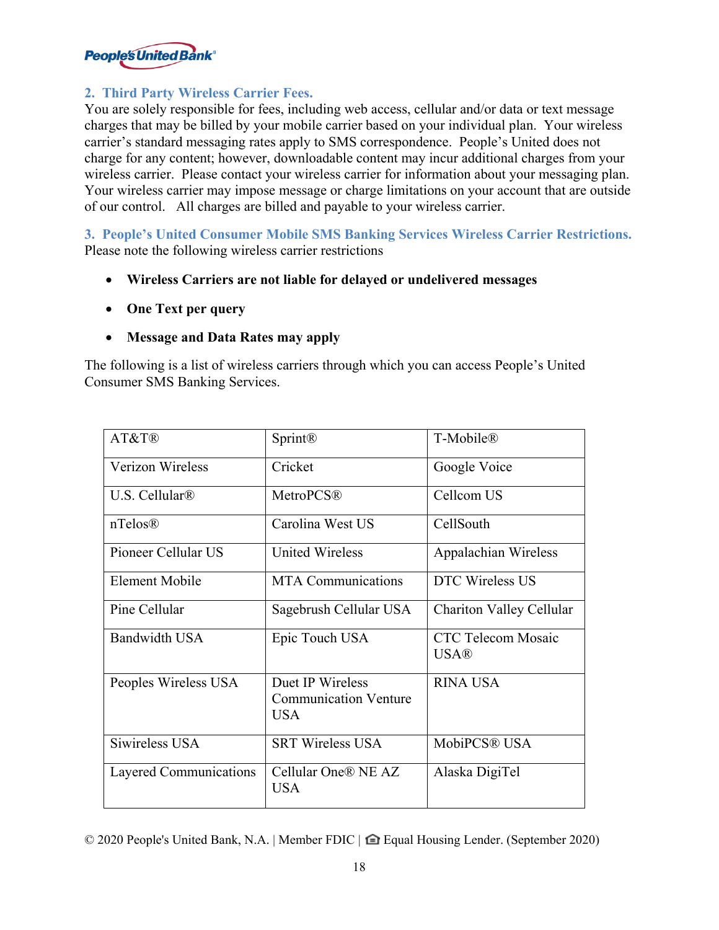

# <span id="page-17-0"></span>**2. Third Party Wireless Carrier Fees.**

You are solely responsible for fees, including web access, cellular and/or data or text message charges that may be billed by your mobile carrier based on your individual plan. Your wireless carrier's standard messaging rates apply to SMS correspondence. People's United does not charge for any content; however, downloadable content may incur additional charges from your wireless carrier. Please contact your wireless carrier for information about your messaging plan. Your wireless carrier may impose message or charge limitations on your account that are outside of our control. All charges are billed and payable to your wireless carrier.

<span id="page-17-1"></span>**3. People's United Consumer Mobile SMS Banking Services Wireless Carrier Restrictions.** Please note the following wireless carrier restrictions

- **Wireless Carriers are not liable for delayed or undelivered messages**
- **One Text per query**
- **Message and Data Rates may apply**

The following is a list of wireless carriers through which you can access People's United Consumer SMS Banking Services.

| AT&T@                      | Sprint®                                                        | T-Mobile®                                |
|----------------------------|----------------------------------------------------------------|------------------------------------------|
| Verizon Wireless           | Cricket                                                        | Google Voice                             |
| U.S. Cellular <sup>®</sup> | MetroPCS®                                                      | Cellcom US                               |
| nTelos®                    | Carolina West US                                               | CellSouth                                |
| Pioneer Cellular US        | <b>United Wireless</b>                                         | Appalachian Wireless                     |
| Element Mobile             | <b>MTA Communications</b>                                      | DTC Wireless US                          |
| Pine Cellular              | Sagebrush Cellular USA                                         | Chariton Valley Cellular                 |
| <b>Bandwidth USA</b>       | Epic Touch USA                                                 | <b>CTC Telecom Mosaic</b><br><b>USA®</b> |
| Peoples Wireless USA       | Duet IP Wireless<br><b>Communication Venture</b><br><b>USA</b> | RINA USA                                 |
| Siwireless USA             | <b>SRT Wireless USA</b>                                        | MobiPCS <sup>®</sup> USA                 |
| Layered Communications     | Cellular One® NE AZ<br><b>USA</b>                              | Alaska DigiTel                           |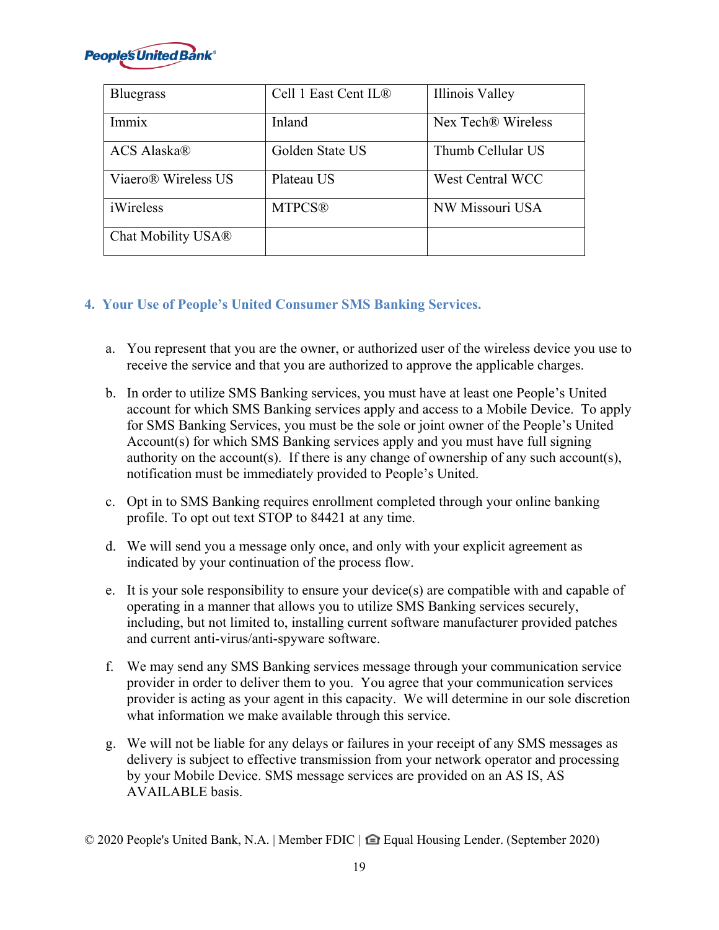

| <b>Bluegrass</b>                | Cell 1 East Cent IL <sup>®</sup> | Illinois Valley                |
|---------------------------------|----------------------------------|--------------------------------|
| Immix                           | Inland                           | Nex Tech <sup>®</sup> Wireless |
| ACS Alaska®                     | Golden State US                  | Thumb Cellular US              |
| Viaero <sup>®</sup> Wireless US | Plateau US                       | West Central WCC               |
| iWireless                       | <b>MTPCS®</b>                    | NW Missouri USA                |
| Chat Mobility USA®              |                                  |                                |

# <span id="page-18-0"></span>**4. Your Use of People's United Consumer SMS Banking Services.**

- a. You represent that you are the owner, or authorized user of the wireless device you use to receive the service and that you are authorized to approve the applicable charges.
- b. In order to utilize SMS Banking services, you must have at least one People's United account for which SMS Banking services apply and access to a Mobile Device. To apply for SMS Banking Services, you must be the sole or joint owner of the People's United Account(s) for which SMS Banking services apply and you must have full signing authority on the account(s). If there is any change of ownership of any such account(s), notification must be immediately provided to People's United.
- c. Opt in to SMS Banking requires enrollment completed through your online banking profile. To opt out text STOP to 84421 at any time.
- d. We will send you a message only once, and only with your explicit agreement as indicated by your continuation of the process flow.
- e. It is your sole responsibility to ensure your device(s) are compatible with and capable of operating in a manner that allows you to utilize SMS Banking services securely, including, but not limited to, installing current software manufacturer provided patches and current anti-virus/anti-spyware software.
- f. We may send any SMS Banking services message through your communication service provider in order to deliver them to you. You agree that your communication services provider is acting as your agent in this capacity. We will determine in our sole discretion what information we make available through this service.
- g. We will not be liable for any delays or failures in your receipt of any SMS messages as delivery is subject to effective transmission from your network operator and processing by your Mobile Device. SMS message services are provided on an AS IS, AS AVAILABLE basis.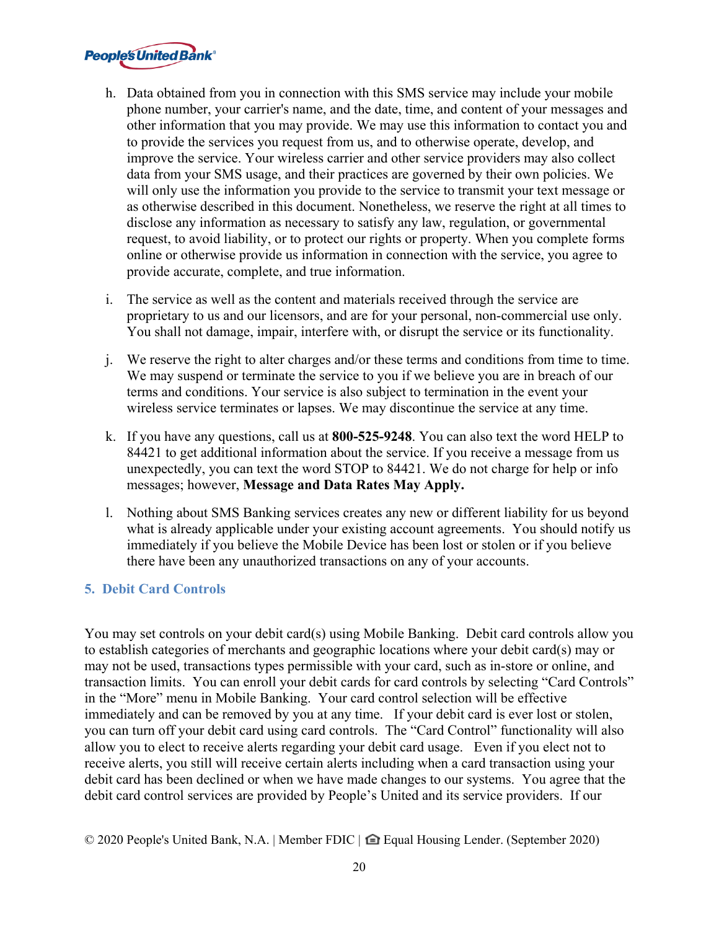**People's United Bank®** 

- h. Data obtained from you in connection with this SMS service may include your mobile phone number, your carrier's name, and the date, time, and content of your messages and other information that you may provide. We may use this information to contact you and to provide the services you request from us, and to otherwise operate, develop, and improve the service. Your wireless carrier and other service providers may also collect data from your SMS usage, and their practices are governed by their own policies. We will only use the information you provide to the service to transmit your text message or as otherwise described in this document. Nonetheless, we reserve the right at all times to disclose any information as necessary to satisfy any law, regulation, or governmental request, to avoid liability, or to protect our rights or property. When you complete forms online or otherwise provide us information in connection with the service, you agree to provide accurate, complete, and true information.
- i. The service as well as the content and materials received through the service are proprietary to us and our licensors, and are for your personal, non-commercial use only. You shall not damage, impair, interfere with, or disrupt the service or its functionality.
- j. We reserve the right to alter charges and/or these terms and conditions from time to time. We may suspend or terminate the service to you if we believe you are in breach of our terms and conditions. Your service is also subject to termination in the event your wireless service terminates or lapses. We may discontinue the service at any time.
- k. If you have any questions, call us at **800-525-9248**. You can also text the word HELP to 84421 to get additional information about the service. If you receive a message from us unexpectedly, you can text the word STOP to 84421. We do not charge for help or info messages; however, **Message and Data Rates May Apply.**
- l. Nothing about SMS Banking services creates any new or different liability for us beyond what is already applicable under your existing account agreements. You should notify us immediately if you believe the Mobile Device has been lost or stolen or if you believe there have been any unauthorized transactions on any of your accounts.

### <span id="page-19-0"></span>**5. Debit Card Controls**

You may set controls on your debit card(s) using Mobile Banking. Debit card controls allow you to establish categories of merchants and geographic locations where your debit card(s) may or may not be used, transactions types permissible with your card, such as in-store or online, and transaction limits. You can enroll your debit cards for card controls by selecting "Card Controls" in the "More" menu in Mobile Banking. Your card control selection will be effective immediately and can be removed by you at any time. If your debit card is ever lost or stolen, you can turn off your debit card using card controls. The "Card Control" functionality will also allow you to elect to receive alerts regarding your debit card usage. Even if you elect not to receive alerts, you still will receive certain alerts including when a card transaction using your debit card has been declined or when we have made changes to our systems. You agree that the debit card control services are provided by People's United and its service providers. If our

<sup>© 2020</sup> People's United Bank, N.A. | Member FDIC | Equal Housing Lender. (September 2020)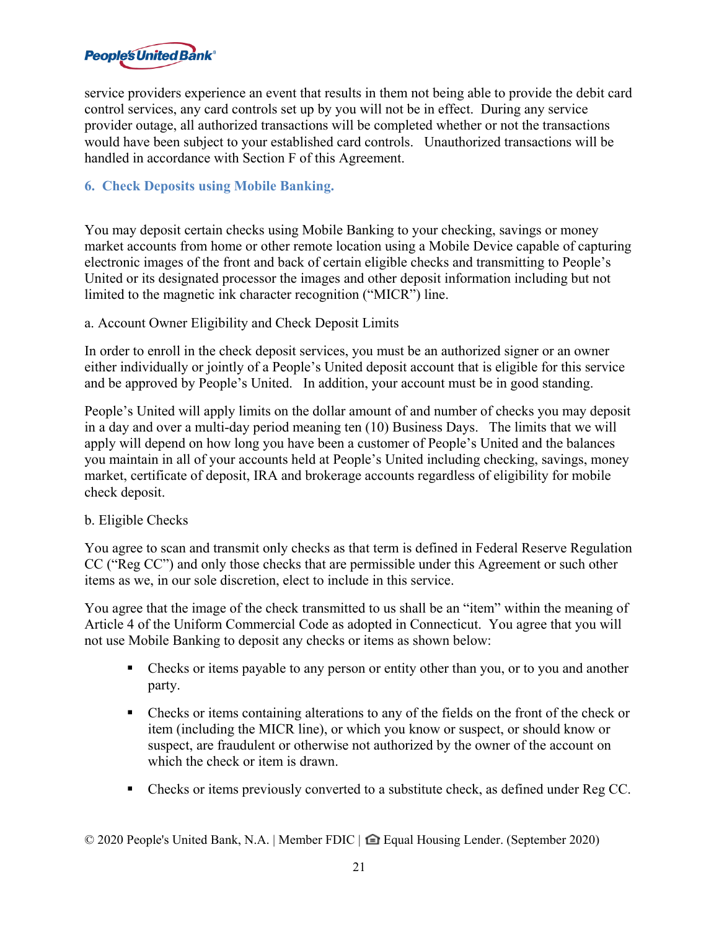

service providers experience an event that results in them not being able to provide the debit card control services, any card controls set up by you will not be in effect. During any service provider outage, all authorized transactions will be completed whether or not the transactions would have been subject to your established card controls. Unauthorized transactions will be handled in accordance with Section F of this Agreement.

# <span id="page-20-0"></span>**6. Check Deposits using Mobile Banking.**

You may deposit certain checks using Mobile Banking to your checking, savings or money market accounts from home or other remote location using a Mobile Device capable of capturing electronic images of the front and back of certain eligible checks and transmitting to People's United or its designated processor the images and other deposit information including but not limited to the magnetic ink character recognition ("MICR") line.

a. Account Owner Eligibility and Check Deposit Limits

In order to enroll in the check deposit services, you must be an authorized signer or an owner either individually or jointly of a People's United deposit account that is eligible for this service and be approved by People's United. In addition, your account must be in good standing.

People's United will apply limits on the dollar amount of and number of checks you may deposit in a day and over a multi-day period meaning ten (10) Business Days. The limits that we will apply will depend on how long you have been a customer of People's United and the balances you maintain in all of your accounts held at People's United including checking, savings, money market, certificate of deposit, IRA and brokerage accounts regardless of eligibility for mobile check deposit.

### b. Eligible Checks

You agree to scan and transmit only checks as that term is defined in Federal Reserve Regulation CC ("Reg CC") and only those checks that are permissible under this Agreement or such other items as we, in our sole discretion, elect to include in this service.

You agree that the image of the check transmitted to us shall be an "item" within the meaning of Article 4 of the Uniform Commercial Code as adopted in Connecticut. You agree that you will not use Mobile Banking to deposit any checks or items as shown below:

- Checks or items payable to any person or entity other than you, or to you and another party.
- Checks or items containing alterations to any of the fields on the front of the check or item (including the MICR line), or which you know or suspect, or should know or suspect, are fraudulent or otherwise not authorized by the owner of the account on which the check or item is drawn.
- Checks or items previously converted to a substitute check, as defined under Reg CC.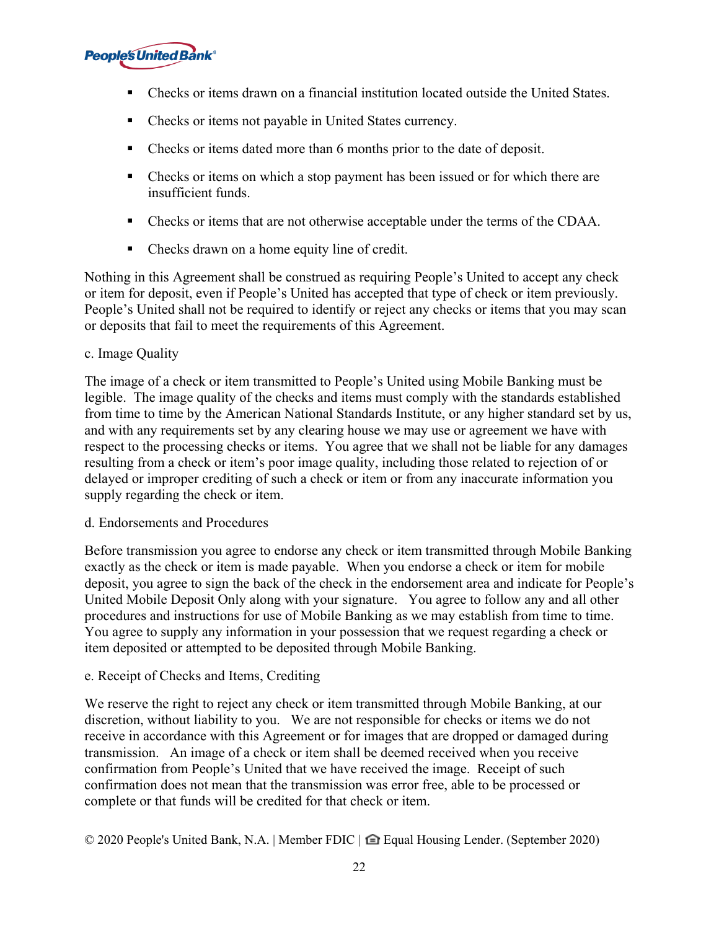**People's United Bank®** 

- Checks or items drawn on a financial institution located outside the United States.
- Checks or items not payable in United States currency.
- Checks or items dated more than 6 months prior to the date of deposit.
- Checks or items on which a stop payment has been issued or for which there are insufficient funds.
- Checks or items that are not otherwise acceptable under the terms of the CDAA.
- Checks drawn on a home equity line of credit.

Nothing in this Agreement shall be construed as requiring People's United to accept any check or item for deposit, even if People's United has accepted that type of check or item previously. People's United shall not be required to identify or reject any checks or items that you may scan or deposits that fail to meet the requirements of this Agreement.

#### c. Image Quality

The image of a check or item transmitted to People's United using Mobile Banking must be legible. The image quality of the checks and items must comply with the standards established from time to time by the American National Standards Institute, or any higher standard set by us, and with any requirements set by any clearing house we may use or agreement we have with respect to the processing checks or items. You agree that we shall not be liable for any damages resulting from a check or item's poor image quality, including those related to rejection of or delayed or improper crediting of such a check or item or from any inaccurate information you supply regarding the check or item.

#### d. Endorsements and Procedures

Before transmission you agree to endorse any check or item transmitted through Mobile Banking exactly as the check or item is made payable. When you endorse a check or item for mobile deposit, you agree to sign the back of the check in the endorsement area and indicate for People's United Mobile Deposit Only along with your signature. You agree to follow any and all other procedures and instructions for use of Mobile Banking as we may establish from time to time. You agree to supply any information in your possession that we request regarding a check or item deposited or attempted to be deposited through Mobile Banking.

### e. Receipt of Checks and Items, Crediting

We reserve the right to reject any check or item transmitted through Mobile Banking, at our discretion, without liability to you. We are not responsible for checks or items we do not receive in accordance with this Agreement or for images that are dropped or damaged during transmission. An image of a check or item shall be deemed received when you receive confirmation from People's United that we have received the image. Receipt of such confirmation does not mean that the transmission was error free, able to be processed or complete or that funds will be credited for that check or item.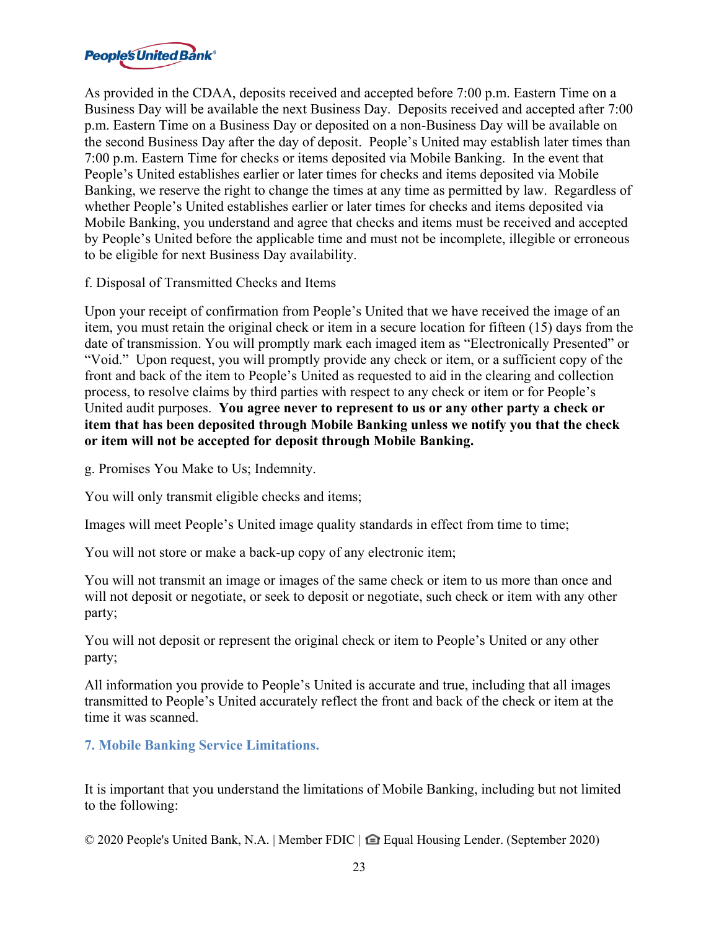

As provided in the CDAA, deposits received and accepted before 7:00 p.m. Eastern Time on a Business Day will be available the next Business Day. Deposits received and accepted after 7:00 p.m. Eastern Time on a Business Day or deposited on a non-Business Day will be available on the second Business Day after the day of deposit. People's United may establish later times than 7:00 p.m. Eastern Time for checks or items deposited via Mobile Banking. In the event that People's United establishes earlier or later times for checks and items deposited via Mobile Banking, we reserve the right to change the times at any time as permitted by law. Regardless of whether People's United establishes earlier or later times for checks and items deposited via Mobile Banking, you understand and agree that checks and items must be received and accepted by People's United before the applicable time and must not be incomplete, illegible or erroneous to be eligible for next Business Day availability.

f. Disposal of Transmitted Checks and Items

Upon your receipt of confirmation from People's United that we have received the image of an item, you must retain the original check or item in a secure location for fifteen (15) days from the date of transmission. You will promptly mark each imaged item as "Electronically Presented" or "Void." Upon request, you will promptly provide any check or item, or a sufficient copy of the front and back of the item to People's United as requested to aid in the clearing and collection process, to resolve claims by third parties with respect to any check or item or for People's United audit purposes. **You agree never to represent to us or any other party a check or item that has been deposited through Mobile Banking unless we notify you that the check or item will not be accepted for deposit through Mobile Banking.** 

g. Promises You Make to Us; Indemnity.

You will only transmit eligible checks and items;

Images will meet People's United image quality standards in effect from time to time;

You will not store or make a back-up copy of any electronic item;

You will not transmit an image or images of the same check or item to us more than once and will not deposit or negotiate, or seek to deposit or negotiate, such check or item with any other party;

You will not deposit or represent the original check or item to People's United or any other party;

All information you provide to People's United is accurate and true, including that all images transmitted to People's United accurately reflect the front and back of the check or item at the time it was scanned.

<span id="page-22-0"></span>**7. Mobile Banking Service Limitations.** 

It is important that you understand the limitations of Mobile Banking, including but not limited to the following: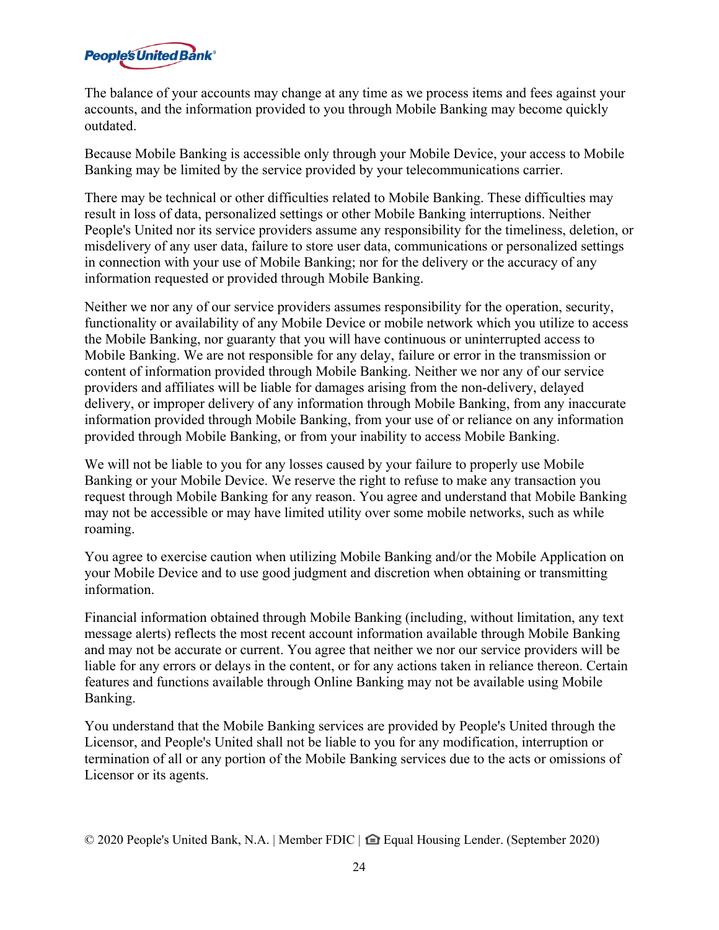

The balance of your accounts may change at any time as we process items and fees against your accounts, and the information provided to you through Mobile Banking may become quickly outdated.

Because Mobile Banking is accessible only through your Mobile Device, your access to Mobile Banking may be limited by the service provided by your telecommunications carrier.

There may be technical or other difficulties related to Mobile Banking. These difficulties may result in loss of data, personalized settings or other Mobile Banking interruptions. Neither People's United nor its service providers assume any responsibility for the timeliness, deletion, or misdelivery of any user data, failure to store user data, communications or personalized settings in connection with your use of Mobile Banking; nor for the delivery or the accuracy of any information requested or provided through Mobile Banking.

Neither we nor any of our service providers assumes responsibility for the operation, security, functionality or availability of any Mobile Device or mobile network which you utilize to access the Mobile Banking, nor guaranty that you will have continuous or uninterrupted access to Mobile Banking. We are not responsible for any delay, failure or error in the transmission or content of information provided through Mobile Banking. Neither we nor any of our service providers and affiliates will be liable for damages arising from the non-delivery, delayed delivery, or improper delivery of any information through Mobile Banking, from any inaccurate information provided through Mobile Banking, from your use of or reliance on any information provided through Mobile Banking, or from your inability to access Mobile Banking.

We will not be liable to you for any losses caused by your failure to properly use Mobile Banking or your Mobile Device. We reserve the right to refuse to make any transaction you request through Mobile Banking for any reason. You agree and understand that Mobile Banking may not be accessible or may have limited utility over some mobile networks, such as while roaming.

You agree to exercise caution when utilizing Mobile Banking and/or the Mobile Application on your Mobile Device and to use good judgment and discretion when obtaining or transmitting information.

Financial information obtained through Mobile Banking (including, without limitation, any text message alerts) reflects the most recent account information available through Mobile Banking and may not be accurate or current. You agree that neither we nor our service providers will be liable for any errors or delays in the content, or for any actions taken in reliance thereon. Certain features and functions available through Online Banking may not be available using Mobile Banking.

You understand that the Mobile Banking services are provided by People's United through the Licensor, and People's United shall not be liable to you for any modification, interruption or termination of all or any portion of the Mobile Banking services due to the acts or omissions of Licensor or its agents.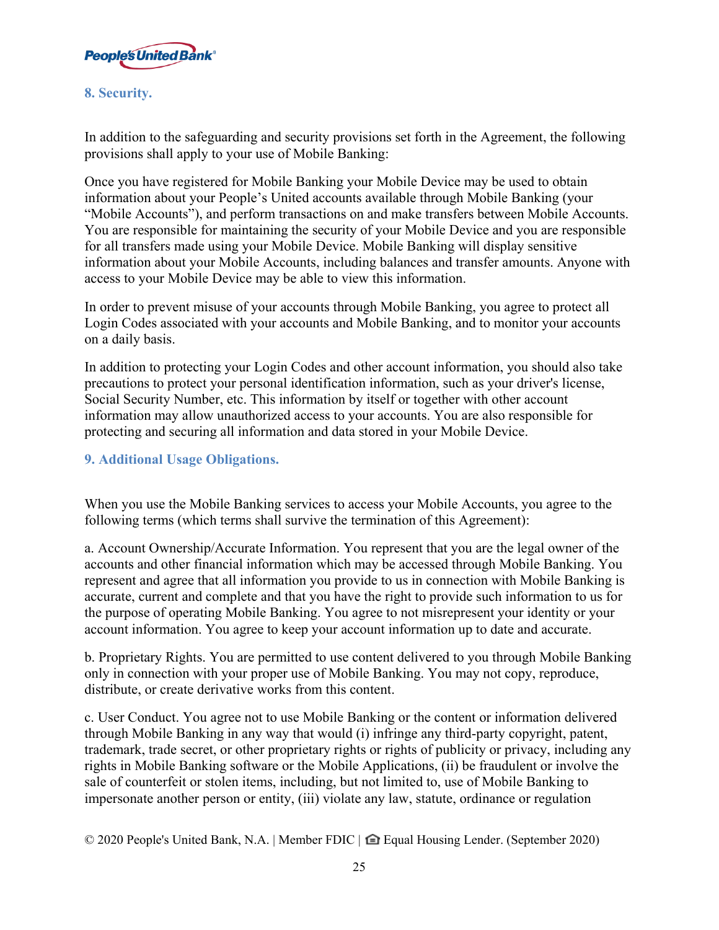

## <span id="page-24-0"></span>**8. Security.**

In addition to the safeguarding and security provisions set forth in the Agreement, the following provisions shall apply to your use of Mobile Banking:

Once you have registered for Mobile Banking your Mobile Device may be used to obtain information about your People's United accounts available through Mobile Banking (your "Mobile Accounts"), and perform transactions on and make transfers between Mobile Accounts. You are responsible for maintaining the security of your Mobile Device and you are responsible for all transfers made using your Mobile Device. Mobile Banking will display sensitive information about your Mobile Accounts, including balances and transfer amounts. Anyone with access to your Mobile Device may be able to view this information.

In order to prevent misuse of your accounts through Mobile Banking, you agree to protect all Login Codes associated with your accounts and Mobile Banking, and to monitor your accounts on a daily basis.

In addition to protecting your Login Codes and other account information, you should also take precautions to protect your personal identification information, such as your driver's license, Social Security Number, etc. This information by itself or together with other account information may allow unauthorized access to your accounts. You are also responsible for protecting and securing all information and data stored in your Mobile Device.

## <span id="page-24-1"></span>**9. Additional Usage Obligations.**

When you use the Mobile Banking services to access your Mobile Accounts, you agree to the following terms (which terms shall survive the termination of this Agreement):

a. Account Ownership/Accurate Information. You represent that you are the legal owner of the accounts and other financial information which may be accessed through Mobile Banking. You represent and agree that all information you provide to us in connection with Mobile Banking is accurate, current and complete and that you have the right to provide such information to us for the purpose of operating Mobile Banking. You agree to not misrepresent your identity or your account information. You agree to keep your account information up to date and accurate.

b. Proprietary Rights. You are permitted to use content delivered to you through Mobile Banking only in connection with your proper use of Mobile Banking. You may not copy, reproduce, distribute, or create derivative works from this content.

c. User Conduct. You agree not to use Mobile Banking or the content or information delivered through Mobile Banking in any way that would (i) infringe any third-party copyright, patent, trademark, trade secret, or other proprietary rights or rights of publicity or privacy, including any rights in Mobile Banking software or the Mobile Applications, (ii) be fraudulent or involve the sale of counterfeit or stolen items, including, but not limited to, use of Mobile Banking to impersonate another person or entity, (iii) violate any law, statute, ordinance or regulation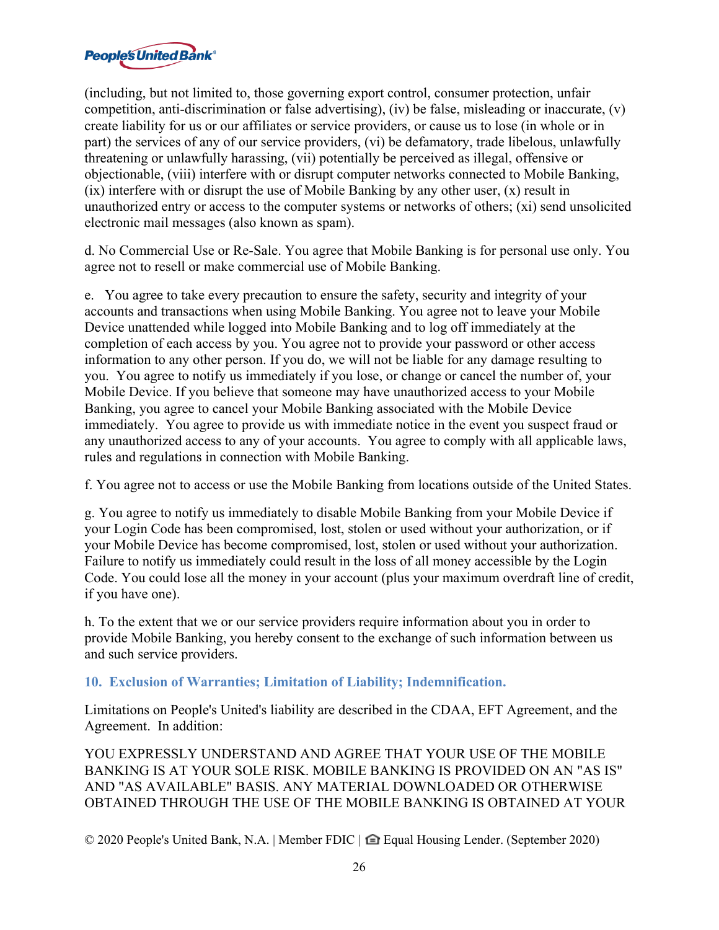

(including, but not limited to, those governing export control, consumer protection, unfair competition, anti-discrimination or false advertising), (iv) be false, misleading or inaccurate, (v) create liability for us or our affiliates or service providers, or cause us to lose (in whole or in part) the services of any of our service providers, (vi) be defamatory, trade libelous, unlawfully threatening or unlawfully harassing, (vii) potentially be perceived as illegal, offensive or objectionable, (viii) interfere with or disrupt computer networks connected to Mobile Banking,  $(ix)$  interfere with or disrupt the use of Mobile Banking by any other user,  $(x)$  result in unauthorized entry or access to the computer systems or networks of others; (xi) send unsolicited electronic mail messages (also known as spam).

d. No Commercial Use or Re-Sale. You agree that Mobile Banking is for personal use only. You agree not to resell or make commercial use of Mobile Banking.

e. You agree to take every precaution to ensure the safety, security and integrity of your accounts and transactions when using Mobile Banking. You agree not to leave your Mobile Device unattended while logged into Mobile Banking and to log off immediately at the completion of each access by you. You agree not to provide your password or other access information to any other person. If you do, we will not be liable for any damage resulting to you. You agree to notify us immediately if you lose, or change or cancel the number of, your Mobile Device. If you believe that someone may have unauthorized access to your Mobile Banking, you agree to cancel your Mobile Banking associated with the Mobile Device immediately. You agree to provide us with immediate notice in the event you suspect fraud or any unauthorized access to any of your accounts. You agree to comply with all applicable laws, rules and regulations in connection with Mobile Banking.

f. You agree not to access or use the Mobile Banking from locations outside of the United States.

g. You agree to notify us immediately to disable Mobile Banking from your Mobile Device if your Login Code has been compromised, lost, stolen or used without your authorization, or if your Mobile Device has become compromised, lost, stolen or used without your authorization. Failure to notify us immediately could result in the loss of all money accessible by the Login Code. You could lose all the money in your account (plus your maximum overdraft line of credit, if you have one).

h. To the extent that we or our service providers require information about you in order to provide Mobile Banking, you hereby consent to the exchange of such information between us and such service providers.

### <span id="page-25-0"></span>**10. Exclusion of Warranties; Limitation of Liability; Indemnification.**

Limitations on People's United's liability are described in the CDAA, EFT Agreement, and the Agreement. In addition:

YOU EXPRESSLY UNDERSTAND AND AGREE THAT YOUR USE OF THE MOBILE BANKING IS AT YOUR SOLE RISK. MOBILE BANKING IS PROVIDED ON AN "AS IS" AND "AS AVAILABLE" BASIS. ANY MATERIAL DOWNLOADED OR OTHERWISE OBTAINED THROUGH THE USE OF THE MOBILE BANKING IS OBTAINED AT YOUR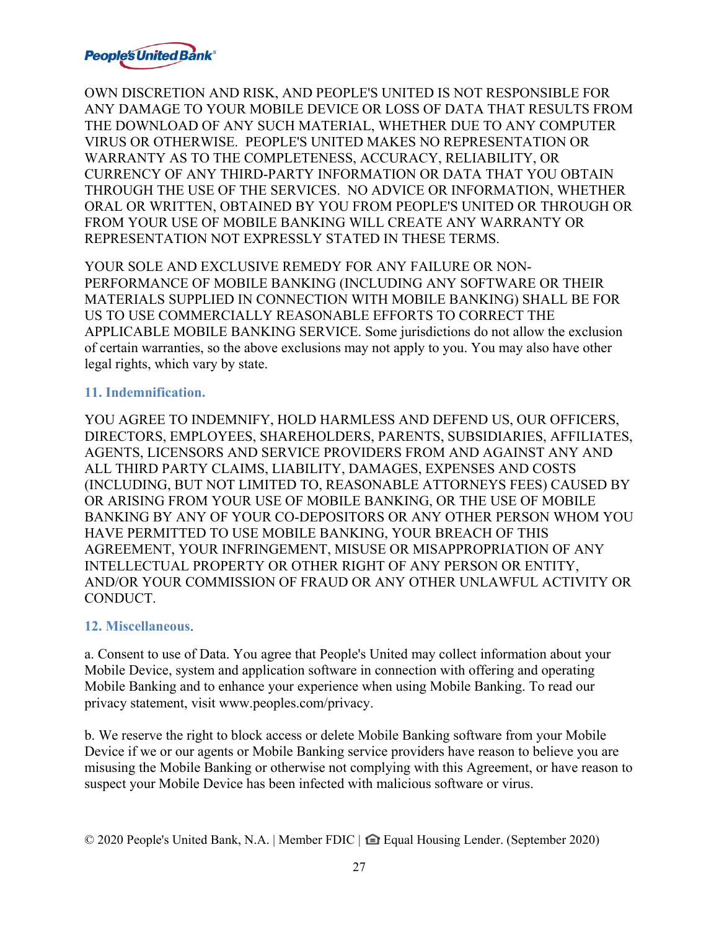**People's United Bank®** 

OWN DISCRETION AND RISK, AND PEOPLE'S UNITED IS NOT RESPONSIBLE FOR ANY DAMAGE TO YOUR MOBILE DEVICE OR LOSS OF DATA THAT RESULTS FROM THE DOWNLOAD OF ANY SUCH MATERIAL, WHETHER DUE TO ANY COMPUTER VIRUS OR OTHERWISE. PEOPLE'S UNITED MAKES NO REPRESENTATION OR WARRANTY AS TO THE COMPLETENESS, ACCURACY, RELIABILITY, OR CURRENCY OF ANY THIRD-PARTY INFORMATION OR DATA THAT YOU OBTAIN THROUGH THE USE OF THE SERVICES. NO ADVICE OR INFORMATION, WHETHER ORAL OR WRITTEN, OBTAINED BY YOU FROM PEOPLE'S UNITED OR THROUGH OR FROM YOUR USE OF MOBILE BANKING WILL CREATE ANY WARRANTY OR REPRESENTATION NOT EXPRESSLY STATED IN THESE TERMS.

YOUR SOLE AND EXCLUSIVE REMEDY FOR ANY FAILURE OR NON-PERFORMANCE OF MOBILE BANKING (INCLUDING ANY SOFTWARE OR THEIR MATERIALS SUPPLIED IN CONNECTION WITH MOBILE BANKING) SHALL BE FOR US TO USE COMMERCIALLY REASONABLE EFFORTS TO CORRECT THE APPLICABLE MOBILE BANKING SERVICE. Some jurisdictions do not allow the exclusion of certain warranties, so the above exclusions may not apply to you. You may also have other legal rights, which vary by state.

#### <span id="page-26-0"></span>**11. Indemnification.**

YOU AGREE TO INDEMNIFY, HOLD HARMLESS AND DEFEND US, OUR OFFICERS, DIRECTORS, EMPLOYEES, SHAREHOLDERS, PARENTS, SUBSIDIARIES, AFFILIATES, AGENTS, LICENSORS AND SERVICE PROVIDERS FROM AND AGAINST ANY AND ALL THIRD PARTY CLAIMS, LIABILITY, DAMAGES, EXPENSES AND COSTS (INCLUDING, BUT NOT LIMITED TO, REASONABLE ATTORNEYS FEES) CAUSED BY OR ARISING FROM YOUR USE OF MOBILE BANKING, OR THE USE OF MOBILE BANKING BY ANY OF YOUR CO-DEPOSITORS OR ANY OTHER PERSON WHOM YOU HAVE PERMITTED TO USE MOBILE BANKING, YOUR BREACH OF THIS AGREEMENT, YOUR INFRINGEMENT, MISUSE OR MISAPPROPRIATION OF ANY INTELLECTUAL PROPERTY OR OTHER RIGHT OF ANY PERSON OR ENTITY, AND/OR YOUR COMMISSION OF FRAUD OR ANY OTHER UNLAWFUL ACTIVITY OR CONDUCT.

#### <span id="page-26-1"></span>**12. Miscellaneous**.

a. Consent to use of Data. You agree that People's United may collect information about your Mobile Device, system and application software in connection with offering and operating Mobile Banking and to enhance your experience when using Mobile Banking. To read our privacy statement, visit www.peoples.com/privacy.

b. We reserve the right to block access or delete Mobile Banking software from your Mobile Device if we or our agents or Mobile Banking service providers have reason to believe you are misusing the Mobile Banking or otherwise not complying with this Agreement, or have reason to suspect your Mobile Device has been infected with malicious software or virus.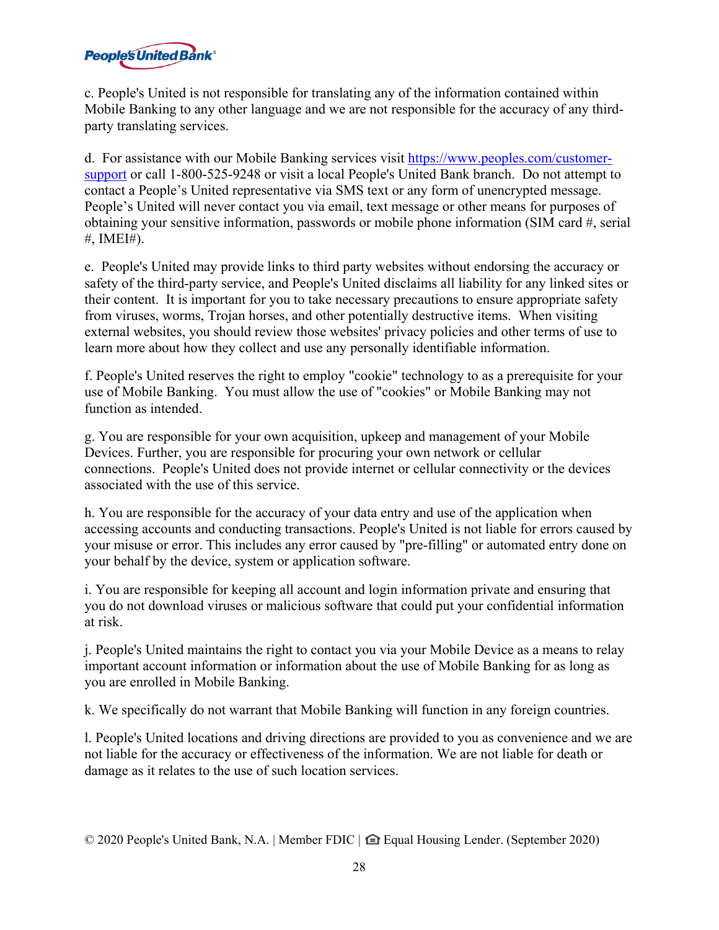

c. People's United is not responsible for translating any of the information contained within Mobile Banking to any other language and we are not responsible for the accuracy of any thirdparty translating services.

d. For assistance with our Mobile Banking services visit [https://www.peoples.com/customer](https://www.peoples.com/customer-support)[support](https://www.peoples.com/customer-support) or call 1-800-525-9248 or visit a local People's United Bank branch. Do not attempt to contact a People's United representative via SMS text or any form of unencrypted message. People's United will never contact you via email, text message or other means for purposes of obtaining your sensitive information, passwords or mobile phone information (SIM card #, serial #, IMEI#).

e. People's United may provide links to third party websites without endorsing the accuracy or safety of the third-party service, and People's United disclaims all liability for any linked sites or their content. It is important for you to take necessary precautions to ensure appropriate safety from viruses, worms, Trojan horses, and other potentially destructive items. When visiting external websites, you should review those websites' privacy policies and other terms of use to learn more about how they collect and use any personally identifiable information.

f. People's United reserves the right to employ "cookie" technology to as a prerequisite for your use of Mobile Banking. You must allow the use of "cookies" or Mobile Banking may not function as intended.

g. You are responsible for your own acquisition, upkeep and management of your Mobile Devices. Further, you are responsible for procuring your own network or cellular connections. People's United does not provide internet or cellular connectivity or the devices associated with the use of this service.

h. You are responsible for the accuracy of your data entry and use of the application when accessing accounts and conducting transactions. People's United is not liable for errors caused by your misuse or error. This includes any error caused by "pre-filling" or automated entry done on your behalf by the device, system or application software.

i. You are responsible for keeping all account and login information private and ensuring that you do not download viruses or malicious software that could put your confidential information at risk.

j. People's United maintains the right to contact you via your Mobile Device as a means to relay important account information or information about the use of Mobile Banking for as long as you are enrolled in Mobile Banking.

k. We specifically do not warrant that Mobile Banking will function in any foreign countries.

l. People's United locations and driving directions are provided to you as convenience and we are not liable for the accuracy or effectiveness of the information. We are not liable for death or damage as it relates to the use of such location services.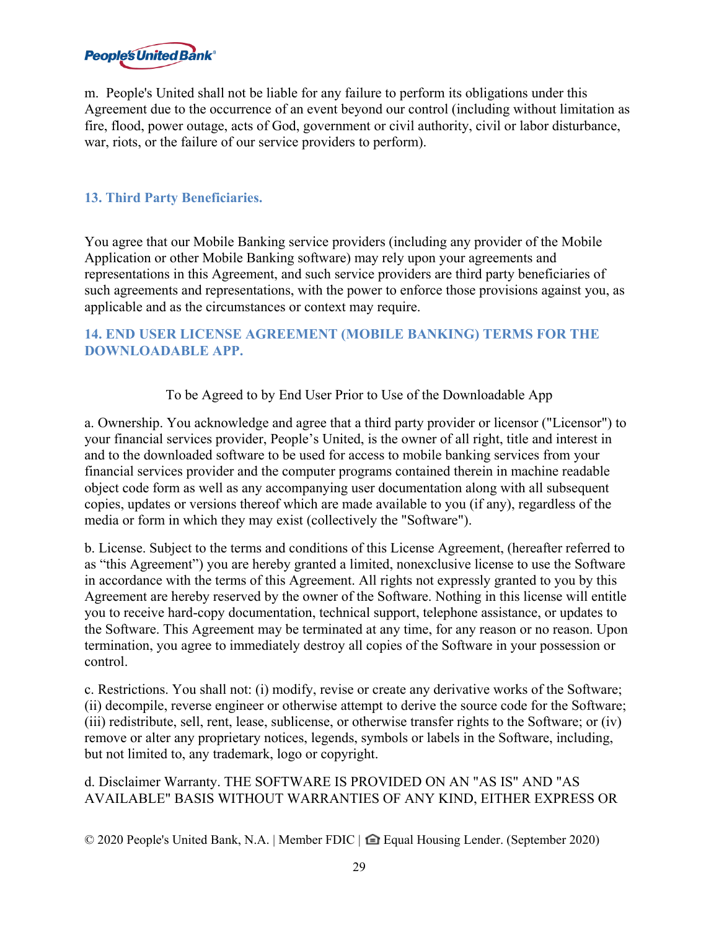

m. People's United shall not be liable for any failure to perform its obligations under this Agreement due to the occurrence of an event beyond our control (including without limitation as fire, flood, power outage, acts of God, government or civil authority, civil or labor disturbance, war, riots, or the failure of our service providers to perform).

## <span id="page-28-0"></span>**13. Third Party Beneficiaries.**

You agree that our Mobile Banking service providers (including any provider of the Mobile Application or other Mobile Banking software) may rely upon your agreements and representations in this Agreement, and such service providers are third party beneficiaries of such agreements and representations, with the power to enforce those provisions against you, as applicable and as the circumstances or context may require.

## <span id="page-28-1"></span>**14. END USER LICENSE AGREEMENT (MOBILE BANKING) TERMS FOR THE DOWNLOADABLE APP.**

To be Agreed to by End User Prior to Use of the Downloadable App

a. Ownership. You acknowledge and agree that a third party provider or licensor ("Licensor") to your financial services provider, People's United, is the owner of all right, title and interest in and to the downloaded software to be used for access to mobile banking services from your financial services provider and the computer programs contained therein in machine readable object code form as well as any accompanying user documentation along with all subsequent copies, updates or versions thereof which are made available to you (if any), regardless of the media or form in which they may exist (collectively the "Software").

b. License. Subject to the terms and conditions of this License Agreement, (hereafter referred to as "this Agreement") you are hereby granted a limited, nonexclusive license to use the Software in accordance with the terms of this Agreement. All rights not expressly granted to you by this Agreement are hereby reserved by the owner of the Software. Nothing in this license will entitle you to receive hard-copy documentation, technical support, telephone assistance, or updates to the Software. This Agreement may be terminated at any time, for any reason or no reason. Upon termination, you agree to immediately destroy all copies of the Software in your possession or control.

c. Restrictions. You shall not: (i) modify, revise or create any derivative works of the Software; (ii) decompile, reverse engineer or otherwise attempt to derive the source code for the Software; (iii) redistribute, sell, rent, lease, sublicense, or otherwise transfer rights to the Software; or (iv) remove or alter any proprietary notices, legends, symbols or labels in the Software, including, but not limited to, any trademark, logo or copyright.

d. Disclaimer Warranty. THE SOFTWARE IS PROVIDED ON AN "AS IS" AND "AS AVAILABLE" BASIS WITHOUT WARRANTIES OF ANY KIND, EITHER EXPRESS OR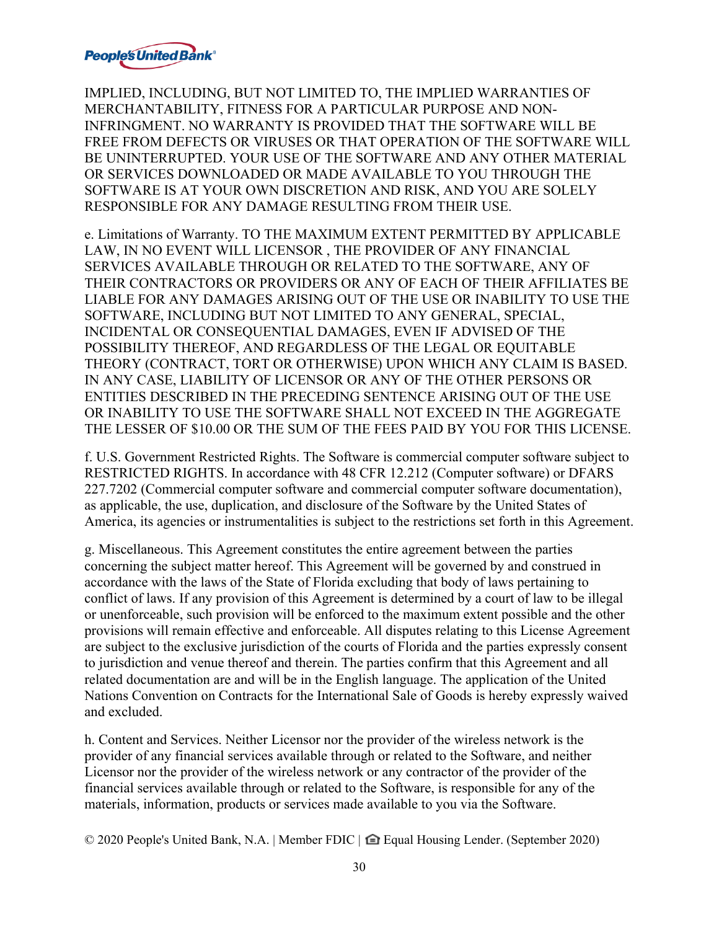**People's United Bank®** 

IMPLIED, INCLUDING, BUT NOT LIMITED TO, THE IMPLIED WARRANTIES OF MERCHANTABILITY, FITNESS FOR A PARTICULAR PURPOSE AND NON-INFRINGMENT. NO WARRANTY IS PROVIDED THAT THE SOFTWARE WILL BE FREE FROM DEFECTS OR VIRUSES OR THAT OPERATION OF THE SOFTWARE WILL BE UNINTERRUPTED. YOUR USE OF THE SOFTWARE AND ANY OTHER MATERIAL OR SERVICES DOWNLOADED OR MADE AVAILABLE TO YOU THROUGH THE SOFTWARE IS AT YOUR OWN DISCRETION AND RISK, AND YOU ARE SOLELY RESPONSIBLE FOR ANY DAMAGE RESULTING FROM THEIR USE.

e. Limitations of Warranty. TO THE MAXIMUM EXTENT PERMITTED BY APPLICABLE LAW, IN NO EVENT WILL LICENSOR , THE PROVIDER OF ANY FINANCIAL SERVICES AVAILABLE THROUGH OR RELATED TO THE SOFTWARE, ANY OF THEIR CONTRACTORS OR PROVIDERS OR ANY OF EACH OF THEIR AFFILIATES BE LIABLE FOR ANY DAMAGES ARISING OUT OF THE USE OR INABILITY TO USE THE SOFTWARE, INCLUDING BUT NOT LIMITED TO ANY GENERAL, SPECIAL, INCIDENTAL OR CONSEQUENTIAL DAMAGES, EVEN IF ADVISED OF THE POSSIBILITY THEREOF, AND REGARDLESS OF THE LEGAL OR EQUITABLE THEORY (CONTRACT, TORT OR OTHERWISE) UPON WHICH ANY CLAIM IS BASED. IN ANY CASE, LIABILITY OF LICENSOR OR ANY OF THE OTHER PERSONS OR ENTITIES DESCRIBED IN THE PRECEDING SENTENCE ARISING OUT OF THE USE OR INABILITY TO USE THE SOFTWARE SHALL NOT EXCEED IN THE AGGREGATE THE LESSER OF \$10.00 OR THE SUM OF THE FEES PAID BY YOU FOR THIS LICENSE.

f. U.S. Government Restricted Rights. The Software is commercial computer software subject to RESTRICTED RIGHTS. In accordance with 48 CFR 12.212 (Computer software) or DFARS 227.7202 (Commercial computer software and commercial computer software documentation), as applicable, the use, duplication, and disclosure of the Software by the United States of America, its agencies or instrumentalities is subject to the restrictions set forth in this Agreement.

g. Miscellaneous. This Agreement constitutes the entire agreement between the parties concerning the subject matter hereof. This Agreement will be governed by and construed in accordance with the laws of the State of Florida excluding that body of laws pertaining to conflict of laws. If any provision of this Agreement is determined by a court of law to be illegal or unenforceable, such provision will be enforced to the maximum extent possible and the other provisions will remain effective and enforceable. All disputes relating to this License Agreement are subject to the exclusive jurisdiction of the courts of Florida and the parties expressly consent to jurisdiction and venue thereof and therein. The parties confirm that this Agreement and all related documentation are and will be in the English language. The application of the United Nations Convention on Contracts for the International Sale of Goods is hereby expressly waived and excluded.

h. Content and Services. Neither Licensor nor the provider of the wireless network is the provider of any financial services available through or related to the Software, and neither Licensor nor the provider of the wireless network or any contractor of the provider of the financial services available through or related to the Software, is responsible for any of the materials, information, products or services made available to you via the Software.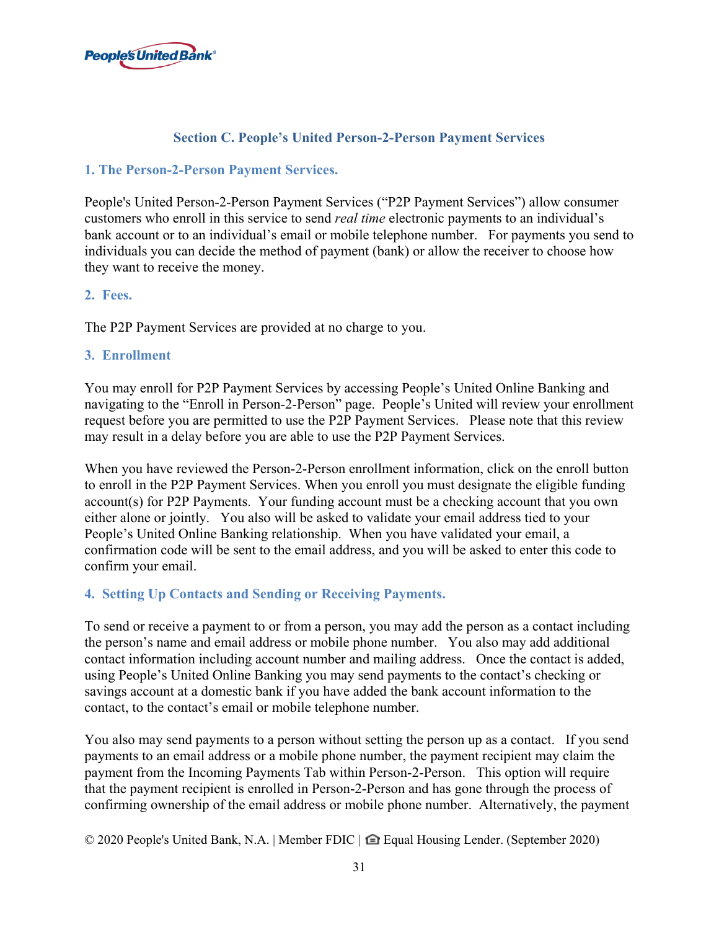<span id="page-30-0"></span>

## **Section C. People's United Person-2-Person Payment Services**

### <span id="page-30-1"></span>**1. The Person-2-Person Payment Services.**

People's United Person-2-Person Payment Services ("P2P Payment Services") allow consumer customers who enroll in this service to send *real time* electronic payments to an individual's bank account or to an individual's email or mobile telephone number. For payments you send to individuals you can decide the method of payment (bank) or allow the receiver to choose how they want to receive the money.

#### <span id="page-30-2"></span>**2. Fees.**

The P2P Payment Services are provided at no charge to you.

### <span id="page-30-3"></span>**3. Enrollment**

You may enroll for P2P Payment Services by accessing People's United Online Banking and navigating to the "Enroll in Person-2-Person" page. People's United will review your enrollment request before you are permitted to use the P2P Payment Services. Please note that this review may result in a delay before you are able to use the P2P Payment Services.

When you have reviewed the Person-2-Person enrollment information, click on the enroll button to enroll in the P2P Payment Services. When you enroll you must designate the eligible funding account(s) for P2P Payments. Your funding account must be a checking account that you own either alone or jointly. You also will be asked to validate your email address tied to your People's United Online Banking relationship. When you have validated your email, a confirmation code will be sent to the email address, and you will be asked to enter this code to confirm your email.

### <span id="page-30-4"></span>**4. Setting Up Contacts and Sending or Receiving Payments.**

To send or receive a payment to or from a person, you may add the person as a contact including the person's name and email address or mobile phone number. You also may add additional contact information including account number and mailing address. Once the contact is added, using People's United Online Banking you may send payments to the contact's checking or savings account at a domestic bank if you have added the bank account information to the contact, to the contact's email or mobile telephone number.

You also may send payments to a person without setting the person up as a contact. If you send payments to an email address or a mobile phone number, the payment recipient may claim the payment from the Incoming Payments Tab within Person-2-Person. This option will require that the payment recipient is enrolled in Person-2-Person and has gone through the process of confirming ownership of the email address or mobile phone number. Alternatively, the payment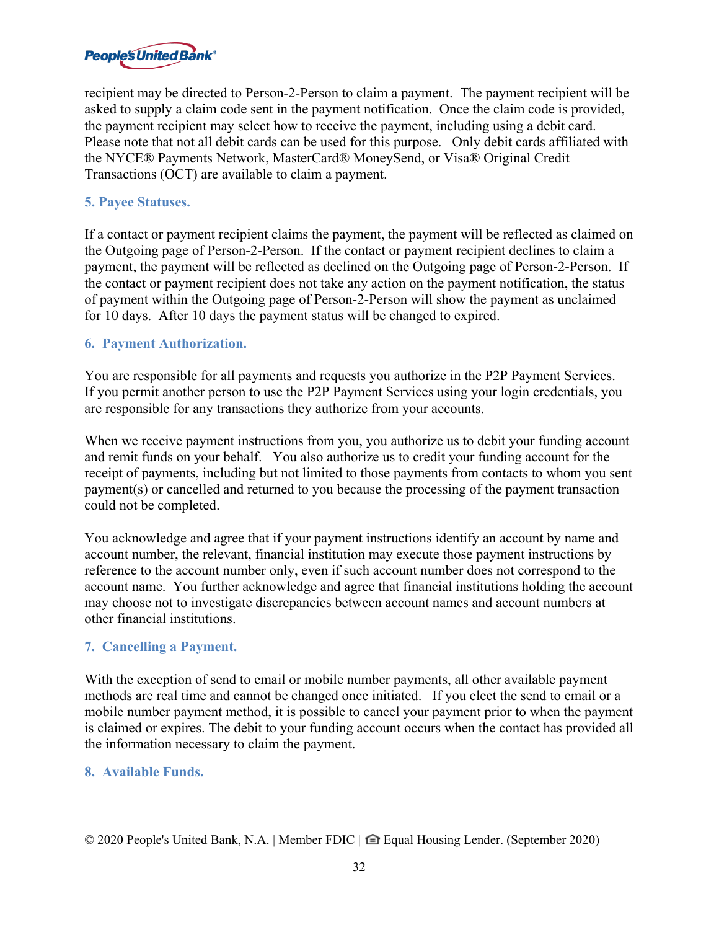

recipient may be directed to Person-2-Person to claim a payment. The payment recipient will be asked to supply a claim code sent in the payment notification. Once the claim code is provided, the payment recipient may select how to receive the payment, including using a debit card. Please note that not all debit cards can be used for this purpose. Only debit cards affiliated with the NYCE® Payments Network, MasterCard® MoneySend, or Visa® Original Credit Transactions (OCT) are available to claim a payment.

#### <span id="page-31-0"></span>**5. Payee Statuses.**

If a contact or payment recipient claims the payment, the payment will be reflected as claimed on the Outgoing page of Person-2-Person. If the contact or payment recipient declines to claim a payment, the payment will be reflected as declined on the Outgoing page of Person-2-Person. If the contact or payment recipient does not take any action on the payment notification, the status of payment within the Outgoing page of Person-2-Person will show the payment as unclaimed for 10 days. After 10 days the payment status will be changed to expired.

### <span id="page-31-1"></span>**6. Payment Authorization.**

You are responsible for all payments and requests you authorize in the P2P Payment Services. If you permit another person to use the P2P Payment Services using your login credentials, you are responsible for any transactions they authorize from your accounts.

When we receive payment instructions from you, you authorize us to debit your funding account and remit funds on your behalf. You also authorize us to credit your funding account for the receipt of payments, including but not limited to those payments from contacts to whom you sent payment(s) or cancelled and returned to you because the processing of the payment transaction could not be completed.

You acknowledge and agree that if your payment instructions identify an account by name and account number, the relevant, financial institution may execute those payment instructions by reference to the account number only, even if such account number does not correspond to the account name. You further acknowledge and agree that financial institutions holding the account may choose not to investigate discrepancies between account names and account numbers at other financial institutions.

### <span id="page-31-2"></span>**7. Cancelling a Payment.**

With the exception of send to email or mobile number payments, all other available payment methods are real time and cannot be changed once initiated. If you elect the send to email or a mobile number payment method, it is possible to cancel your payment prior to when the payment is claimed or expires. The debit to your funding account occurs when the contact has provided all the information necessary to claim the payment.

### <span id="page-31-3"></span>**8. Available Funds.**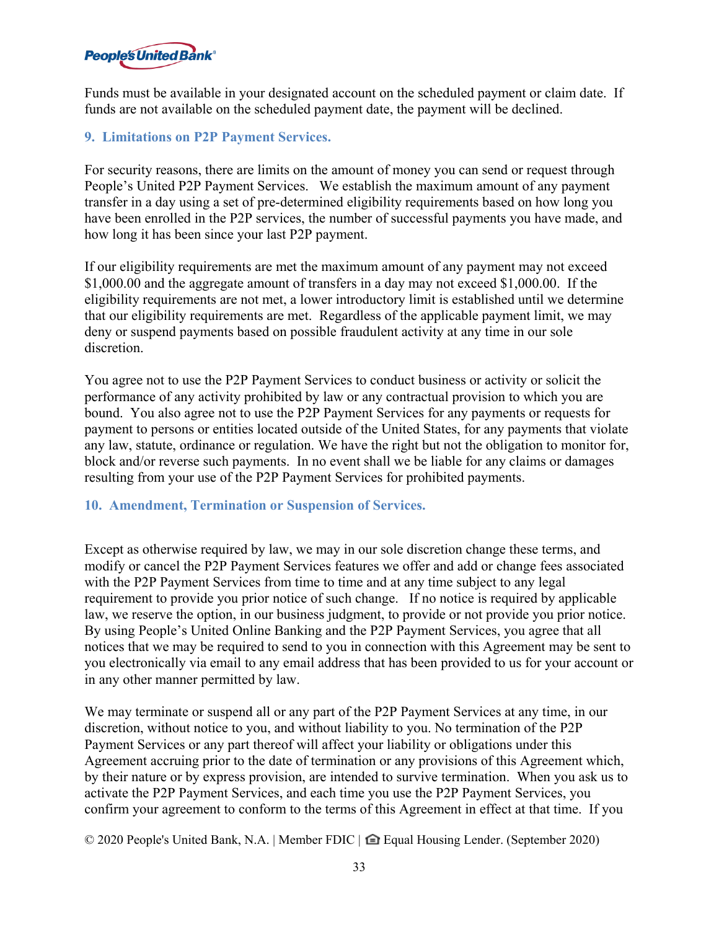

Funds must be available in your designated account on the scheduled payment or claim date. If funds are not available on the scheduled payment date, the payment will be declined.

## <span id="page-32-0"></span>**9. Limitations on P2P Payment Services.**

For security reasons, there are limits on the amount of money you can send or request through People's United P2P Payment Services. We establish the maximum amount of any payment transfer in a day using a set of pre-determined eligibility requirements based on how long you have been enrolled in the P2P services, the number of successful payments you have made, and how long it has been since your last P2P payment.

If our eligibility requirements are met the maximum amount of any payment may not exceed \$1,000.00 and the aggregate amount of transfers in a day may not exceed \$1,000.00. If the eligibility requirements are not met, a lower introductory limit is established until we determine that our eligibility requirements are met. Regardless of the applicable payment limit, we may deny or suspend payments based on possible fraudulent activity at any time in our sole discretion.

You agree not to use the P2P Payment Services to conduct business or activity or solicit the performance of any activity prohibited by law or any contractual provision to which you are bound. You also agree not to use the P2P Payment Services for any payments or requests for payment to persons or entities located outside of the United States, for any payments that violate any law, statute, ordinance or regulation. We have the right but not the obligation to monitor for, block and/or reverse such payments. In no event shall we be liable for any claims or damages resulting from your use of the P2P Payment Services for prohibited payments.

#### <span id="page-32-1"></span>**10. Amendment, Termination or Suspension of Services.**

Except as otherwise required by law, we may in our sole discretion change these terms, and modify or cancel the P2P Payment Services features we offer and add or change fees associated with the P2P Payment Services from time to time and at any time subject to any legal requirement to provide you prior notice of such change. If no notice is required by applicable law, we reserve the option, in our business judgment, to provide or not provide you prior notice. By using People's United Online Banking and the P2P Payment Services, you agree that all notices that we may be required to send to you in connection with this Agreement may be sent to you electronically via email to any email address that has been provided to us for your account or in any other manner permitted by law.

We may terminate or suspend all or any part of the P2P Payment Services at any time, in our discretion, without notice to you, and without liability to you. No termination of the P2P Payment Services or any part thereof will affect your liability or obligations under this Agreement accruing prior to the date of termination or any provisions of this Agreement which, by their nature or by express provision, are intended to survive termination. When you ask us to activate the P2P Payment Services, and each time you use the P2P Payment Services, you confirm your agreement to conform to the terms of this Agreement in effect at that time. If you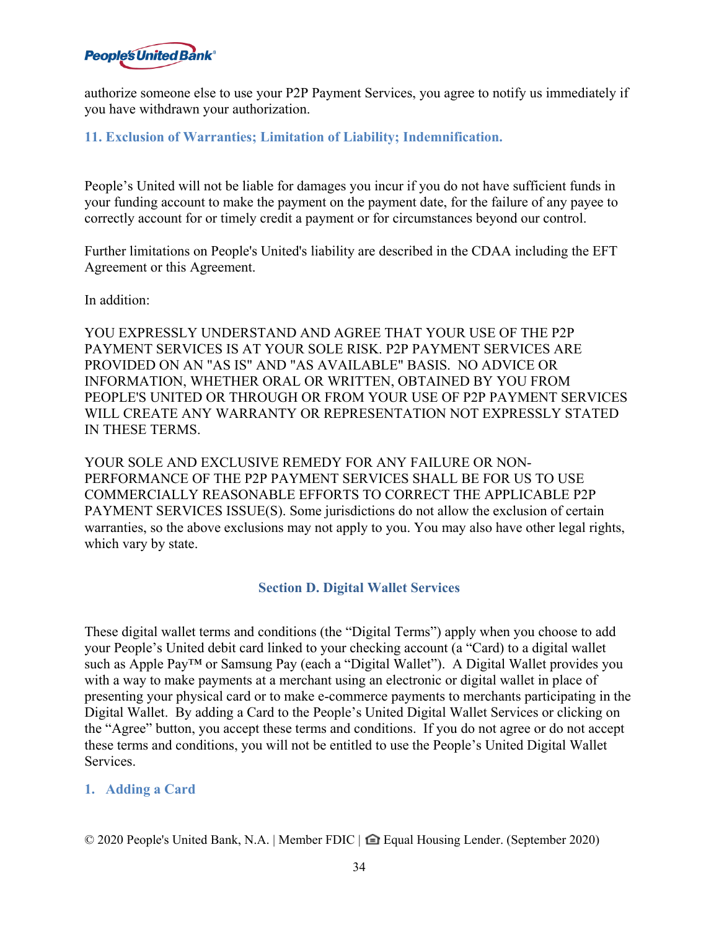

authorize someone else to use your P2P Payment Services, you agree to notify us immediately if you have withdrawn your authorization.

### <span id="page-33-0"></span>**11. Exclusion of Warranties; Limitation of Liability; Indemnification.**

People's United will not be liable for damages you incur if you do not have sufficient funds in your funding account to make the payment on the payment date, for the failure of any payee to correctly account for or timely credit a payment or for circumstances beyond our control.

Further limitations on People's United's liability are described in the CDAA including the EFT Agreement or this Agreement.

In addition:

YOU EXPRESSLY UNDERSTAND AND AGREE THAT YOUR USE OF THE P2P PAYMENT SERVICES IS AT YOUR SOLE RISK. P2P PAYMENT SERVICES ARE PROVIDED ON AN "AS IS" AND "AS AVAILABLE" BASIS. NO ADVICE OR INFORMATION, WHETHER ORAL OR WRITTEN, OBTAINED BY YOU FROM PEOPLE'S UNITED OR THROUGH OR FROM YOUR USE OF P2P PAYMENT SERVICES WILL CREATE ANY WARRANTY OR REPRESENTATION NOT EXPRESSLY STATED IN THESE TERMS.

YOUR SOLE AND EXCLUSIVE REMEDY FOR ANY FAILURE OR NON-PERFORMANCE OF THE P2P PAYMENT SERVICES SHALL BE FOR US TO USE COMMERCIALLY REASONABLE EFFORTS TO CORRECT THE APPLICABLE P2P PAYMENT SERVICES ISSUE(S). Some jurisdictions do not allow the exclusion of certain warranties, so the above exclusions may not apply to you. You may also have other legal rights, which vary by state.

**Section D. Digital Wallet Services**

<span id="page-33-1"></span>These digital wallet terms and conditions (the "Digital Terms") apply when you choose to add your People's United debit card linked to your checking account (a "Card) to a digital wallet such as Apple Pay™ or Samsung Pay (each a "Digital Wallet"). A Digital Wallet provides you with a way to make payments at a merchant using an electronic or digital wallet in place of presenting your physical card or to make e-commerce payments to merchants participating in the Digital Wallet. By adding a Card to the People's United Digital Wallet Services or clicking on the "Agree" button, you accept these terms and conditions. If you do not agree or do not accept these terms and conditions, you will not be entitled to use the People's United Digital Wallet Services.

#### <span id="page-33-2"></span>**1. Adding a Card**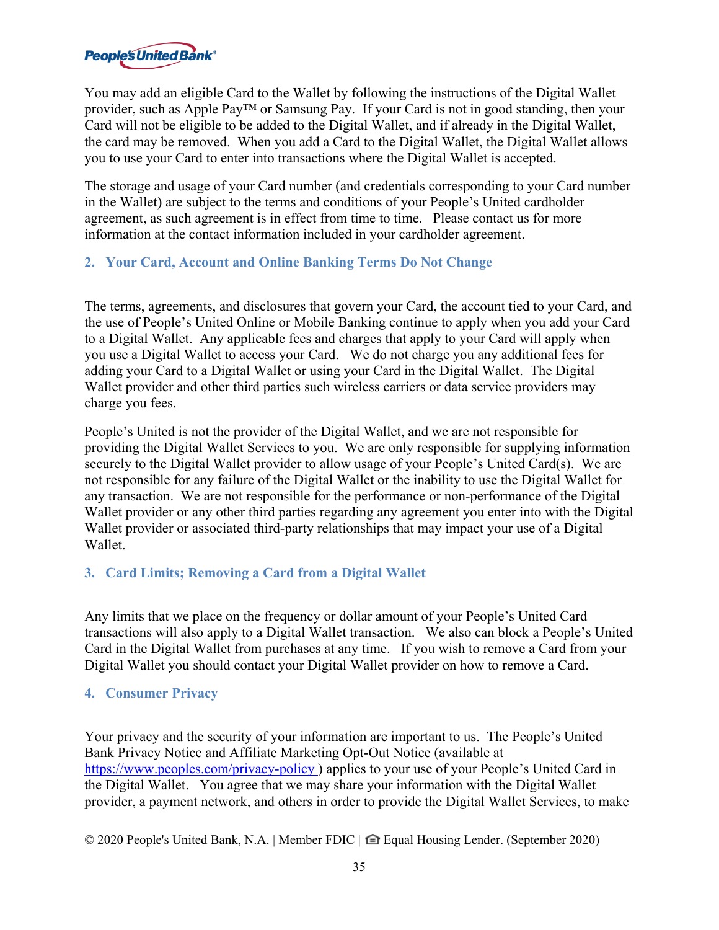

You may add an eligible Card to the Wallet by following the instructions of the Digital Wallet provider, such as Apple Pay™ or Samsung Pay. If your Card is not in good standing, then your Card will not be eligible to be added to the Digital Wallet, and if already in the Digital Wallet, the card may be removed. When you add a Card to the Digital Wallet, the Digital Wallet allows you to use your Card to enter into transactions where the Digital Wallet is accepted.

The storage and usage of your Card number (and credentials corresponding to your Card number in the Wallet) are subject to the terms and conditions of your People's United cardholder agreement, as such agreement is in effect from time to time. Please contact us for more information at the contact information included in your cardholder agreement.

# <span id="page-34-0"></span>**2. Your Card, Account and Online Banking Terms Do Not Change**

The terms, agreements, and disclosures that govern your Card, the account tied to your Card, and the use of People's United Online or Mobile Banking continue to apply when you add your Card to a Digital Wallet. Any applicable fees and charges that apply to your Card will apply when you use a Digital Wallet to access your Card. We do not charge you any additional fees for adding your Card to a Digital Wallet or using your Card in the Digital Wallet. The Digital Wallet provider and other third parties such wireless carriers or data service providers may charge you fees.

People's United is not the provider of the Digital Wallet, and we are not responsible for providing the Digital Wallet Services to you. We are only responsible for supplying information securely to the Digital Wallet provider to allow usage of your People's United Card(s). We are not responsible for any failure of the Digital Wallet or the inability to use the Digital Wallet for any transaction. We are not responsible for the performance or non-performance of the Digital Wallet provider or any other third parties regarding any agreement you enter into with the Digital Wallet provider or associated third-party relationships that may impact your use of a Digital Wallet.

# <span id="page-34-1"></span>**3. Card Limits; Removing a Card from a Digital Wallet**

Any limits that we place on the frequency or dollar amount of your People's United Card transactions will also apply to a Digital Wallet transaction. We also can block a People's United Card in the Digital Wallet from purchases at any time. If you wish to remove a Card from your Digital Wallet you should contact your Digital Wallet provider on how to remove a Card.

### <span id="page-34-2"></span>**4. Consumer Privacy**

Your privacy and the security of your information are important to us. The People's United Bank Privacy Notice and Affiliate Marketing Opt-Out Notice (available at <https://www.peoples.com/privacy-policy> ) applies to your use of your People's United Card in the Digital Wallet. You agree that we may share your information with the Digital Wallet provider, a payment network, and others in order to provide the Digital Wallet Services, to make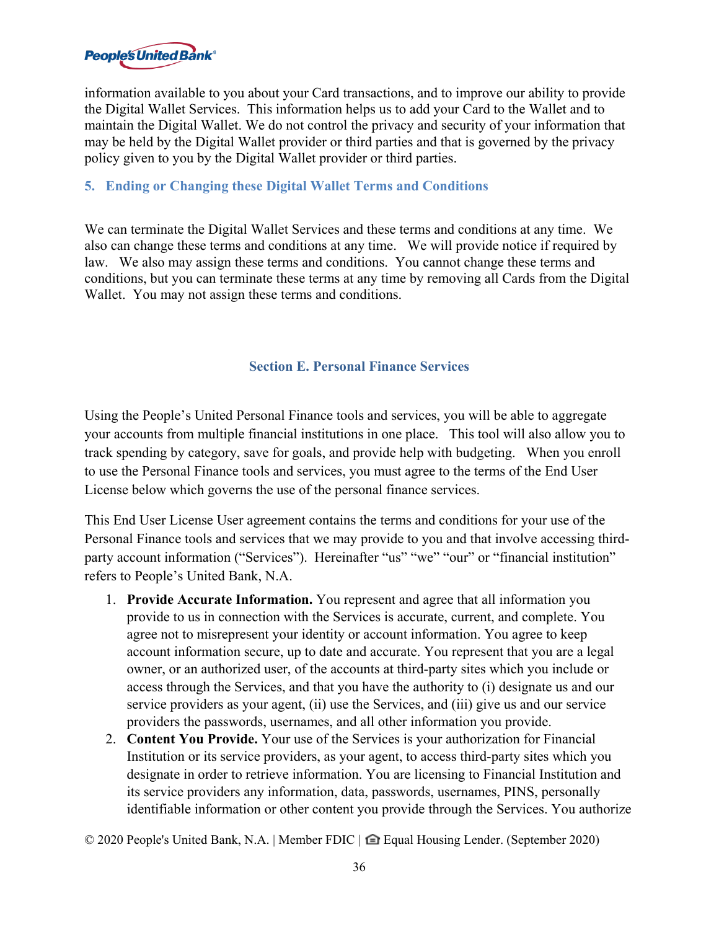

information available to you about your Card transactions, and to improve our ability to provide the Digital Wallet Services. This information helps us to add your Card to the Wallet and to maintain the Digital Wallet. We do not control the privacy and security of your information that may be held by the Digital Wallet provider or third parties and that is governed by the privacy policy given to you by the Digital Wallet provider or third parties.

## <span id="page-35-0"></span>**5. Ending or Changing these Digital Wallet Terms and Conditions**

We can terminate the Digital Wallet Services and these terms and conditions at any time. We also can change these terms and conditions at any time. We will provide notice if required by law. We also may assign these terms and conditions. You cannot change these terms and conditions, but you can terminate these terms at any time by removing all Cards from the Digital Wallet. You may not assign these terms and conditions.

#### **Section E. Personal Finance Services**

<span id="page-35-1"></span>Using the People's United Personal Finance tools and services, you will be able to aggregate your accounts from multiple financial institutions in one place. This tool will also allow you to track spending by category, save for goals, and provide help with budgeting. When you enroll to use the Personal Finance tools and services, you must agree to the terms of the End User License below which governs the use of the personal finance services.

This End User License User agreement contains the terms and conditions for your use of the Personal Finance tools and services that we may provide to you and that involve accessing thirdparty account information ("Services"). Hereinafter "us" "we" "our" or "financial institution" refers to People's United Bank, N.A.

- 1. **Provide Accurate Information.** You represent and agree that all information you provide to us in connection with the Services is accurate, current, and complete. You agree not to misrepresent your identity or account information. You agree to keep account information secure, up to date and accurate. You represent that you are a legal owner, or an authorized user, of the accounts at third-party sites which you include or access through the Services, and that you have the authority to (i) designate us and our service providers as your agent, (ii) use the Services, and (iii) give us and our service providers the passwords, usernames, and all other information you provide.
- 2. **Content You Provide.** Your use of the Services is your authorization for Financial Institution or its service providers, as your agent, to access third-party sites which you designate in order to retrieve information. You are licensing to Financial Institution and its service providers any information, data, passwords, usernames, PINS, personally identifiable information or other content you provide through the Services. You authorize
- © 2020 People's United Bank, N.A. | Member FDIC | Equal Housing Lender. (September 2020)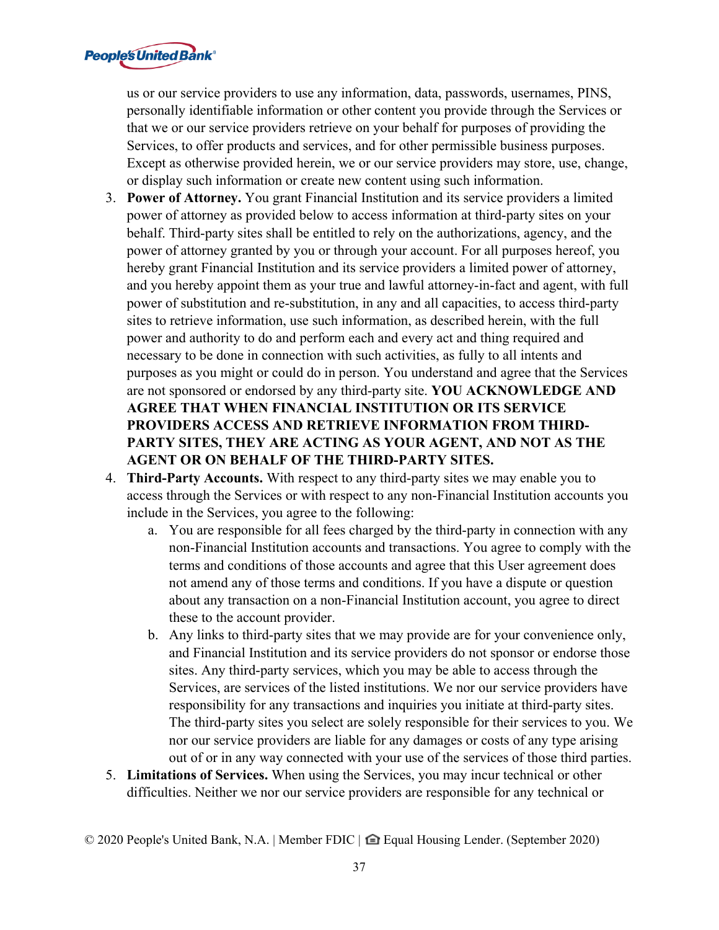**People's United Bank®** 

us or our service providers to use any information, data, passwords, usernames, PINS, personally identifiable information or other content you provide through the Services or that we or our service providers retrieve on your behalf for purposes of providing the Services, to offer products and services, and for other permissible business purposes. Except as otherwise provided herein, we or our service providers may store, use, change, or display such information or create new content using such information.

- 3. **Power of Attorney.** You grant Financial Institution and its service providers a limited power of attorney as provided below to access information at third-party sites on your behalf. Third-party sites shall be entitled to rely on the authorizations, agency, and the power of attorney granted by you or through your account. For all purposes hereof, you hereby grant Financial Institution and its service providers a limited power of attorney, and you hereby appoint them as your true and lawful attorney-in-fact and agent, with full power of substitution and re-substitution, in any and all capacities, to access third-party sites to retrieve information, use such information, as described herein, with the full power and authority to do and perform each and every act and thing required and necessary to be done in connection with such activities, as fully to all intents and purposes as you might or could do in person. You understand and agree that the Services are not sponsored or endorsed by any third-party site. **YOU ACKNOWLEDGE AND AGREE THAT WHEN FINANCIAL INSTITUTION OR ITS SERVICE PROVIDERS ACCESS AND RETRIEVE INFORMATION FROM THIRD-PARTY SITES, THEY ARE ACTING AS YOUR AGENT, AND NOT AS THE AGENT OR ON BEHALF OF THE THIRD-PARTY SITES.**
- 4. **Third-Party Accounts.** With respect to any third-party sites we may enable you to access through the Services or with respect to any non-Financial Institution accounts you include in the Services, you agree to the following:
	- a. You are responsible for all fees charged by the third-party in connection with any non-Financial Institution accounts and transactions. You agree to comply with the terms and conditions of those accounts and agree that this User agreement does not amend any of those terms and conditions. If you have a dispute or question about any transaction on a non-Financial Institution account, you agree to direct these to the account provider.
	- b. Any links to third-party sites that we may provide are for your convenience only, and Financial Institution and its service providers do not sponsor or endorse those sites. Any third-party services, which you may be able to access through the Services, are services of the listed institutions. We nor our service providers have responsibility for any transactions and inquiries you initiate at third-party sites. The third-party sites you select are solely responsible for their services to you. We nor our service providers are liable for any damages or costs of any type arising out of or in any way connected with your use of the services of those third parties.
- 5. **Limitations of Services.** When using the Services, you may incur technical or other difficulties. Neither we nor our service providers are responsible for any technical or

<sup>© 2020</sup> People's United Bank, N.A. | Member FDIC | Equal Housing Lender. (September 2020)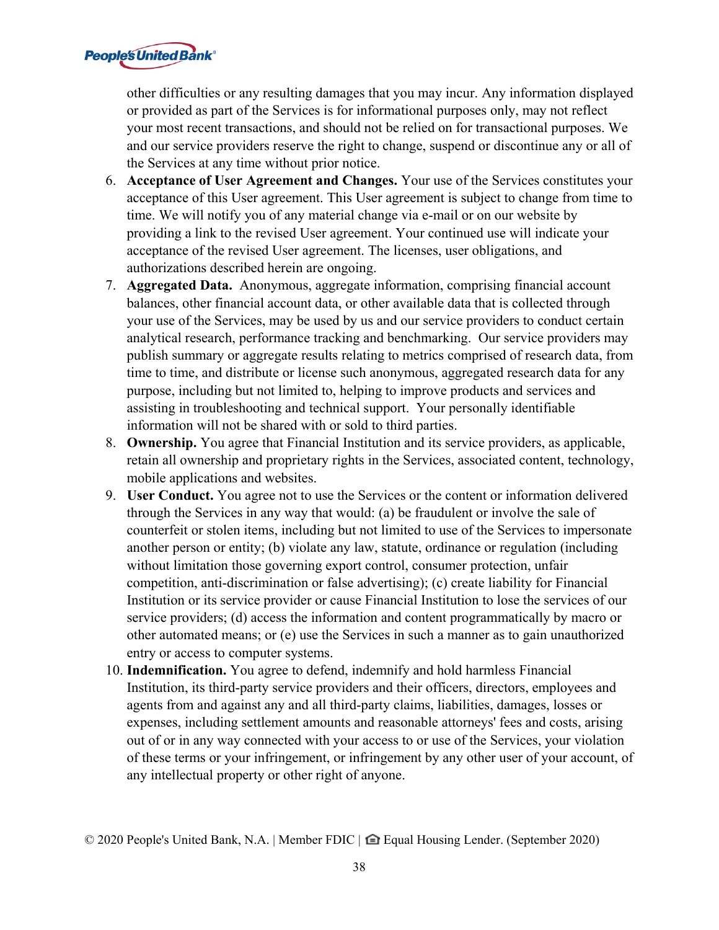**People's United Bank®** 

other difficulties or any resulting damages that you may incur. Any information displayed or provided as part of the Services is for informational purposes only, may not reflect your most recent transactions, and should not be relied on for transactional purposes. We and our service providers reserve the right to change, suspend or discontinue any or all of the Services at any time without prior notice.

- 6. **Acceptance of User Agreement and Changes.** Your use of the Services constitutes your acceptance of this User agreement. This User agreement is subject to change from time to time. We will notify you of any material change via e-mail or on our website by providing a link to the revised User agreement. Your continued use will indicate your acceptance of the revised User agreement. The licenses, user obligations, and authorizations described herein are ongoing.
- 7. **Aggregated Data.** Anonymous, aggregate information, comprising financial account balances, other financial account data, or other available data that is collected through your use of the Services, may be used by us and our service providers to conduct certain analytical research, performance tracking and benchmarking. Our service providers may publish summary or aggregate results relating to metrics comprised of research data, from time to time, and distribute or license such anonymous, aggregated research data for any purpose, including but not limited to, helping to improve products and services and assisting in troubleshooting and technical support. Your personally identifiable information will not be shared with or sold to third parties.
- 8. **Ownership.** You agree that Financial Institution and its service providers, as applicable, retain all ownership and proprietary rights in the Services, associated content, technology, mobile applications and websites.
- 9. **User Conduct.** You agree not to use the Services or the content or information delivered through the Services in any way that would: (a) be fraudulent or involve the sale of counterfeit or stolen items, including but not limited to use of the Services to impersonate another person or entity; (b) violate any law, statute, ordinance or regulation (including without limitation those governing export control, consumer protection, unfair competition, anti-discrimination or false advertising); (c) create liability for Financial Institution or its service provider or cause Financial Institution to lose the services of our service providers; (d) access the information and content programmatically by macro or other automated means; or (e) use the Services in such a manner as to gain unauthorized entry or access to computer systems.
- 10. **Indemnification.** You agree to defend, indemnify and hold harmless Financial Institution, its third-party service providers and their officers, directors, employees and agents from and against any and all third-party claims, liabilities, damages, losses or expenses, including settlement amounts and reasonable attorneys' fees and costs, arising out of or in any way connected with your access to or use of the Services, your violation of these terms or your infringement, or infringement by any other user of your account, of any intellectual property or other right of anyone.

<sup>© 2020</sup> People's United Bank, N.A. | Member FDIC | Equal Housing Lender. (September 2020)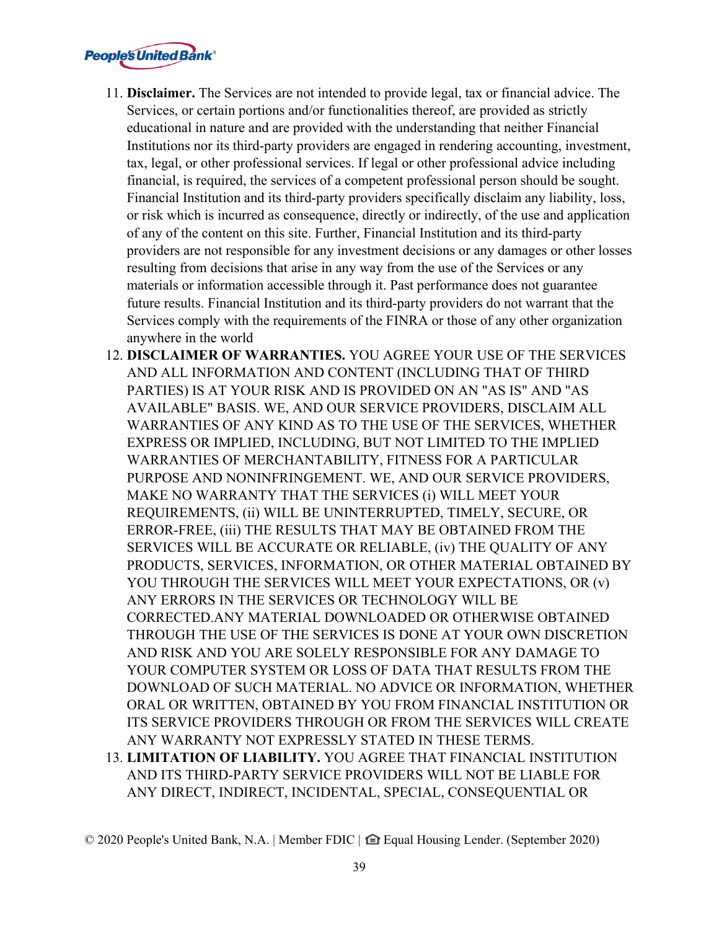**People's United Bank®** 

- 11. **Disclaimer.** The Services are not intended to provide legal, tax or financial advice. The Services, or certain portions and/or functionalities thereof, are provided as strictly educational in nature and are provided with the understanding that neither Financial Institutions nor its third-party providers are engaged in rendering accounting, investment, tax, legal, or other professional services. If legal or other professional advice including financial, is required, the services of a competent professional person should be sought. Financial Institution and its third-party providers specifically disclaim any liability, loss, or risk which is incurred as consequence, directly or indirectly, of the use and application of any of the content on this site. Further, Financial Institution and its third-party providers are not responsible for any investment decisions or any damages or other losses resulting from decisions that arise in any way from the use of the Services or any materials or information accessible through it. Past performance does not guarantee future results. Financial Institution and its third-party providers do not warrant that the Services comply with the requirements of the FINRA or those of any other organization anywhere in the world
- 12. **DISCLAIMER OF WARRANTIES.** YOU AGREE YOUR USE OF THE SERVICES AND ALL INFORMATION AND CONTENT (INCLUDING THAT OF THIRD PARTIES) IS AT YOUR RISK AND IS PROVIDED ON AN "AS IS" AND "AS AVAILABLE" BASIS. WE, AND OUR SERVICE PROVIDERS, DISCLAIM ALL WARRANTIES OF ANY KIND AS TO THE USE OF THE SERVICES, WHETHER EXPRESS OR IMPLIED, INCLUDING, BUT NOT LIMITED TO THE IMPLIED WARRANTIES OF MERCHANTABILITY, FITNESS FOR A PARTICULAR PURPOSE AND NONINFRINGEMENT. WE, AND OUR SERVICE PROVIDERS, MAKE NO WARRANTY THAT THE SERVICES (i) WILL MEET YOUR REQUIREMENTS, (ii) WILL BE UNINTERRUPTED, TIMELY, SECURE, OR ERROR-FREE, (iii) THE RESULTS THAT MAY BE OBTAINED FROM THE SERVICES WILL BE ACCURATE OR RELIABLE, (iv) THE QUALITY OF ANY PRODUCTS, SERVICES, INFORMATION, OR OTHER MATERIAL OBTAINED BY YOU THROUGH THE SERVICES WILL MEET YOUR EXPECTATIONS, OR (v) ANY ERRORS IN THE SERVICES OR TECHNOLOGY WILL BE CORRECTED.ANY MATERIAL DOWNLOADED OR OTHERWISE OBTAINED THROUGH THE USE OF THE SERVICES IS DONE AT YOUR OWN DISCRETION AND RISK AND YOU ARE SOLELY RESPONSIBLE FOR ANY DAMAGE TO YOUR COMPUTER SYSTEM OR LOSS OF DATA THAT RESULTS FROM THE DOWNLOAD OF SUCH MATERIAL. NO ADVICE OR INFORMATION, WHETHER ORAL OR WRITTEN, OBTAINED BY YOU FROM FINANCIAL INSTITUTION OR ITS SERVICE PROVIDERS THROUGH OR FROM THE SERVICES WILL CREATE ANY WARRANTY NOT EXPRESSLY STATED IN THESE TERMS.
- 13. **LIMITATION OF LIABILITY.** YOU AGREE THAT FINANCIAL INSTITUTION AND ITS THIRD-PARTY SERVICE PROVIDERS WILL NOT BE LIABLE FOR ANY DIRECT, INDIRECT, INCIDENTAL, SPECIAL, CONSEQUENTIAL OR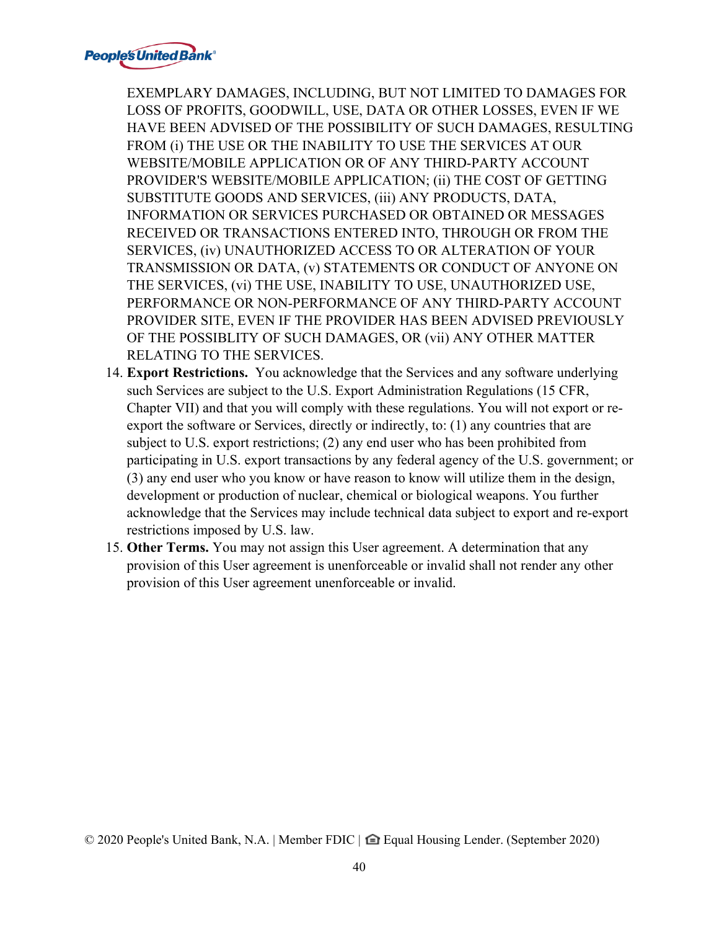**People's United Bank®** 

EXEMPLARY DAMAGES, INCLUDING, BUT NOT LIMITED TO DAMAGES FOR LOSS OF PROFITS, GOODWILL, USE, DATA OR OTHER LOSSES, EVEN IF WE HAVE BEEN ADVISED OF THE POSSIBILITY OF SUCH DAMAGES, RESULTING FROM (i) THE USE OR THE INABILITY TO USE THE SERVICES AT OUR WEBSITE/MOBILE APPLICATION OR OF ANY THIRD-PARTY ACCOUNT PROVIDER'S WEBSITE/MOBILE APPLICATION; (ii) THE COST OF GETTING SUBSTITUTE GOODS AND SERVICES, (iii) ANY PRODUCTS, DATA, INFORMATION OR SERVICES PURCHASED OR OBTAINED OR MESSAGES RECEIVED OR TRANSACTIONS ENTERED INTO, THROUGH OR FROM THE SERVICES, (iv) UNAUTHORIZED ACCESS TO OR ALTERATION OF YOUR TRANSMISSION OR DATA, (v) STATEMENTS OR CONDUCT OF ANYONE ON THE SERVICES, (vi) THE USE, INABILITY TO USE, UNAUTHORIZED USE, PERFORMANCE OR NON-PERFORMANCE OF ANY THIRD-PARTY ACCOUNT PROVIDER SITE, EVEN IF THE PROVIDER HAS BEEN ADVISED PREVIOUSLY OF THE POSSIBLITY OF SUCH DAMAGES, OR (vii) ANY OTHER MATTER RELATING TO THE SERVICES.

- 14. **Export Restrictions.** You acknowledge that the Services and any software underlying such Services are subject to the U.S. Export Administration Regulations (15 CFR, Chapter VII) and that you will comply with these regulations. You will not export or reexport the software or Services, directly or indirectly, to: (1) any countries that are subject to U.S. export restrictions; (2) any end user who has been prohibited from participating in U.S. export transactions by any federal agency of the U.S. government; or (3) any end user who you know or have reason to know will utilize them in the design, development or production of nuclear, chemical or biological weapons. You further acknowledge that the Services may include technical data subject to export and re-export restrictions imposed by U.S. law.
- 15. **Other Terms.** You may not assign this User agreement. A determination that any provision of this User agreement is unenforceable or invalid shall not render any other provision of this User agreement unenforceable or invalid.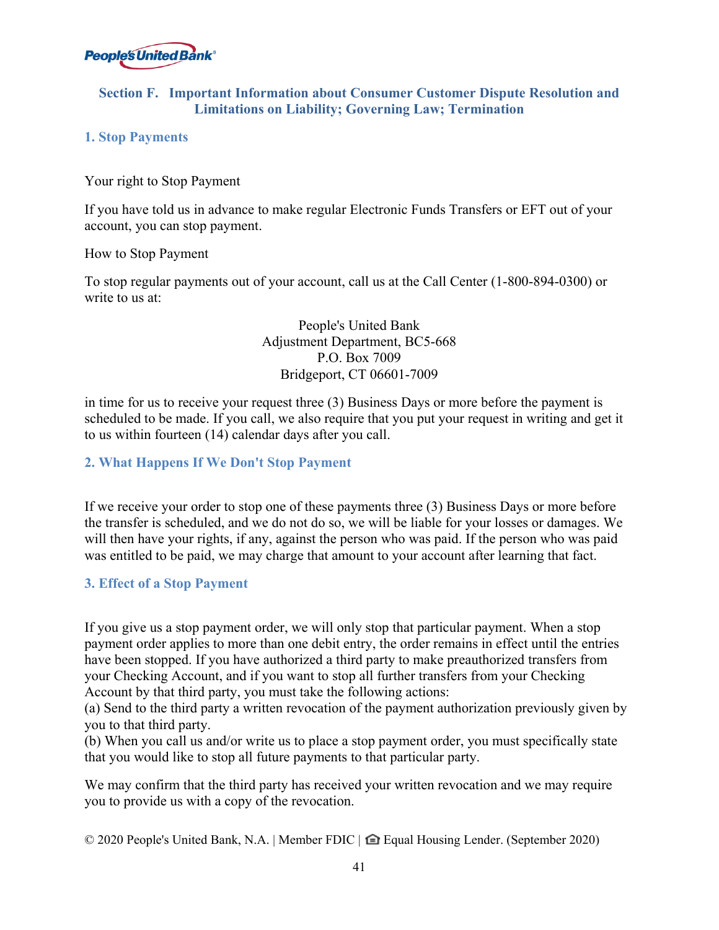**People's United Bank®** 

### <span id="page-40-0"></span>**Section F. Important Information about Consumer Customer Dispute Resolution and Limitations on Liability; Governing Law; Termination**

### <span id="page-40-1"></span>**1. Stop Payments**

Your right to Stop Payment

If you have told us in advance to make regular Electronic Funds Transfers or EFT out of your account, you can stop payment.

How to Stop Payment

To stop regular payments out of your account, call us at the Call Center (1-800-894-0300) or write to us at:

> People's United Bank Adjustment Department, BC5-668 P.O. Box 7009 Bridgeport, CT 06601-7009

in time for us to receive your request three (3) Business Days or more before the payment is scheduled to be made. If you call, we also require that you put your request in writing and get it to us within fourteen (14) calendar days after you call.

#### <span id="page-40-2"></span>**2. What Happens If We Don't Stop Payment**

If we receive your order to stop one of these payments three (3) Business Days or more before the transfer is scheduled, and we do not do so, we will be liable for your losses or damages. We will then have your rights, if any, against the person who was paid. If the person who was paid was entitled to be paid, we may charge that amount to your account after learning that fact.

### <span id="page-40-3"></span>**3. Effect of a Stop Payment**

If you give us a stop payment order, we will only stop that particular payment. When a stop payment order applies to more than one debit entry, the order remains in effect until the entries have been stopped. If you have authorized a third party to make preauthorized transfers from your Checking Account, and if you want to stop all further transfers from your Checking Account by that third party, you must take the following actions:

(a) Send to the third party a written revocation of the payment authorization previously given by you to that third party.

(b) When you call us and/or write us to place a stop payment order, you must specifically state that you would like to stop all future payments to that particular party.

We may confirm that the third party has received your written revocation and we may require you to provide us with a copy of the revocation.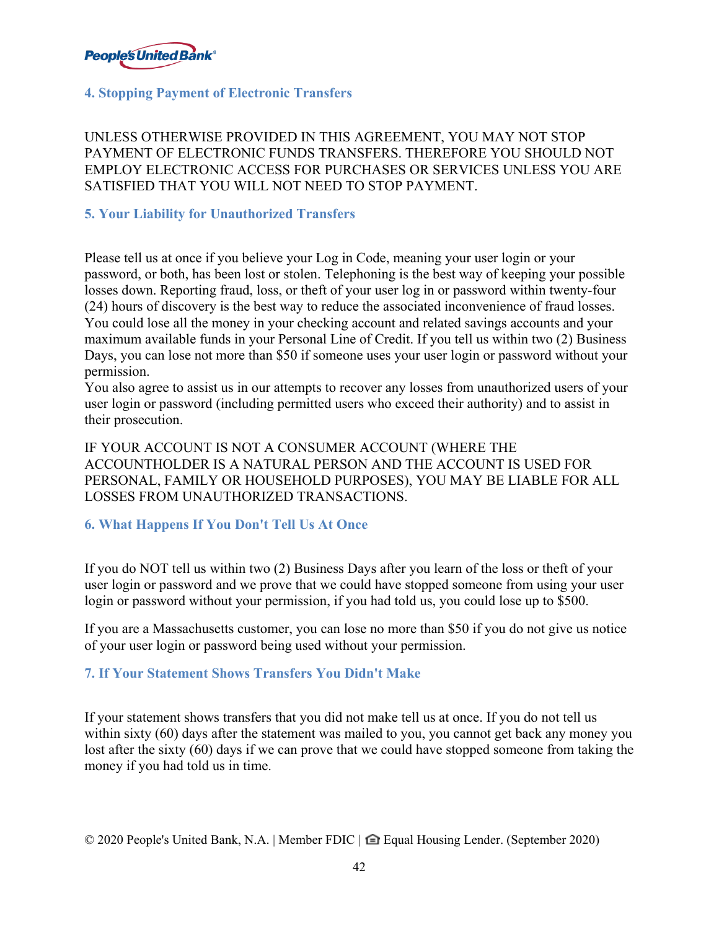

# <span id="page-41-0"></span>**4. Stopping Payment of Electronic Transfers**

UNLESS OTHERWISE PROVIDED IN THIS AGREEMENT, YOU MAY NOT STOP PAYMENT OF ELECTRONIC FUNDS TRANSFERS. THEREFORE YOU SHOULD NOT EMPLOY ELECTRONIC ACCESS FOR PURCHASES OR SERVICES UNLESS YOU ARE SATISFIED THAT YOU WILL NOT NEED TO STOP PAYMENT.

## <span id="page-41-1"></span>**5. Your Liability for Unauthorized Transfers**

Please tell us at once if you believe your Log in Code, meaning your user login or your password, or both, has been lost or stolen. Telephoning is the best way of keeping your possible losses down. Reporting fraud, loss, or theft of your user log in or password within twenty-four (24) hours of discovery is the best way to reduce the associated inconvenience of fraud losses. You could lose all the money in your checking account and related savings accounts and your maximum available funds in your Personal Line of Credit. If you tell us within two (2) Business Days, you can lose not more than \$50 if someone uses your user login or password without your permission.

You also agree to assist us in our attempts to recover any losses from unauthorized users of your user login or password (including permitted users who exceed their authority) and to assist in their prosecution.

IF YOUR ACCOUNT IS NOT A CONSUMER ACCOUNT (WHERE THE ACCOUNTHOLDER IS A NATURAL PERSON AND THE ACCOUNT IS USED FOR PERSONAL, FAMILY OR HOUSEHOLD PURPOSES), YOU MAY BE LIABLE FOR ALL LOSSES FROM UNAUTHORIZED TRANSACTIONS.

### <span id="page-41-2"></span>**6. What Happens If You Don't Tell Us At Once**

If you do NOT tell us within two (2) Business Days after you learn of the loss or theft of your user login or password and we prove that we could have stopped someone from using your user login or password without your permission, if you had told us, you could lose up to \$500.

If you are a Massachusetts customer, you can lose no more than \$50 if you do not give us notice of your user login or password being used without your permission.

### <span id="page-41-3"></span>**7. If Your Statement Shows Transfers You Didn't Make**

If your statement shows transfers that you did not make tell us at once. If you do not tell us within sixty (60) days after the statement was mailed to you, you cannot get back any money you lost after the sixty (60) days if we can prove that we could have stopped someone from taking the money if you had told us in time.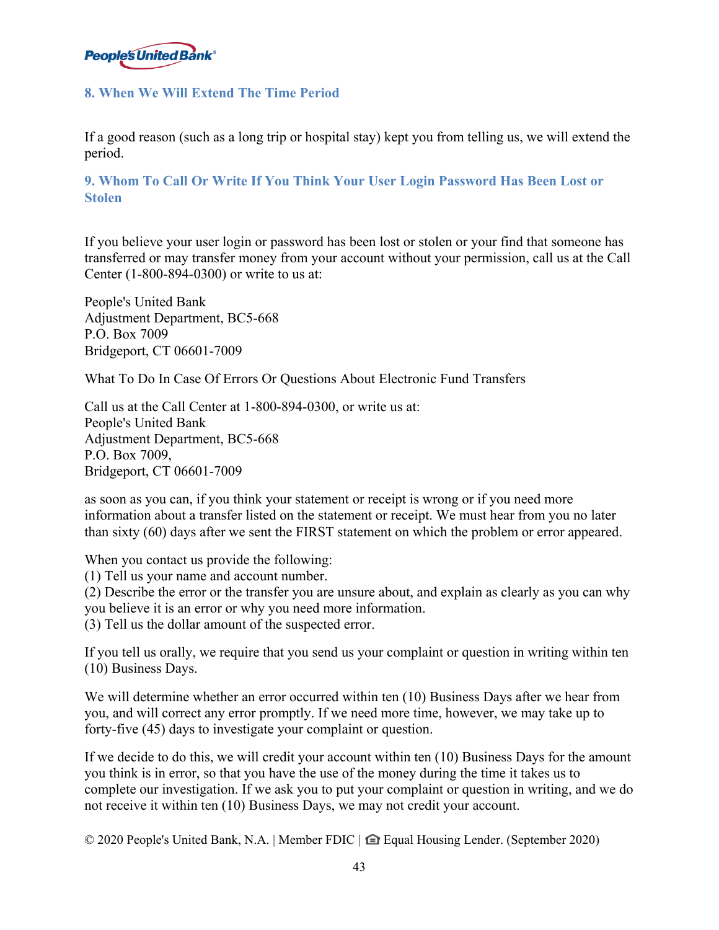

## <span id="page-42-0"></span>**8. When We Will Extend The Time Period**

If a good reason (such as a long trip or hospital stay) kept you from telling us, we will extend the period.

<span id="page-42-1"></span>**9. Whom To Call Or Write If You Think Your User Login Password Has Been Lost or Stolen**

If you believe your user login or password has been lost or stolen or your find that someone has transferred or may transfer money from your account without your permission, call us at the Call Center (1-800-894-0300) or write to us at:

People's United Bank Adjustment Department, BC5-668 P.O. Box 7009 Bridgeport, CT 06601-7009

What To Do In Case Of Errors Or Questions About Electronic Fund Transfers

Call us at the Call Center at 1-800-894-0300, or write us at: People's United Bank Adjustment Department, BC5-668 P.O. Box 7009, Bridgeport, CT 06601-7009

as soon as you can, if you think your statement or receipt is wrong or if you need more information about a transfer listed on the statement or receipt. We must hear from you no later than sixty (60) days after we sent the FIRST statement on which the problem or error appeared.

When you contact us provide the following:

(1) Tell us your name and account number.

(2) Describe the error or the transfer you are unsure about, and explain as clearly as you can why you believe it is an error or why you need more information.

(3) Tell us the dollar amount of the suspected error.

If you tell us orally, we require that you send us your complaint or question in writing within ten (10) Business Days.

We will determine whether an error occurred within ten (10) Business Days after we hear from you, and will correct any error promptly. If we need more time, however, we may take up to forty-five (45) days to investigate your complaint or question.

If we decide to do this, we will credit your account within ten (10) Business Days for the amount you think is in error, so that you have the use of the money during the time it takes us to complete our investigation. If we ask you to put your complaint or question in writing, and we do not receive it within ten (10) Business Days, we may not credit your account.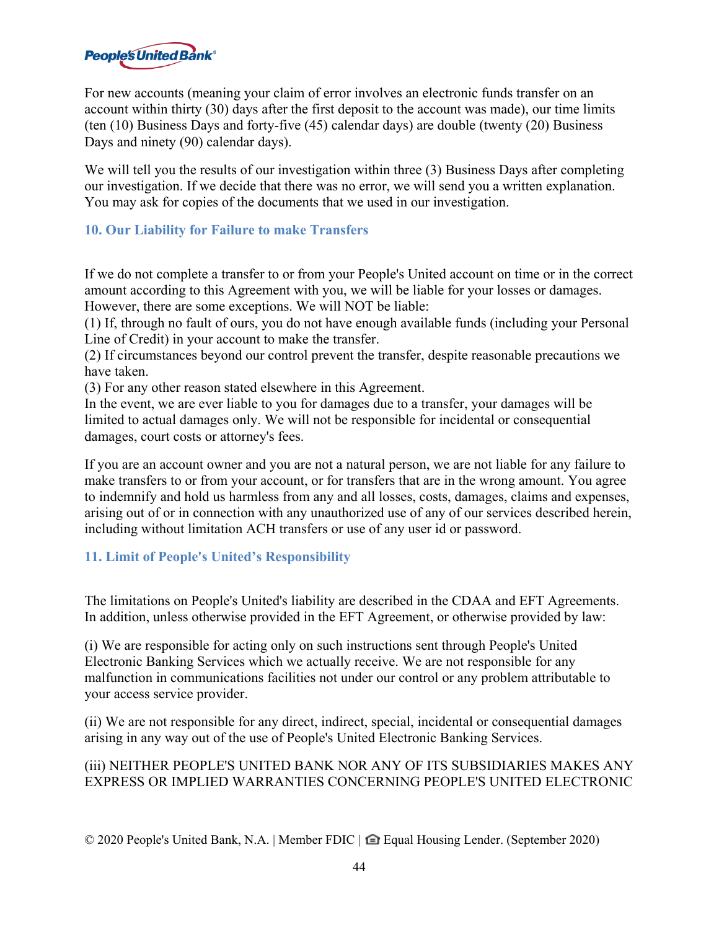

For new accounts (meaning your claim of error involves an electronic funds transfer on an account within thirty (30) days after the first deposit to the account was made), our time limits (ten (10) Business Days and forty-five (45) calendar days) are double (twenty (20) Business Days and ninety (90) calendar days).

We will tell you the results of our investigation within three (3) Business Days after completing our investigation. If we decide that there was no error, we will send you a written explanation. You may ask for copies of the documents that we used in our investigation.

## <span id="page-43-0"></span>**10. Our Liability for Failure to make Transfers**

If we do not complete a transfer to or from your People's United account on time or in the correct amount according to this Agreement with you, we will be liable for your losses or damages. However, there are some exceptions. We will NOT be liable:

(1) If, through no fault of ours, you do not have enough available funds (including your Personal Line of Credit) in your account to make the transfer.

(2) If circumstances beyond our control prevent the transfer, despite reasonable precautions we have taken.

(3) For any other reason stated elsewhere in this Agreement.

In the event, we are ever liable to you for damages due to a transfer, your damages will be limited to actual damages only. We will not be responsible for incidental or consequential damages, court costs or attorney's fees.

If you are an account owner and you are not a natural person, we are not liable for any failure to make transfers to or from your account, or for transfers that are in the wrong amount. You agree to indemnify and hold us harmless from any and all losses, costs, damages, claims and expenses, arising out of or in connection with any unauthorized use of any of our services described herein, including without limitation ACH transfers or use of any user id or password.

# <span id="page-43-1"></span>**11. Limit of People's United's Responsibility**

The limitations on People's United's liability are described in the CDAA and EFT Agreements. In addition, unless otherwise provided in the EFT Agreement, or otherwise provided by law:

(i) We are responsible for acting only on such instructions sent through People's United Electronic Banking Services which we actually receive. We are not responsible for any malfunction in communications facilities not under our control or any problem attributable to your access service provider.

(ii) We are not responsible for any direct, indirect, special, incidental or consequential damages arising in any way out of the use of People's United Electronic Banking Services.

## (iii) NEITHER PEOPLE'S UNITED BANK NOR ANY OF ITS SUBSIDIARIES MAKES ANY EXPRESS OR IMPLIED WARRANTIES CONCERNING PEOPLE'S UNITED ELECTRONIC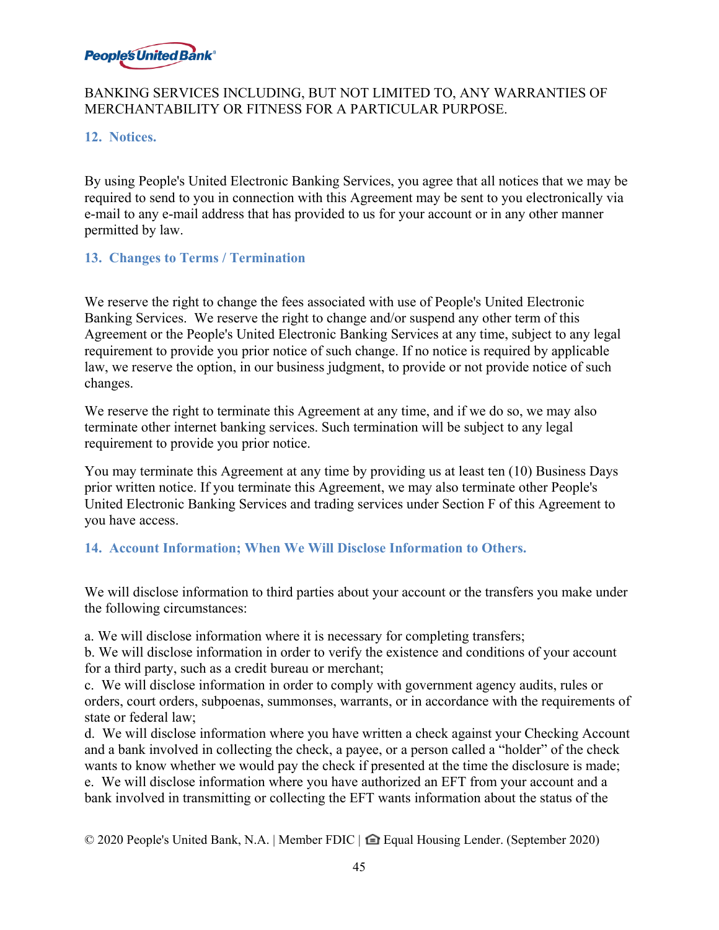**People's United Bank®** 

## BANKING SERVICES INCLUDING, BUT NOT LIMITED TO, ANY WARRANTIES OF MERCHANTABILITY OR FITNESS FOR A PARTICULAR PURPOSE.

## <span id="page-44-0"></span>**12. Notices.**

By using People's United Electronic Banking Services, you agree that all notices that we may be required to send to you in connection with this Agreement may be sent to you electronically via e-mail to any e-mail address that has provided to us for your account or in any other manner permitted by law.

## <span id="page-44-1"></span>**13. Changes to Terms / Termination**

We reserve the right to change the fees associated with use of People's United Electronic Banking Services. We reserve the right to change and/or suspend any other term of this Agreement or the People's United Electronic Banking Services at any time, subject to any legal requirement to provide you prior notice of such change. If no notice is required by applicable law, we reserve the option, in our business judgment, to provide or not provide notice of such changes.

We reserve the right to terminate this Agreement at any time, and if we do so, we may also terminate other internet banking services. Such termination will be subject to any legal requirement to provide you prior notice.

You may terminate this Agreement at any time by providing us at least ten (10) Business Days prior written notice. If you terminate this Agreement, we may also terminate other People's United Electronic Banking Services and trading services under Section F of this Agreement to you have access.

# <span id="page-44-2"></span>**14. Account Information; When We Will Disclose Information to Others.**

We will disclose information to third parties about your account or the transfers you make under the following circumstances:

a. We will disclose information where it is necessary for completing transfers;

b. We will disclose information in order to verify the existence and conditions of your account for a third party, such as a credit bureau or merchant;

c. We will disclose information in order to comply with government agency audits, rules or orders, court orders, subpoenas, summonses, warrants, or in accordance with the requirements of state or federal law;

d. We will disclose information where you have written a check against your Checking Account and a bank involved in collecting the check, a payee, or a person called a "holder" of the check wants to know whether we would pay the check if presented at the time the disclosure is made; e. We will disclose information where you have authorized an EFT from your account and a bank involved in transmitting or collecting the EFT wants information about the status of the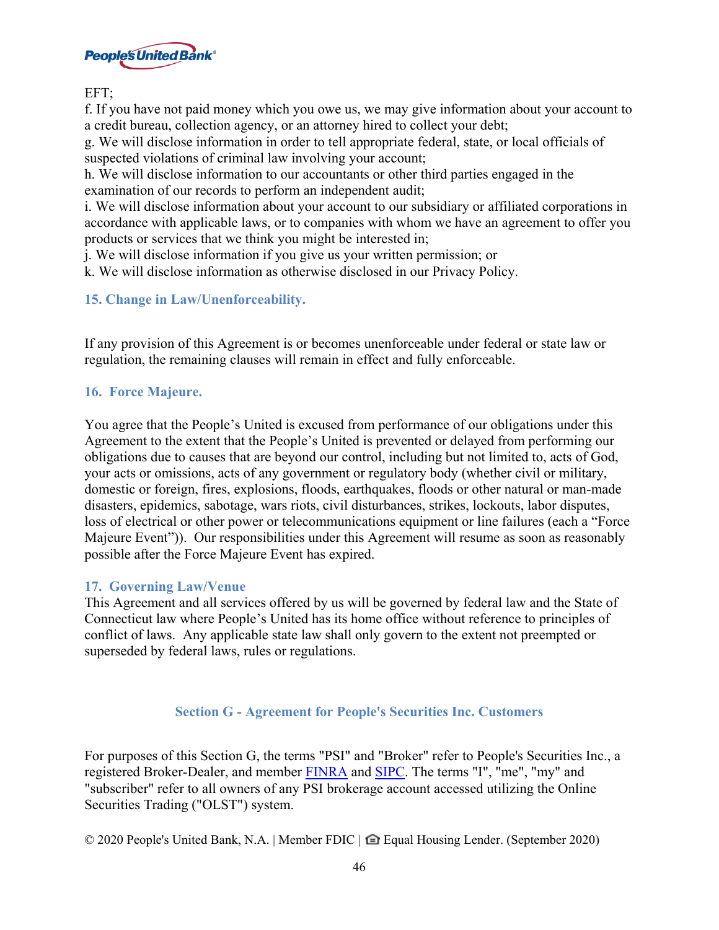**People's United Bank®** 

EFT;

f. If you have not paid money which you owe us, we may give information about your account to a credit bureau, collection agency, or an attorney hired to collect your debt;

g. We will disclose information in order to tell appropriate federal, state, or local officials of suspected violations of criminal law involving your account;

h. We will disclose information to our accountants or other third parties engaged in the examination of our records to perform an independent audit;

i. We will disclose information about your account to our subsidiary or affiliated corporations in accordance with applicable laws, or to companies with whom we have an agreement to offer you products or services that we think you might be interested in;

j. We will disclose information if you give us your written permission; or

k. We will disclose information as otherwise disclosed in our Privacy Policy.

# <span id="page-45-0"></span>**15. Change in Law/Unenforceability.**

If any provision of this Agreement is or becomes unenforceable under federal or state law or regulation, the remaining clauses will remain in effect and fully enforceable.

# <span id="page-45-1"></span>**16. Force Majeure.**

You agree that the People's United is excused from performance of our obligations under this Agreement to the extent that the People's United is prevented or delayed from performing our obligations due to causes that are beyond our control, including but not limited to, acts of God, your acts or omissions, acts of any government or regulatory body (whether civil or military, domestic or foreign, fires, explosions, floods, earthquakes, floods or other natural or man-made disasters, epidemics, sabotage, wars riots, civil disturbances, strikes, lockouts, labor disputes, loss of electrical or other power or telecommunications equipment or line failures (each a "Force Majeure Event")). Our responsibilities under this Agreement will resume as soon as reasonably possible after the Force Majeure Event has expired.

### <span id="page-45-2"></span>**17. Governing Law/Venue**

This Agreement and all services offered by us will be governed by federal law and the State of Connecticut law where People's United has its home office without reference to principles of conflict of laws. Any applicable state law shall only govern to the extent not preempted or superseded by federal laws, rules or regulations.

# **Section G - Agreement for People's Securities Inc. Customers**

<span id="page-45-3"></span>For purposes of this Section G, the terms "PSI" and "Broker" refer to People's Securities Inc., a registered Broker-Dealer, and member [FINRA](http://www.finra.org/) and [SIPC.](https://www.sipc.org/) The terms "I", "me", "my" and "subscriber" refer to all owners of any PSI brokerage account accessed utilizing the Online Securities Trading ("OLST") system.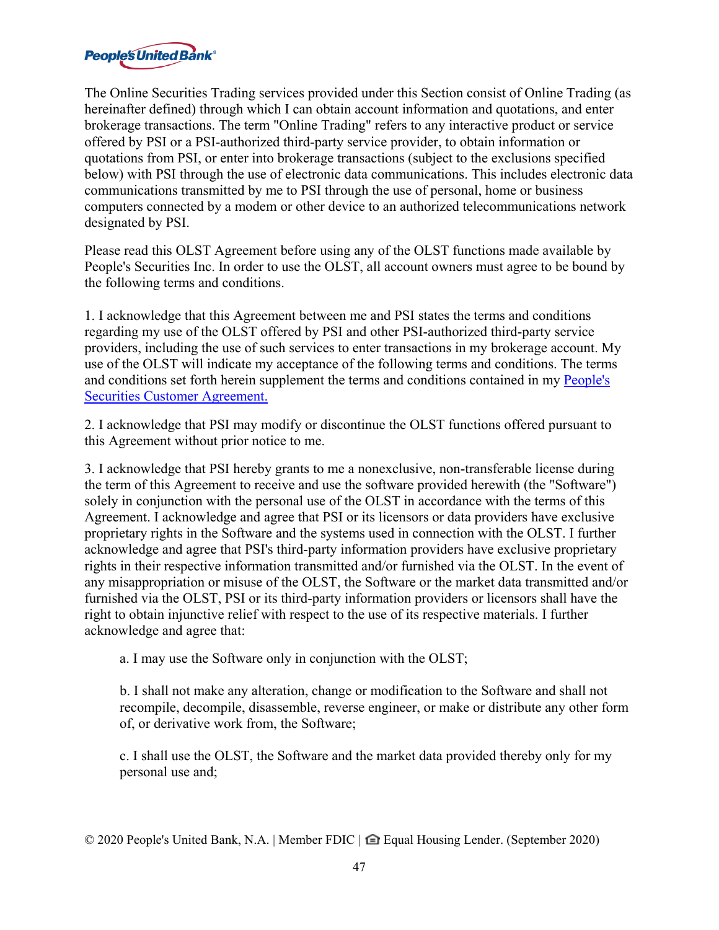

The Online Securities Trading services provided under this Section consist of Online Trading (as hereinafter defined) through which I can obtain account information and quotations, and enter brokerage transactions. The term "Online Trading" refers to any interactive product or service offered by PSI or a PSI-authorized third-party service provider, to obtain information or quotations from PSI, or enter into brokerage transactions (subject to the exclusions specified below) with PSI through the use of electronic data communications. This includes electronic data communications transmitted by me to PSI through the use of personal, home or business computers connected by a modem or other device to an authorized telecommunications network designated by PSI.

Please read this OLST Agreement before using any of the OLST functions made available by People's Securities Inc. In order to use the OLST, all account owners must agree to be bound by the following terms and conditions.

1. I acknowledge that this Agreement between me and PSI states the terms and conditions regarding my use of the OLST offered by PSI and other PSI-authorized third-party service providers, including the use of such services to enter transactions in my brokerage account. My use of the OLST will indicate my acceptance of the following terms and conditions. The terms and conditions set forth herein supplement the terms and conditions contained in my People's [Securities Customer Agreement.](https://www.peoples.com/agreement)

2. I acknowledge that PSI may modify or discontinue the OLST functions offered pursuant to this Agreement without prior notice to me.

3. I acknowledge that PSI hereby grants to me a nonexclusive, non-transferable license during the term of this Agreement to receive and use the software provided herewith (the "Software") solely in conjunction with the personal use of the OLST in accordance with the terms of this Agreement. I acknowledge and agree that PSI or its licensors or data providers have exclusive proprietary rights in the Software and the systems used in connection with the OLST. I further acknowledge and agree that PSI's third-party information providers have exclusive proprietary rights in their respective information transmitted and/or furnished via the OLST. In the event of any misappropriation or misuse of the OLST, the Software or the market data transmitted and/or furnished via the OLST, PSI or its third-party information providers or licensors shall have the right to obtain injunctive relief with respect to the use of its respective materials. I further acknowledge and agree that:

a. I may use the Software only in conjunction with the OLST;

b. I shall not make any alteration, change or modification to the Software and shall not recompile, decompile, disassemble, reverse engineer, or make or distribute any other form of, or derivative work from, the Software;

c. I shall use the OLST, the Software and the market data provided thereby only for my personal use and;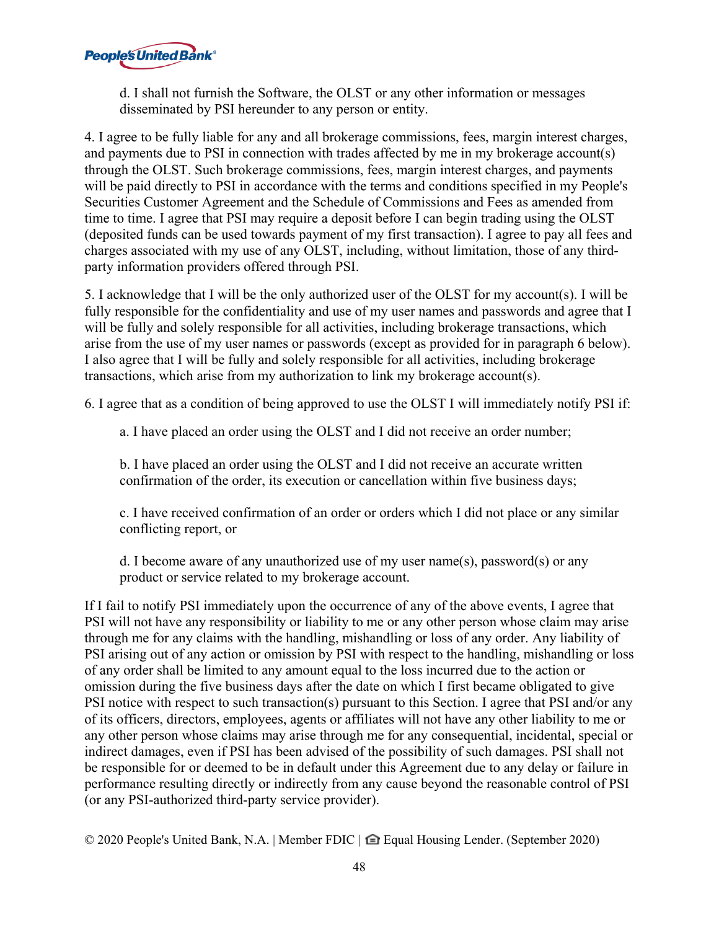**People's United Bank®** 

d. I shall not furnish the Software, the OLST or any other information or messages disseminated by PSI hereunder to any person or entity.

4. I agree to be fully liable for any and all brokerage commissions, fees, margin interest charges, and payments due to PSI in connection with trades affected by me in my brokerage account(s) through the OLST. Such brokerage commissions, fees, margin interest charges, and payments will be paid directly to PSI in accordance with the terms and conditions specified in my People's Securities Customer Agreement and the Schedule of Commissions and Fees as amended from time to time. I agree that PSI may require a deposit before I can begin trading using the OLST (deposited funds can be used towards payment of my first transaction). I agree to pay all fees and charges associated with my use of any OLST, including, without limitation, those of any thirdparty information providers offered through PSI.

5. I acknowledge that I will be the only authorized user of the OLST for my account(s). I will be fully responsible for the confidentiality and use of my user names and passwords and agree that I will be fully and solely responsible for all activities, including brokerage transactions, which arise from the use of my user names or passwords (except as provided for in paragraph 6 below). I also agree that I will be fully and solely responsible for all activities, including brokerage transactions, which arise from my authorization to link my brokerage account(s).

6. I agree that as a condition of being approved to use the OLST I will immediately notify PSI if:

a. I have placed an order using the OLST and I did not receive an order number;

b. I have placed an order using the OLST and I did not receive an accurate written confirmation of the order, its execution or cancellation within five business days;

c. I have received confirmation of an order or orders which I did not place or any similar conflicting report, or

d. I become aware of any unauthorized use of my user name(s), password(s) or any product or service related to my brokerage account.

If I fail to notify PSI immediately upon the occurrence of any of the above events, I agree that PSI will not have any responsibility or liability to me or any other person whose claim may arise through me for any claims with the handling, mishandling or loss of any order. Any liability of PSI arising out of any action or omission by PSI with respect to the handling, mishandling or loss of any order shall be limited to any amount equal to the loss incurred due to the action or omission during the five business days after the date on which I first became obligated to give PSI notice with respect to such transaction(s) pursuant to this Section. I agree that PSI and/or any of its officers, directors, employees, agents or affiliates will not have any other liability to me or any other person whose claims may arise through me for any consequential, incidental, special or indirect damages, even if PSI has been advised of the possibility of such damages. PSI shall not be responsible for or deemed to be in default under this Agreement due to any delay or failure in performance resulting directly or indirectly from any cause beyond the reasonable control of PSI (or any PSI-authorized third-party service provider).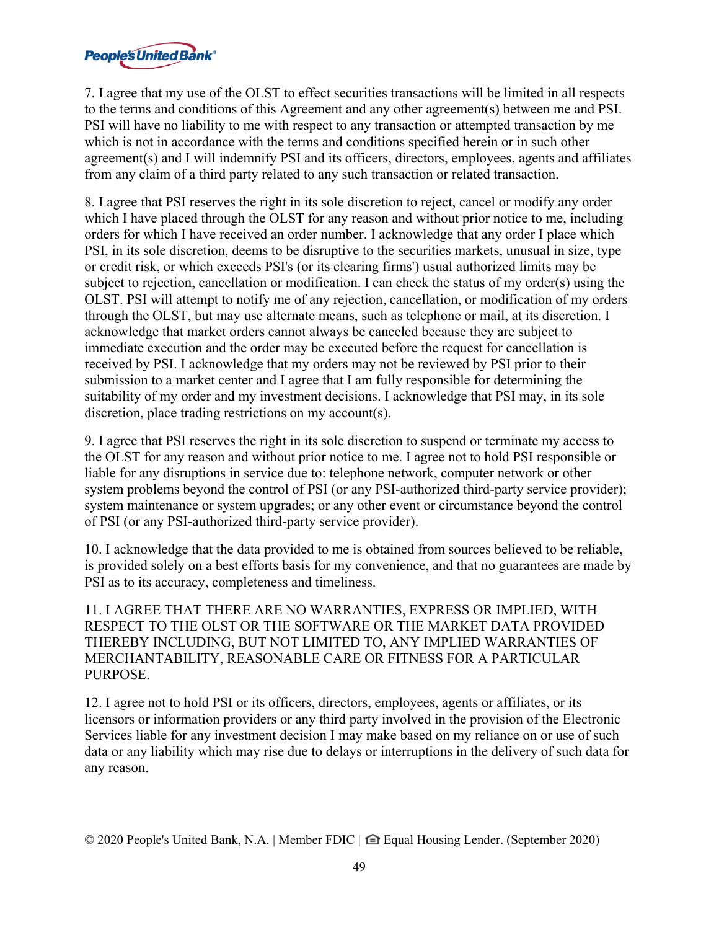

7. I agree that my use of the OLST to effect securities transactions will be limited in all respects to the terms and conditions of this Agreement and any other agreement(s) between me and PSI. PSI will have no liability to me with respect to any transaction or attempted transaction by me which is not in accordance with the terms and conditions specified herein or in such other agreement(s) and I will indemnify PSI and its officers, directors, employees, agents and affiliates from any claim of a third party related to any such transaction or related transaction.

8. I agree that PSI reserves the right in its sole discretion to reject, cancel or modify any order which I have placed through the OLST for any reason and without prior notice to me, including orders for which I have received an order number. I acknowledge that any order I place which PSI, in its sole discretion, deems to be disruptive to the securities markets, unusual in size, type or credit risk, or which exceeds PSI's (or its clearing firms') usual authorized limits may be subject to rejection, cancellation or modification. I can check the status of my order(s) using the OLST. PSI will attempt to notify me of any rejection, cancellation, or modification of my orders through the OLST, but may use alternate means, such as telephone or mail, at its discretion. I acknowledge that market orders cannot always be canceled because they are subject to immediate execution and the order may be executed before the request for cancellation is received by PSI. I acknowledge that my orders may not be reviewed by PSI prior to their submission to a market center and I agree that I am fully responsible for determining the suitability of my order and my investment decisions. I acknowledge that PSI may, in its sole discretion, place trading restrictions on my account(s).

9. I agree that PSI reserves the right in its sole discretion to suspend or terminate my access to the OLST for any reason and without prior notice to me. I agree not to hold PSI responsible or liable for any disruptions in service due to: telephone network, computer network or other system problems beyond the control of PSI (or any PSI-authorized third-party service provider); system maintenance or system upgrades; or any other event or circumstance beyond the control of PSI (or any PSI-authorized third-party service provider).

10. I acknowledge that the data provided to me is obtained from sources believed to be reliable, is provided solely on a best efforts basis for my convenience, and that no guarantees are made by PSI as to its accuracy, completeness and timeliness.

11. I AGREE THAT THERE ARE NO WARRANTIES, EXPRESS OR IMPLIED, WITH RESPECT TO THE OLST OR THE SOFTWARE OR THE MARKET DATA PROVIDED THEREBY INCLUDING, BUT NOT LIMITED TO, ANY IMPLIED WARRANTIES OF MERCHANTABILITY, REASONABLE CARE OR FITNESS FOR A PARTICULAR PURPOSE.

12. I agree not to hold PSI or its officers, directors, employees, agents or affiliates, or its licensors or information providers or any third party involved in the provision of the Electronic Services liable for any investment decision I may make based on my reliance on or use of such data or any liability which may rise due to delays or interruptions in the delivery of such data for any reason.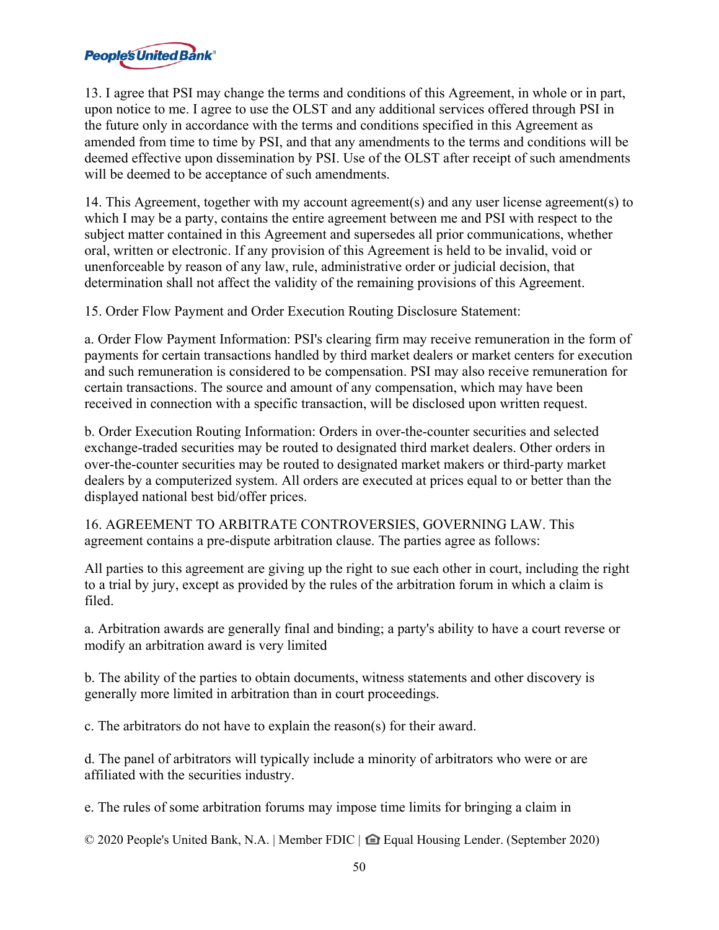

13. I agree that PSI may change the terms and conditions of this Agreement, in whole or in part, upon notice to me. I agree to use the OLST and any additional services offered through PSI in the future only in accordance with the terms and conditions specified in this Agreement as amended from time to time by PSI, and that any amendments to the terms and conditions will be deemed effective upon dissemination by PSI. Use of the OLST after receipt of such amendments will be deemed to be acceptance of such amendments.

14. This Agreement, together with my account agreement(s) and any user license agreement(s) to which I may be a party, contains the entire agreement between me and PSI with respect to the subject matter contained in this Agreement and supersedes all prior communications, whether oral, written or electronic. If any provision of this Agreement is held to be invalid, void or unenforceable by reason of any law, rule, administrative order or judicial decision, that determination shall not affect the validity of the remaining provisions of this Agreement.

15. Order Flow Payment and Order Execution Routing Disclosure Statement:

a. Order Flow Payment Information: PSI's clearing firm may receive remuneration in the form of payments for certain transactions handled by third market dealers or market centers for execution and such remuneration is considered to be compensation. PSI may also receive remuneration for certain transactions. The source and amount of any compensation, which may have been received in connection with a specific transaction, will be disclosed upon written request.

b. Order Execution Routing Information: Orders in over-the-counter securities and selected exchange-traded securities may be routed to designated third market dealers. Other orders in over-the-counter securities may be routed to designated market makers or third-party market dealers by a computerized system. All orders are executed at prices equal to or better than the displayed national best bid/offer prices.

16. AGREEMENT TO ARBITRATE CONTROVERSIES, GOVERNING LAW. This agreement contains a pre-dispute arbitration clause. The parties agree as follows:

All parties to this agreement are giving up the right to sue each other in court, including the right to a trial by jury, except as provided by the rules of the arbitration forum in which a claim is filed.

a. Arbitration awards are generally final and binding; a party's ability to have a court reverse or modify an arbitration award is very limited

b. The ability of the parties to obtain documents, witness statements and other discovery is generally more limited in arbitration than in court proceedings.

c. The arbitrators do not have to explain the reason(s) for their award.

d. The panel of arbitrators will typically include a minority of arbitrators who were or are affiliated with the securities industry.

e. The rules of some arbitration forums may impose time limits for bringing a claim in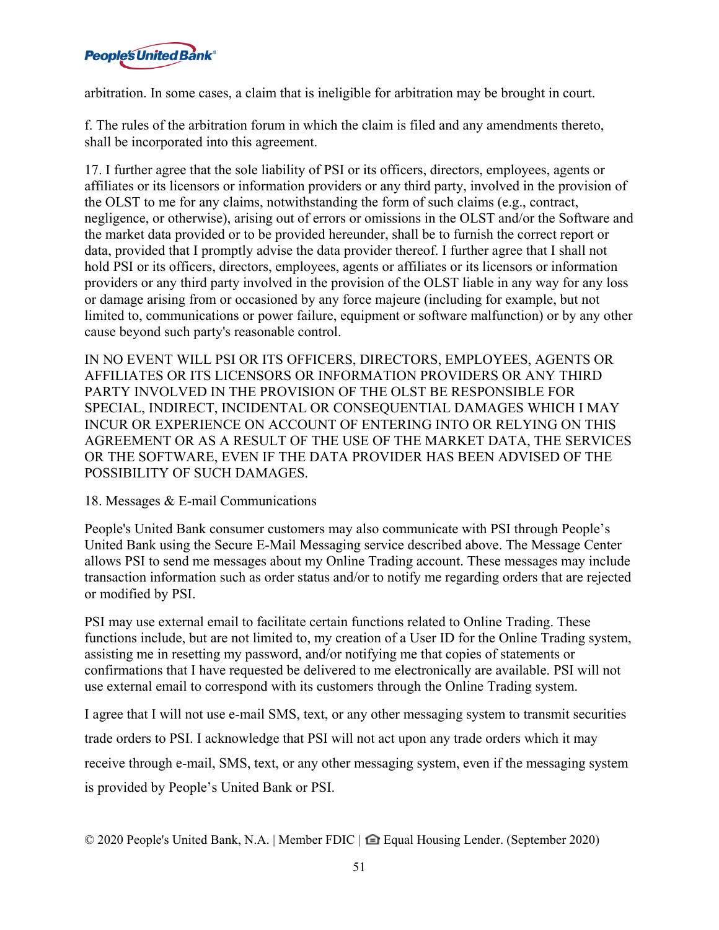**People's United Bank®** 

arbitration. In some cases, a claim that is ineligible for arbitration may be brought in court.

f. The rules of the arbitration forum in which the claim is filed and any amendments thereto, shall be incorporated into this agreement.

17. I further agree that the sole liability of PSI or its officers, directors, employees, agents or affiliates or its licensors or information providers or any third party, involved in the provision of the OLST to me for any claims, notwithstanding the form of such claims (e.g., contract, negligence, or otherwise), arising out of errors or omissions in the OLST and/or the Software and the market data provided or to be provided hereunder, shall be to furnish the correct report or data, provided that I promptly advise the data provider thereof. I further agree that I shall not hold PSI or its officers, directors, employees, agents or affiliates or its licensors or information providers or any third party involved in the provision of the OLST liable in any way for any loss or damage arising from or occasioned by any force majeure (including for example, but not limited to, communications or power failure, equipment or software malfunction) or by any other cause beyond such party's reasonable control.

IN NO EVENT WILL PSI OR ITS OFFICERS, DIRECTORS, EMPLOYEES, AGENTS OR AFFILIATES OR ITS LICENSORS OR INFORMATION PROVIDERS OR ANY THIRD PARTY INVOLVED IN THE PROVISION OF THE OLST BE RESPONSIBLE FOR SPECIAL, INDIRECT, INCIDENTAL OR CONSEQUENTIAL DAMAGES WHICH I MAY INCUR OR EXPERIENCE ON ACCOUNT OF ENTERING INTO OR RELYING ON THIS AGREEMENT OR AS A RESULT OF THE USE OF THE MARKET DATA, THE SERVICES OR THE SOFTWARE, EVEN IF THE DATA PROVIDER HAS BEEN ADVISED OF THE POSSIBILITY OF SUCH DAMAGES.

18. Messages & E-mail Communications

People's United Bank consumer customers may also communicate with PSI through People's United Bank using the Secure E-Mail Messaging service described above. The Message Center allows PSI to send me messages about my Online Trading account. These messages may include transaction information such as order status and/or to notify me regarding orders that are rejected or modified by PSI.

PSI may use external email to facilitate certain functions related to Online Trading. These functions include, but are not limited to, my creation of a User ID for the Online Trading system, assisting me in resetting my password, and/or notifying me that copies of statements or confirmations that I have requested be delivered to me electronically are available. PSI will not use external email to correspond with its customers through the Online Trading system.

I agree that I will not use e-mail SMS, text, or any other messaging system to transmit securities

trade orders to PSI. I acknowledge that PSI will not act upon any trade orders which it may

receive through e-mail, SMS, text, or any other messaging system, even if the messaging system is provided by People's United Bank or PSI.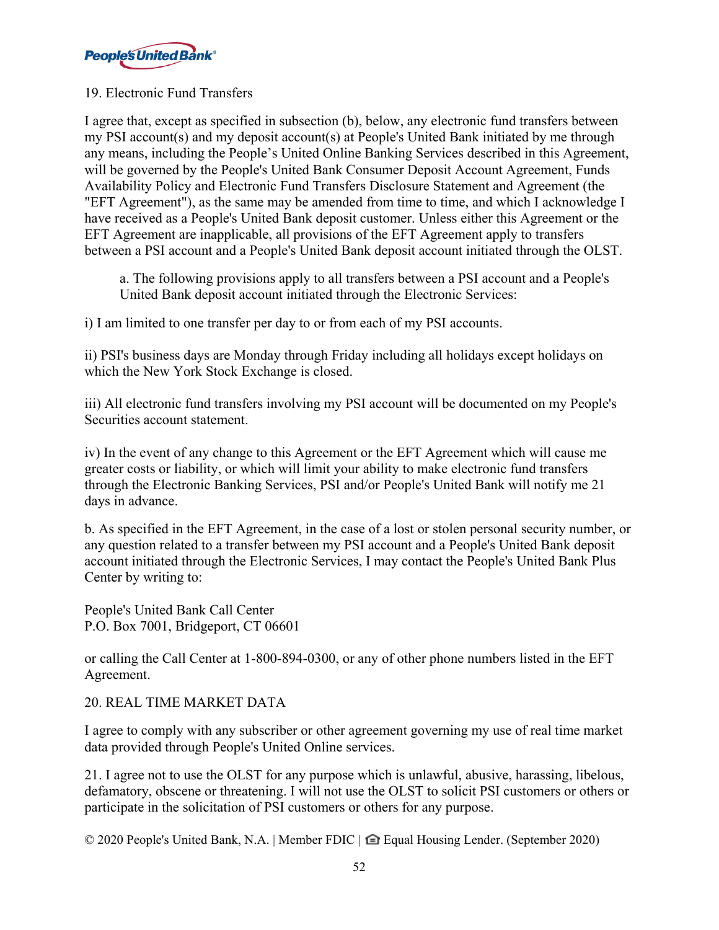**People's United Bank®** 

### 19. Electronic Fund Transfers

I agree that, except as specified in subsection (b), below, any electronic fund transfers between my PSI account(s) and my deposit account(s) at People's United Bank initiated by me through any means, including the People's United Online Banking Services described in this Agreement, will be governed by the People's United Bank Consumer Deposit Account Agreement, Funds Availability Policy and Electronic Fund Transfers Disclosure Statement and Agreement (the "EFT Agreement"), as the same may be amended from time to time, and which I acknowledge I have received as a People's United Bank deposit customer. Unless either this Agreement or the EFT Agreement are inapplicable, all provisions of the EFT Agreement apply to transfers between a PSI account and a People's United Bank deposit account initiated through the OLST.

a. The following provisions apply to all transfers between a PSI account and a People's United Bank deposit account initiated through the Electronic Services:

i) I am limited to one transfer per day to or from each of my PSI accounts.

ii) PSI's business days are Monday through Friday including all holidays except holidays on which the New York Stock Exchange is closed.

iii) All electronic fund transfers involving my PSI account will be documented on my People's Securities account statement.

iv) In the event of any change to this Agreement or the EFT Agreement which will cause me greater costs or liability, or which will limit your ability to make electronic fund transfers through the Electronic Banking Services, PSI and/or People's United Bank will notify me 21 days in advance.

b. As specified in the EFT Agreement, in the case of a lost or stolen personal security number, or any question related to a transfer between my PSI account and a People's United Bank deposit account initiated through the Electronic Services, I may contact the People's United Bank Plus Center by writing to:

People's United Bank Call Center P.O. Box 7001, Bridgeport, CT 06601

or calling the Call Center at 1-800-894-0300, or any of other phone numbers listed in the EFT Agreement.

#### 20. REAL TIME MARKET DATA

I agree to comply with any subscriber or other agreement governing my use of real time market data provided through People's United Online services.

21. I agree not to use the OLST for any purpose which is unlawful, abusive, harassing, libelous, defamatory, obscene or threatening. I will not use the OLST to solicit PSI customers or others or participate in the solicitation of PSI customers or others for any purpose.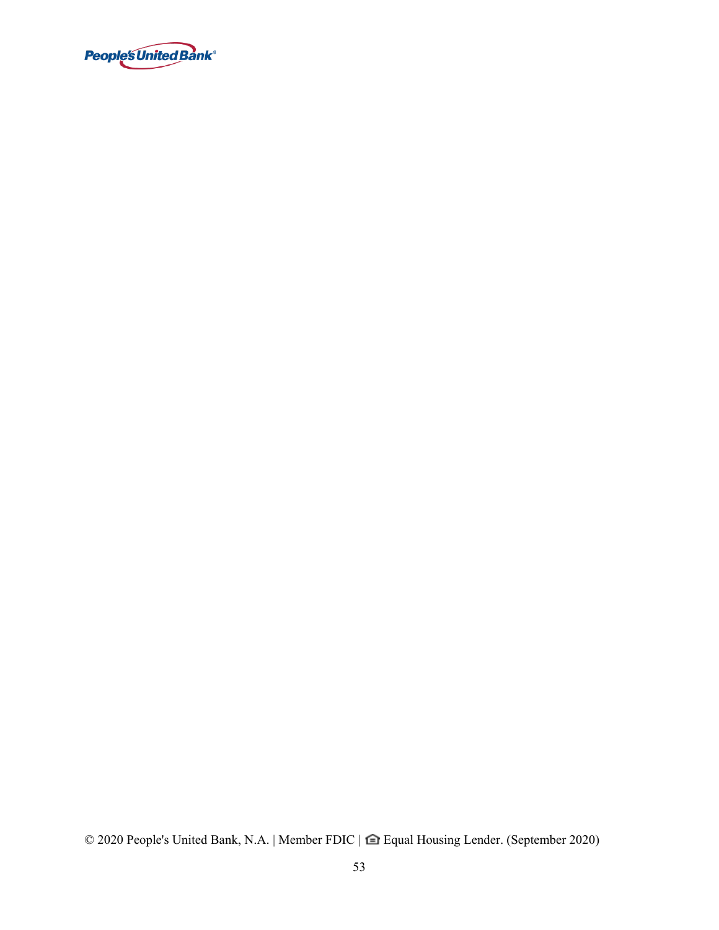People's United Bank®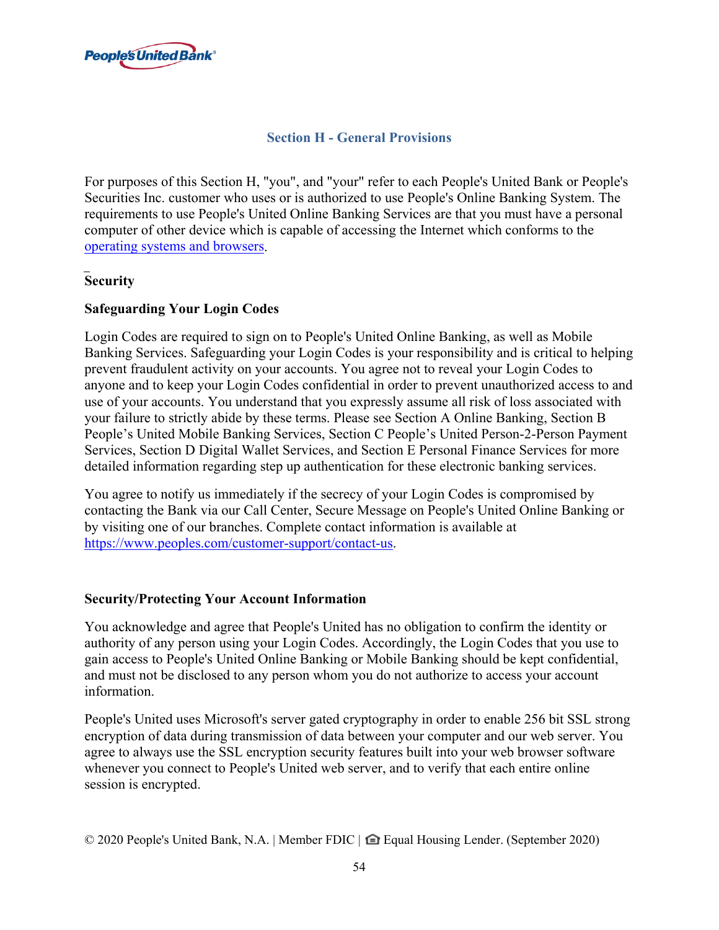

## **Section H - General Provisions**

<span id="page-53-0"></span>For purposes of this Section H, "you", and "your" refer to each People's United Bank or People's Securities Inc. customer who uses or is authorized to use People's Online Banking System. The requirements to use People's United Online Banking Services are that you must have a personal computer of other device which is capable of accessing the Internet which conforms to the [operating systems and browsers.](https://www.peoples.com/customer-support/online-system-requirements)

## **Security**

### **Safeguarding Your Login Codes**

Login Codes are required to sign on to People's United Online Banking, as well as Mobile Banking Services. Safeguarding your Login Codes is your responsibility and is critical to helping prevent fraudulent activity on your accounts. You agree not to reveal your Login Codes to anyone and to keep your Login Codes confidential in order to prevent unauthorized access to and use of your accounts. You understand that you expressly assume all risk of loss associated with your failure to strictly abide by these terms. Please see Section A Online Banking, Section B People's United Mobile Banking Services, Section C People's United Person-2-Person Payment Services, Section D Digital Wallet Services, and Section E Personal Finance Services for more detailed information regarding step up authentication for these electronic banking services.

You agree to notify us immediately if the secrecy of your Login Codes is compromised by contacting the Bank via our Call Center, Secure Message on People's United Online Banking or by visiting one of our branches. Complete contact information is available at [https://www.peoples.com/customer-support/contact-us.](https://www.peoples.com/customer-support/contact-us)

### **Security/Protecting Your Account Information**

You acknowledge and agree that People's United has no obligation to confirm the identity or authority of any person using your Login Codes. Accordingly, the Login Codes that you use to gain access to People's United Online Banking or Mobile Banking should be kept confidential, and must not be disclosed to any person whom you do not authorize to access your account information.

People's United uses Microsoft's server gated cryptography in order to enable 256 bit SSL strong encryption of data during transmission of data between your computer and our web server. You agree to always use the SSL encryption security features built into your web browser software whenever you connect to People's United web server, and to verify that each entire online session is encrypted.